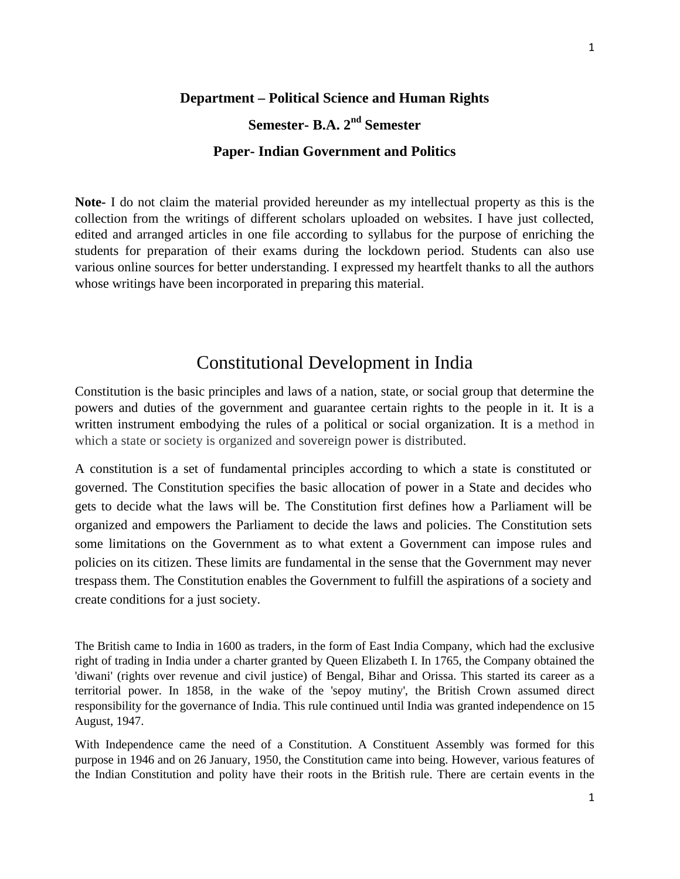# **Department – Political Science and Human Rights Semester- B.A. 2nd Semester**

#### **Paper- Indian Government and Politics**

**Note-** I do not claim the material provided hereunder as my intellectual property as this is the collection from the writings of different scholars uploaded on websites. I have just collected, edited and arranged articles in one file according to syllabus for the purpose of enriching the students for preparation of their exams during the lockdown period. Students can also use various online sources for better understanding. I expressed my heartfelt thanks to all the authors whose writings have been incorporated in preparing this material.

## Constitutional Development in India

Constitution is the basic principles and laws of a nation, state, or social group that determine the powers and duties of the government and guarantee certain rights to the people in it. It is a written instrument embodying the rules of a political or social organization. It is a method in which a state or society is organized and sovereign power is distributed.

A constitution is a set of fundamental principles according to which a state is constituted or governed. The Constitution specifies the basic allocation of power in a State and decides who gets to decide what the laws will be. The Constitution first defines how a Parliament will be organized and empowers the Parliament to decide the laws and policies. The Constitution sets some limitations on the Government as to what extent a Government can impose rules and policies on its citizen. These limits are fundamental in the sense that the Government may never trespass them. The Constitution enables the Government to fulfill the aspirations of a society and create conditions for a just society.

The British came to India in 1600 as traders, in the form of East India Company, which had the exclusive right of trading in India under a charter granted by Queen Elizabeth I. In 1765, the Company obtained the 'diwani' (rights over revenue and civil justice) of Bengal, Bihar and Orissa. This started its career as a territorial power. In 1858, in the wake of the 'sepoy mutiny', the British Crown assumed direct responsibility for the governance of India. This rule continued until India was granted independence on 15 August, 1947.

With Independence came the need of a Constitution. A Constituent Assembly was formed for this purpose in 1946 and on 26 January, 1950, the Constitution came into being. However, various features of the Indian Constitution and polity have their roots in the British rule. There are certain events in the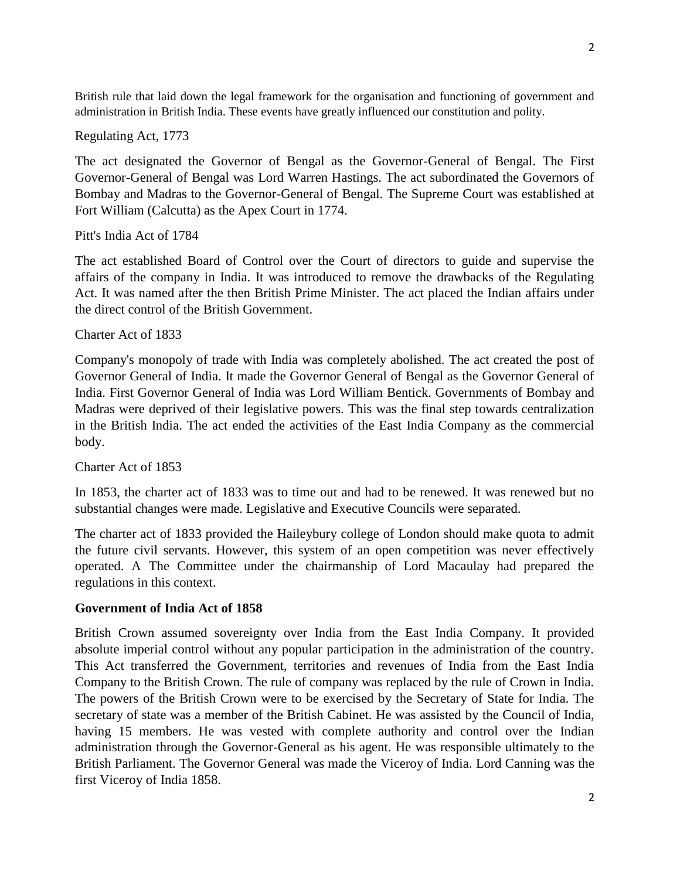British rule that laid down the legal framework for the organisation and functioning of government and administration in British India. These events have greatly influenced our constitution and polity.

#### Regulating Act, 1773

The act designated the Governor of Bengal as the Governor-General of Bengal. The First Governor-General of Bengal was Lord Warren Hastings. The act subordinated the Governors of Bombay and Madras to the Governor-General of Bengal. The Supreme Court was established at Fort William (Calcutta) as the Apex Court in 1774.

#### Pitt's India Act of 1784

The act established Board of Control over the Court of directors to guide and supervise the affairs of the company in India. It was introduced to remove the drawbacks of the Regulating Act. It was named after the then British Prime Minister. The act placed the Indian affairs under the direct control of the British Government.

#### Charter Act of 1833

Company's monopoly of trade with India was completely abolished. The act created the post of Governor General of India. It made the Governor General of Bengal as the Governor General of India. First Governor General of India was Lord William Bentick. Governments of Bombay and Madras were deprived of their legislative powers. This was the final step towards centralization in the British India. The act ended the activities of the East India Company as the commercial body.

Charter Act of 1853

In 1853, the charter act of 1833 was to time out and had to be renewed. It was renewed but no substantial changes were made. Legislative and Executive Councils were separated.

The charter act of 1833 provided the Haileybury college of London should make quota to admit the future civil servants. However, this system of an open competition was never effectively operated. A The Committee under the chairmanship of Lord Macaulay had prepared the regulations in this context.

#### **Government of India Act of 1858**

British Crown assumed sovereignty over India from the East India Company. It provided absolute imperial control without any popular participation in the administration of the country. This Act transferred the Government, territories and revenues of India from the East India Company to the British Crown. The rule of company was replaced by the rule of Crown in India. The powers of the British Crown were to be exercised by the Secretary of State for India. The secretary of state was a member of the British Cabinet. He was assisted by the Council of India, having 15 members. He was vested with complete authority and control over the Indian administration through the Governor-General as his agent. He was responsible ultimately to the British Parliament. The Governor General was made the Viceroy of India. Lord Canning was the first Viceroy of India 1858.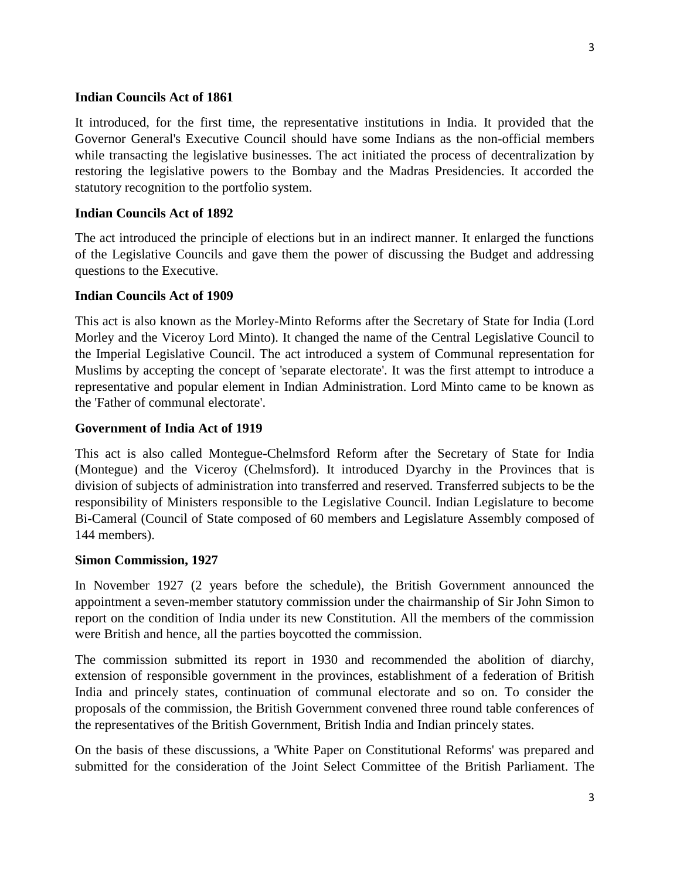3

It introduced, for the first time, the representative institutions in India. It provided that the Governor General's Executive Council should have some Indians as the non-official members while transacting the legislative businesses. The act initiated the process of decentralization by restoring the legislative powers to the Bombay and the Madras Presidencies. It accorded the statutory recognition to the portfolio system.

## **Indian Councils Act of 1892**

The act introduced the principle of elections but in an indirect manner. It enlarged the functions of the Legislative Councils and gave them the power of discussing the Budget and addressing questions to the Executive.

## **Indian Councils Act of 1909**

This act is also known as the Morley-Minto Reforms after the Secretary of State for India (Lord Morley and the Viceroy Lord Minto). It changed the name of the Central Legislative Council to the Imperial Legislative Council. The act introduced a system of Communal representation for Muslims by accepting the concept of 'separate electorate'. It was the first attempt to introduce a representative and popular element in Indian Administration. Lord Minto came to be known as the 'Father of communal electorate'.

## **Government of India Act of 1919**

This act is also called Montegue-Chelmsford Reform after the Secretary of State for India (Montegue) and the Viceroy (Chelmsford). It introduced Dyarchy in the Provinces that is division of subjects of administration into transferred and reserved. Transferred subjects to be the responsibility of Ministers responsible to the Legislative Council. Indian Legislature to become Bi-Cameral (Council of State composed of 60 members and Legislature Assembly composed of 144 members).

## **Simon Commission, 1927**

In November 1927 (2 years before the schedule), the British Government announced the appointment a seven-member statutory commission under the chairmanship of Sir John Simon to report on the condition of India under its new Constitution. All the members of the commission were British and hence, all the parties boycotted the commission.

The commission submitted its report in 1930 and recommended the abolition of diarchy, extension of responsible government in the provinces, establishment of a federation of British India and princely states, continuation of communal electorate and so on. To consider the proposals of the commission, the British Government convened three round table conferences of the representatives of the British Government, British India and Indian princely states.

On the basis of these discussions, a 'White Paper on Constitutional Reforms' was prepared and submitted for the consideration of the Joint Select Committee of the British Parliament. The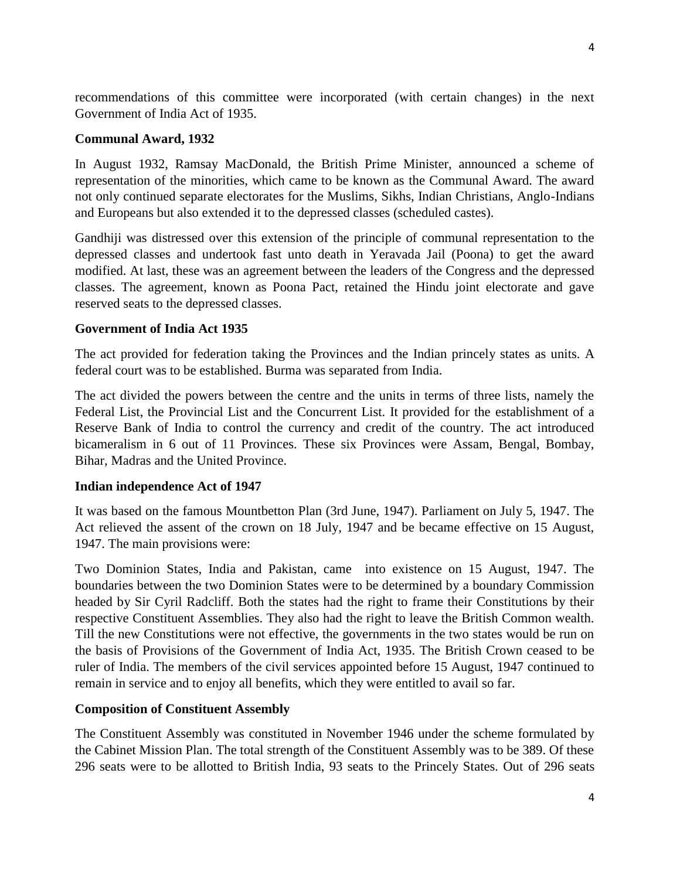recommendations of this committee were incorporated (with certain changes) in the next Government of India Act of 1935.

#### **Communal Award, 1932**

In August 1932, Ramsay MacDonald, the British Prime Minister, announced a scheme of representation of the minorities, which came to be known as the Communal Award. The award not only continued separate electorates for the Muslims, Sikhs, Indian Christians, Anglo-Indians and Europeans but also extended it to the depressed classes (scheduled castes).

Gandhiji was distressed over this extension of the principle of communal representation to the depressed classes and undertook fast unto death in Yeravada Jail (Poona) to get the award modified. At last, these was an agreement between the leaders of the Congress and the depressed classes. The agreement, known as Poona Pact, retained the Hindu joint electorate and gave reserved seats to the depressed classes.

#### **Government of India Act 1935**

The act provided for federation taking the Provinces and the Indian princely states as units. A federal court was to be established. Burma was separated from India.

The act divided the powers between the centre and the units in terms of three lists, namely the Federal List, the Provincial List and the Concurrent List. It provided for the establishment of a Reserve Bank of India to control the currency and credit of the country. The act introduced bicameralism in 6 out of 11 Provinces. These six Provinces were Assam, Bengal, Bombay, Bihar, Madras and the United Province.

#### **Indian independence Act of 1947**

It was based on the famous Mountbetton Plan (3rd June, 1947). Parliament on July 5, 1947. The Act relieved the assent of the crown on 18 July, 1947 and be became effective on 15 August, 1947. The main provisions were:

Two Dominion States, India and Pakistan, came into existence on 15 August, 1947. The boundaries between the two Dominion States were to be determined by a boundary Commission headed by Sir Cyril Radcliff. Both the states had the right to frame their Constitutions by their respective Constituent Assemblies. They also had the right to leave the British Common wealth. Till the new Constitutions were not effective, the governments in the two states would be run on the basis of Provisions of the Government of India Act, 1935. The British Crown ceased to be ruler of India. The members of the civil services appointed before 15 August, 1947 continued to remain in service and to enjoy all benefits, which they were entitled to avail so far.

#### **Composition of Constituent Assembly**

The Constituent Assembly was constituted in November 1946 under the scheme formulated by the Cabinet Mission Plan. The total strength of the Constituent Assembly was to be 389. Of these 296 seats were to be allotted to British India, 93 seats to the Princely States. Out of 296 seats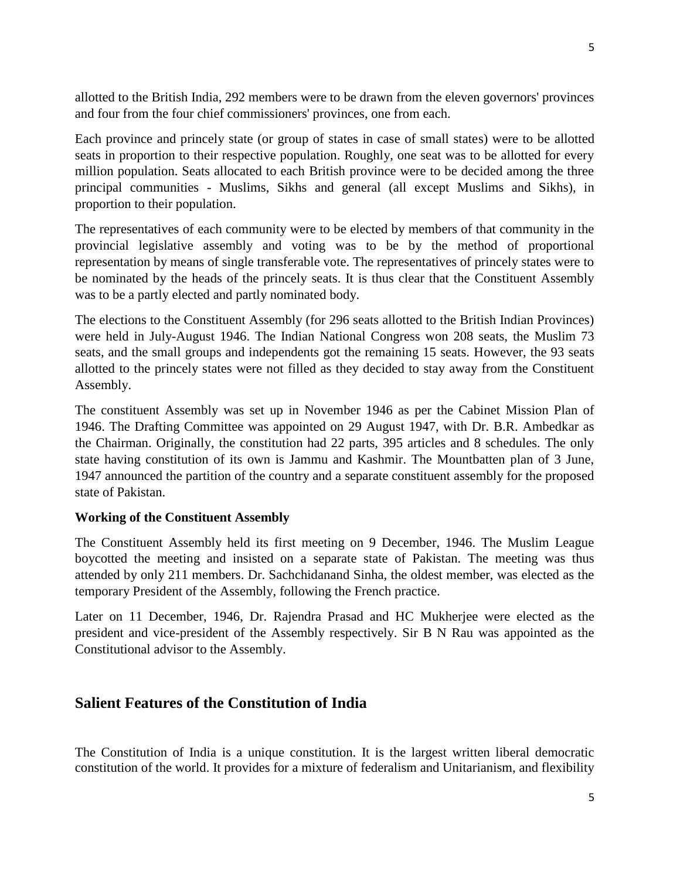allotted to the British India, 292 members were to be drawn from the eleven governors' provinces and four from the four chief commissioners' provinces, one from each.

Each province and princely state (or group of states in case of small states) were to be allotted seats in proportion to their respective population. Roughly, one seat was to be allotted for every million population. Seats allocated to each British province were to be decided among the three principal communities - Muslims, Sikhs and general (all except Muslims and Sikhs), in proportion to their population.

The representatives of each community were to be elected by members of that community in the provincial legislative assembly and voting was to be by the method of proportional representation by means of single transferable vote. The representatives of princely states were to be nominated by the heads of the princely seats. It is thus clear that the Constituent Assembly was to be a partly elected and partly nominated body.

The elections to the Constituent Assembly (for 296 seats allotted to the British Indian Provinces) were held in July-August 1946. The Indian National Congress won 208 seats, the Muslim 73 seats, and the small groups and independents got the remaining 15 seats. However, the 93 seats allotted to the princely states were not filled as they decided to stay away from the Constituent Assembly.

The constituent Assembly was set up in November 1946 as per the Cabinet Mission Plan of 1946. The Drafting Committee was appointed on 29 August 1947, with Dr. B.R. Ambedkar as the Chairman. Originally, the constitution had 22 parts, 395 articles and 8 schedules. The only state having constitution of its own is Jammu and Kashmir. The Mountbatten plan of 3 June, 1947 announced the partition of the country and a separate constituent assembly for the proposed state of Pakistan.

#### **Working of the Constituent Assembly**

The Constituent Assembly held its first meeting on 9 December, 1946. The Muslim League boycotted the meeting and insisted on a separate state of Pakistan. The meeting was thus attended by only 211 members. Dr. Sachchidanand Sinha, the oldest member, was elected as the temporary President of the Assembly, following the French practice.

Later on 11 December, 1946, Dr. Rajendra Prasad and HC Mukherjee were elected as the president and vice-president of the Assembly respectively. Sir B N Rau was appointed as the Constitutional advisor to the Assembly.

## **Salient Features of the Constitution of India**

The Constitution of India is a unique constitution. It is the largest written liberal democratic constitution of the world. It provides for a mixture of federalism and Unitarianism, and flexibility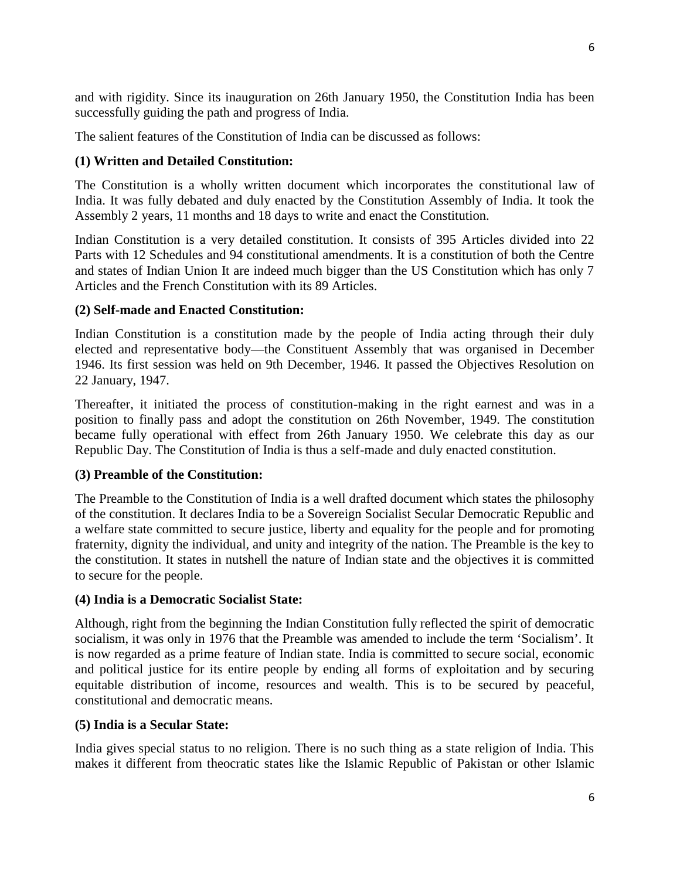and with rigidity. Since its inauguration on 26th January 1950, the Constitution India has been successfully guiding the path and progress of India.

The salient features of the Constitution of India can be discussed as follows:

## **(1) Written and Detailed Constitution:**

The Constitution is a wholly written document which incorporates the constitutional law of India. It was fully debated and duly enacted by the Constitution Assembly of India. It took the Assembly 2 years, 11 months and 18 days to write and enact the Constitution.

Indian Constitution is a very detailed constitution. It consists of 395 Articles divided into 22 Parts with 12 Schedules and 94 constitutional amendments. It is a constitution of both the Centre and states of Indian Union It are indeed much bigger than the US Constitution which has only 7 Articles and the French Constitution with its 89 Articles.

## **(2) Self-made and Enacted Constitution:**

Indian Constitution is a constitution made by the people of India acting through their duly elected and representative body—the Constituent Assembly that was organised in December 1946. Its first session was held on 9th December, 1946. It passed the Objectives Resolution on 22 January, 1947.

Thereafter, it initiated the process of constitution-making in the right earnest and was in a position to finally pass and adopt the constitution on 26th November, 1949. The constitution became fully operational with effect from 26th January 1950. We celebrate this day as our Republic Day. The Constitution of India is thus a self-made and duly enacted constitution.

## **(3) Preamble of the Constitution:**

The Preamble to the Constitution of India is a well drafted document which states the philosophy of the constitution. It declares India to be a Sovereign Socialist Secular Democratic Republic and a welfare state committed to secure justice, liberty and equality for the people and for promoting fraternity, dignity the individual, and unity and integrity of the nation. The Preamble is the key to the constitution. It states in nutshell the nature of Indian state and the objectives it is committed to secure for the people.

## **(4) India is a Democratic Socialist State:**

Although, right from the beginning the Indian Constitution fully reflected the spirit of democratic socialism, it was only in 1976 that the Preamble was amended to include the term 'Socialism'. It is now regarded as a prime feature of Indian state. India is committed to secure social, economic and political justice for its entire people by ending all forms of exploitation and by securing equitable distribution of income, resources and wealth. This is to be secured by peaceful, constitutional and democratic means.

## **(5) India is a Secular State:**

India gives special status to no religion. There is no such thing as a state religion of India. This makes it different from theocratic states like the Islamic Republic of Pakistan or other Islamic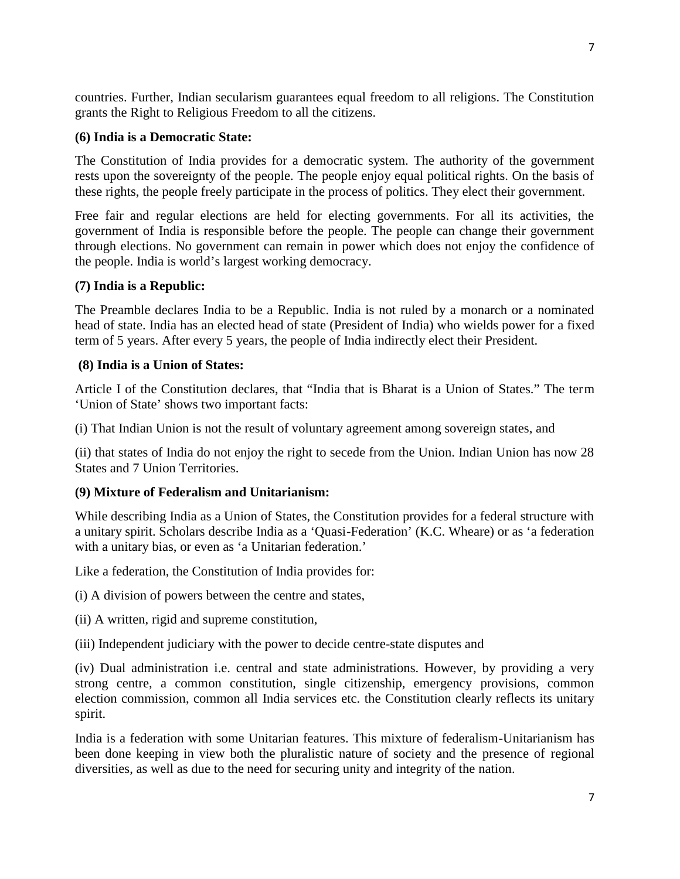countries. Further, Indian secularism guarantees equal freedom to all religions. The Constitution grants the Right to Religious Freedom to all the citizens.

### **(6) India is a Democratic State:**

The Constitution of India provides for a democratic system. The authority of the government rests upon the sovereignty of the people. The people enjoy equal political rights. On the basis of these rights, the people freely participate in the process of politics. They elect their government.

Free fair and regular elections are held for electing governments. For all its activities, the government of India is responsible before the people. The people can change their government through elections. No government can remain in power which does not enjoy the confidence of the people. India is world's largest working democracy.

### **(7) India is a Republic:**

The Preamble declares India to be a Republic. India is not ruled by a monarch or a nominated head of state. India has an elected head of state (President of India) who wields power for a fixed term of 5 years. After every 5 years, the people of India indirectly elect their President.

#### **(8) India is a Union of States:**

Article I of the Constitution declares, that "India that is Bharat is a Union of States." The term 'Union of State' shows two important facts:

(i) That Indian Union is not the result of voluntary agreement among sovereign states, and

(ii) that states of India do not enjoy the right to secede from the Union. Indian Union has now 28 States and 7 Union Territories.

#### **(9) Mixture of Federalism and Unitarianism:**

While describing India as a Union of States, the Constitution provides for a federal structure with a unitary spirit. Scholars describe India as a 'Quasi-Federation' (K.C. Wheare) or as 'a federation with a unitary bias, or even as 'a Unitarian federation.'

Like a federation, the Constitution of India provides for:

(i) A division of powers between the centre and states,

(ii) A written, rigid and supreme constitution,

(iii) Independent judiciary with the power to decide centre-state disputes and

(iv) Dual administration i.e. central and state administrations. However, by providing a very strong centre, a common constitution, single citizenship, emergency provisions, common election commission, common all India services etc. the Constitution clearly reflects its unitary spirit.

India is a federation with some Unitarian features. This mixture of federalism-Unitarianism has been done keeping in view both the pluralistic nature of society and the presence of regional diversities, as well as due to the need for securing unity and integrity of the nation.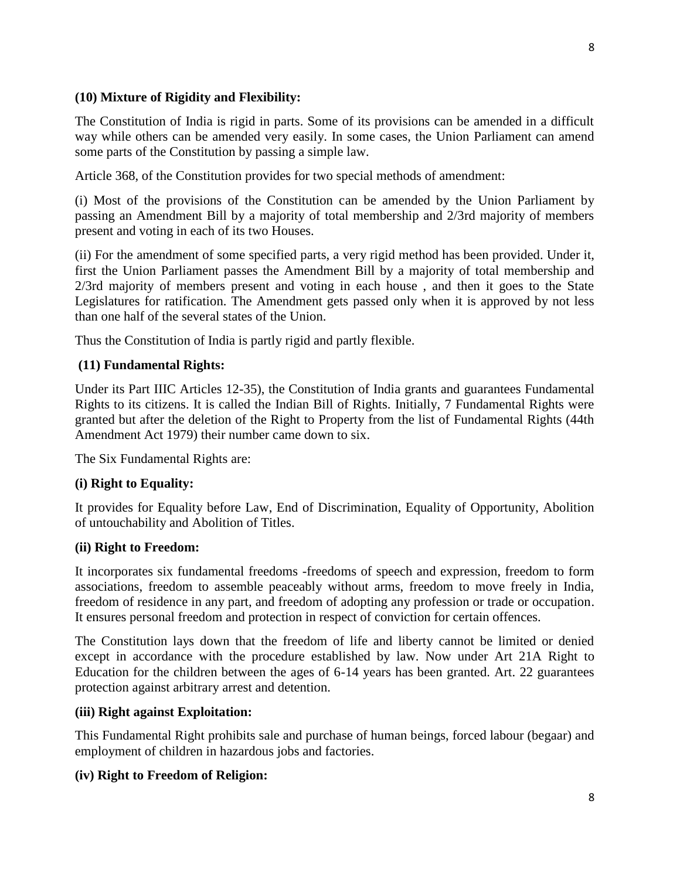### **(10) Mixture of Rigidity and Flexibility:**

The Constitution of India is rigid in parts. Some of its provisions can be amended in a difficult way while others can be amended very easily. In some cases, the Union Parliament can amend some parts of the Constitution by passing a simple law.

Article 368, of the Constitution provides for two special methods of amendment:

(i) Most of the provisions of the Constitution can be amended by the Union Parliament by passing an Amendment Bill by a majority of total membership and 2/3rd majority of members present and voting in each of its two Houses.

(ii) For the amendment of some specified parts, a very rigid method has been provided. Under it, first the Union Parliament passes the Amendment Bill by a majority of total membership and 2/3rd majority of members present and voting in each house , and then it goes to the State Legislatures for ratification. The Amendment gets passed only when it is approved by not less than one half of the several states of the Union.

Thus the Constitution of India is partly rigid and partly flexible.

### **(11) Fundamental Rights:**

Under its Part IIIC Articles 12-35), the Constitution of India grants and guarantees Fundamental Rights to its citizens. It is called the Indian Bill of Rights. Initially, 7 Fundamental Rights were granted but after the deletion of the Right to Property from the list of Fundamental Rights (44th Amendment Act 1979) their number came down to six.

The Six Fundamental Rights are:

#### **(i) Right to Equality:**

It provides for Equality before Law, End of Discrimination, Equality of Opportunity, Abolition of untouchability and Abolition of Titles.

#### **(ii) Right to Freedom:**

It incorporates six fundamental freedoms -freedoms of speech and expression, freedom to form associations, freedom to assemble peaceably without arms, freedom to move freely in India, freedom of residence in any part, and freedom of adopting any profession or trade or occupation. It ensures personal freedom and protection in respect of conviction for certain offences.

The Constitution lays down that the freedom of life and liberty cannot be limited or denied except in accordance with the procedure established by law. Now under Art 21A Right to Education for the children between the ages of 6-14 years has been granted. Art. 22 guarantees protection against arbitrary arrest and detention.

#### **(iii) Right against Exploitation:**

This Fundamental Right prohibits sale and purchase of human beings, forced labour (begaar) and employment of children in hazardous jobs and factories.

#### **(iv) Right to Freedom of Religion:**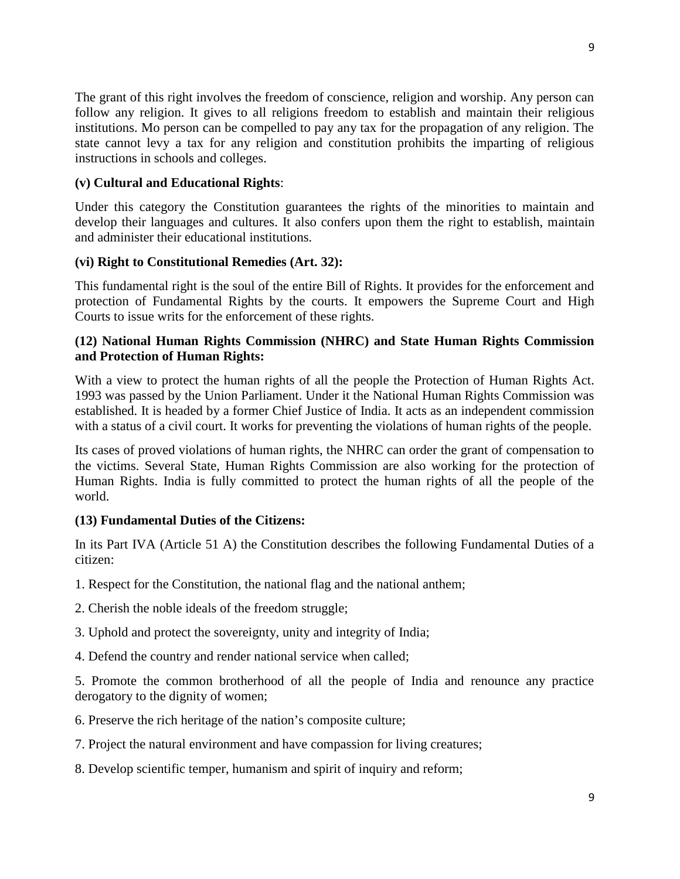The grant of this right involves the freedom of conscience, religion and worship. Any person can follow any religion. It gives to all religions freedom to establish and maintain their religious institutions. Mo person can be compelled to pay any tax for the propagation of any religion. The state cannot levy a tax for any religion and constitution prohibits the imparting of religious instructions in schools and colleges.

## **(v) Cultural and Educational Rights**:

Under this category the Constitution guarantees the rights of the minorities to maintain and develop their languages and cultures. It also confers upon them the right to establish, maintain and administer their educational institutions.

## **(vi) Right to Constitutional Remedies (Art. 32):**

This fundamental right is the soul of the entire Bill of Rights. It provides for the enforcement and protection of Fundamental Rights by the courts. It empowers the Supreme Court and High Courts to issue writs for the enforcement of these rights.

## **(12) National Human Rights Commission (NHRC) and State Human Rights Commission and Protection of Human Rights:**

With a view to protect the human rights of all the people the Protection of Human Rights Act. 1993 was passed by the Union Parliament. Under it the National Human Rights Commission was established. It is headed by a former Chief Justice of India. It acts as an independent commission with a status of a civil court. It works for preventing the violations of human rights of the people.

Its cases of proved violations of human rights, the NHRC can order the grant of compensation to the victims. Several State, Human Rights Commission are also working for the protection of Human Rights. India is fully committed to protect the human rights of all the people of the world.

## **(13) Fundamental Duties of the Citizens:**

In its Part IVA (Article 51 A) the Constitution describes the following Fundamental Duties of a citizen:

- 1. Respect for the Constitution, the national flag and the national anthem;
- 2. Cherish the noble ideals of the freedom struggle;
- 3. Uphold and protect the sovereignty, unity and integrity of India;
- 4. Defend the country and render national service when called;

5. Promote the common brotherhood of all the people of India and renounce any practice derogatory to the dignity of women;

- 6. Preserve the rich heritage of the nation's composite culture;
- 7. Project the natural environment and have compassion for living creatures;
- 8. Develop scientific temper, humanism and spirit of inquiry and reform;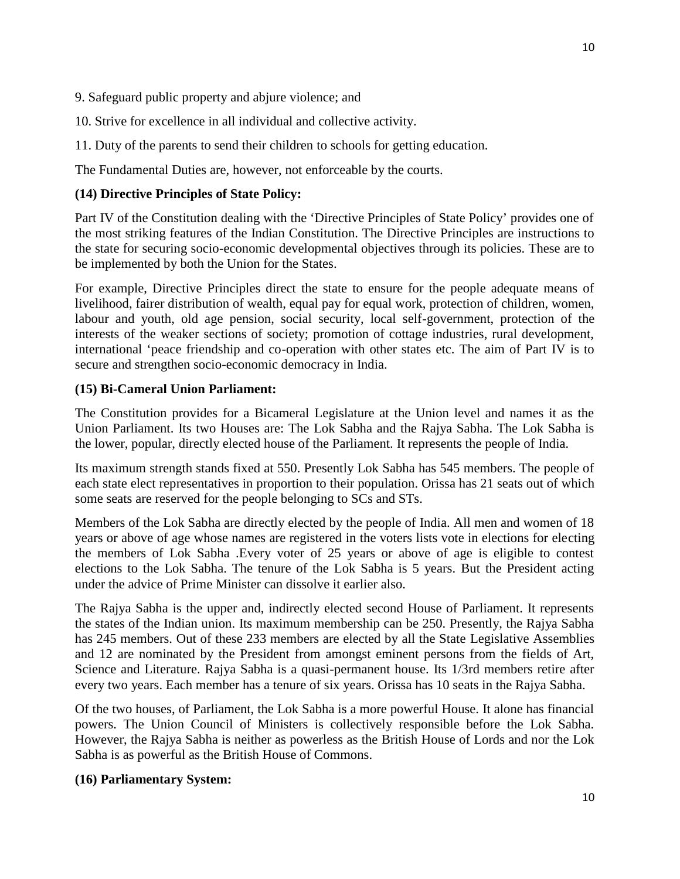9. Safeguard public property and abjure violence; and

10. Strive for excellence in all individual and collective activity.

11. Duty of the parents to send their children to schools for getting education.

The Fundamental Duties are, however, not enforceable by the courts.

#### **(14) Directive Principles of State Policy:**

Part IV of the Constitution dealing with the 'Directive Principles of State Policy' provides one of the most striking features of the Indian Constitution. The Directive Principles are instructions to the state for securing socio-economic developmental objectives through its policies. These are to be implemented by both the Union for the States.

For example, Directive Principles direct the state to ensure for the people adequate means of livelihood, fairer distribution of wealth, equal pay for equal work, protection of children, women, labour and youth, old age pension, social security, local self-government, protection of the interests of the weaker sections of society; promotion of cottage industries, rural development, international 'peace friendship and co-operation with other states etc. The aim of Part IV is to secure and strengthen socio-economic democracy in India.

#### **(15) Bi-Cameral Union Parliament:**

The Constitution provides for a Bicameral Legislature at the Union level and names it as the Union Parliament. Its two Houses are: The Lok Sabha and the Rajya Sabha. The Lok Sabha is the lower, popular, directly elected house of the Parliament. It represents the people of India.

Its maximum strength stands fixed at 550. Presently Lok Sabha has 545 members. The people of each state elect representatives in proportion to their population. Orissa has 21 seats out of which some seats are reserved for the people belonging to SCs and STs.

Members of the Lok Sabha are directly elected by the people of India. All men and women of 18 years or above of age whose names are registered in the voters lists vote in elections for electing the members of Lok Sabha .Every voter of 25 years or above of age is eligible to contest elections to the Lok Sabha. The tenure of the Lok Sabha is 5 years. But the President acting under the advice of Prime Minister can dissolve it earlier also.

The Rajya Sabha is the upper and, indirectly elected second House of Parliament. It represents the states of the Indian union. Its maximum membership can be 250. Presently, the Rajya Sabha has 245 members. Out of these 233 members are elected by all the State Legislative Assemblies and 12 are nominated by the President from amongst eminent persons from the fields of Art, Science and Literature. Rajya Sabha is a quasi-permanent house. Its 1/3rd members retire after every two years. Each member has a tenure of six years. Orissa has 10 seats in the Rajya Sabha.

Of the two houses, of Parliament, the Lok Sabha is a more powerful House. It alone has financial powers. The Union Council of Ministers is collectively responsible before the Lok Sabha. However, the Rajya Sabha is neither as powerless as the British House of Lords and nor the Lok Sabha is as powerful as the British House of Commons.

#### **(16) Parliamentary System:**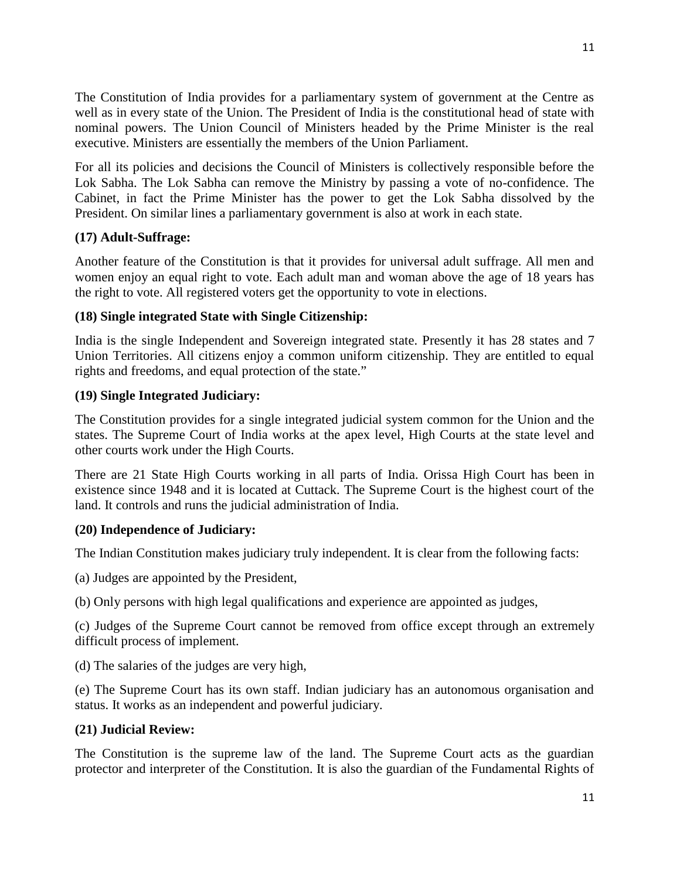The Constitution of India provides for a parliamentary system of government at the Centre as well as in every state of the Union. The President of India is the constitutional head of state with nominal powers. The Union Council of Ministers headed by the Prime Minister is the real executive. Ministers are essentially the members of the Union Parliament.

For all its policies and decisions the Council of Ministers is collectively responsible before the Lok Sabha. The Lok Sabha can remove the Ministry by passing a vote of no-confidence. The Cabinet, in fact the Prime Minister has the power to get the Lok Sabha dissolved by the President. On similar lines a parliamentary government is also at work in each state.

### **(17) Adult-Suffrage:**

Another feature of the Constitution is that it provides for universal adult suffrage. All men and women enjoy an equal right to vote. Each adult man and woman above the age of 18 years has the right to vote. All registered voters get the opportunity to vote in elections.

#### **(18) Single integrated State with Single Citizenship:**

India is the single Independent and Sovereign integrated state. Presently it has 28 states and 7 Union Territories. All citizens enjoy a common uniform citizenship. They are entitled to equal rights and freedoms, and equal protection of the state."

#### **(19) Single Integrated Judiciary:**

The Constitution provides for a single integrated judicial system common for the Union and the states. The Supreme Court of India works at the apex level, High Courts at the state level and other courts work under the High Courts.

There are 21 State High Courts working in all parts of India. Orissa High Court has been in existence since 1948 and it is located at Cuttack. The Supreme Court is the highest court of the land. It controls and runs the judicial administration of India.

#### **(20) Independence of Judiciary:**

The Indian Constitution makes judiciary truly independent. It is clear from the following facts:

(a) Judges are appointed by the President,

(b) Only persons with high legal qualifications and experience are appointed as judges,

(c) Judges of the Supreme Court cannot be removed from office except through an extremely difficult process of implement.

(d) The salaries of the judges are very high,

(e) The Supreme Court has its own staff. Indian judiciary has an autonomous organisation and status. It works as an independent and powerful judiciary.

#### **(21) Judicial Review:**

The Constitution is the supreme law of the land. The Supreme Court acts as the guardian protector and interpreter of the Constitution. It is also the guardian of the Fundamental Rights of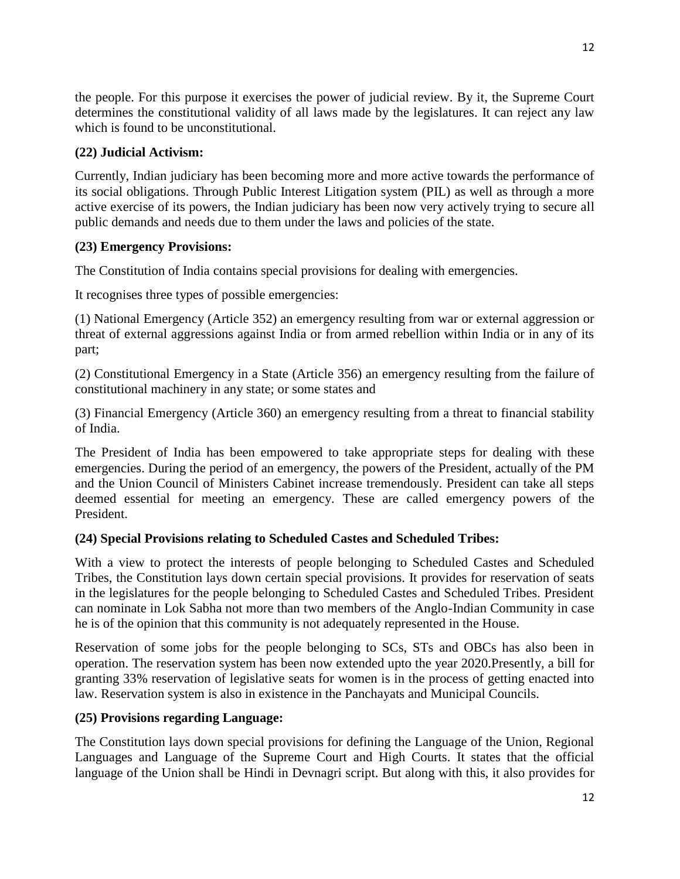the people. For this purpose it exercises the power of judicial review. By it, the Supreme Court determines the constitutional validity of all laws made by the legislatures. It can reject any law which is found to be unconstitutional.

### **(22) Judicial Activism:**

Currently, Indian judiciary has been becoming more and more active towards the performance of its social obligations. Through Public Interest Litigation system (PIL) as well as through a more active exercise of its powers, the Indian judiciary has been now very actively trying to secure all public demands and needs due to them under the laws and policies of the state.

### **(23) Emergency Provisions:**

The Constitution of India contains special provisions for dealing with emergencies.

It recognises three types of possible emergencies:

(1) National Emergency (Article 352) an emergency resulting from war or external aggression or threat of external aggressions against India or from armed rebellion within India or in any of its part;

(2) Constitutional Emergency in a State (Article 356) an emergency resulting from the failure of constitutional machinery in any state; or some states and

(3) Financial Emergency (Article 360) an emergency resulting from a threat to financial stability of India.

The President of India has been empowered to take appropriate steps for dealing with these emergencies. During the period of an emergency, the powers of the President, actually of the PM and the Union Council of Ministers Cabinet increase tremendously. President can take all steps deemed essential for meeting an emergency. These are called emergency powers of the President.

## **(24) Special Provisions relating to Scheduled Castes and Scheduled Tribes:**

With a view to protect the interests of people belonging to Scheduled Castes and Scheduled Tribes, the Constitution lays down certain special provisions. It provides for reservation of seats in the legislatures for the people belonging to Scheduled Castes and Scheduled Tribes. President can nominate in Lok Sabha not more than two members of the Anglo-Indian Community in case he is of the opinion that this community is not adequately represented in the House.

Reservation of some jobs for the people belonging to SCs, STs and OBCs has also been in operation. The reservation system has been now extended upto the year 2020.Presently, a bill for granting 33% reservation of legislative seats for women is in the process of getting enacted into law. Reservation system is also in existence in the Panchayats and Municipal Councils.

## **(25) Provisions regarding Language:**

The Constitution lays down special provisions for defining the Language of the Union, Regional Languages and Language of the Supreme Court and High Courts. It states that the official language of the Union shall be Hindi in Devnagri script. But along with this, it also provides for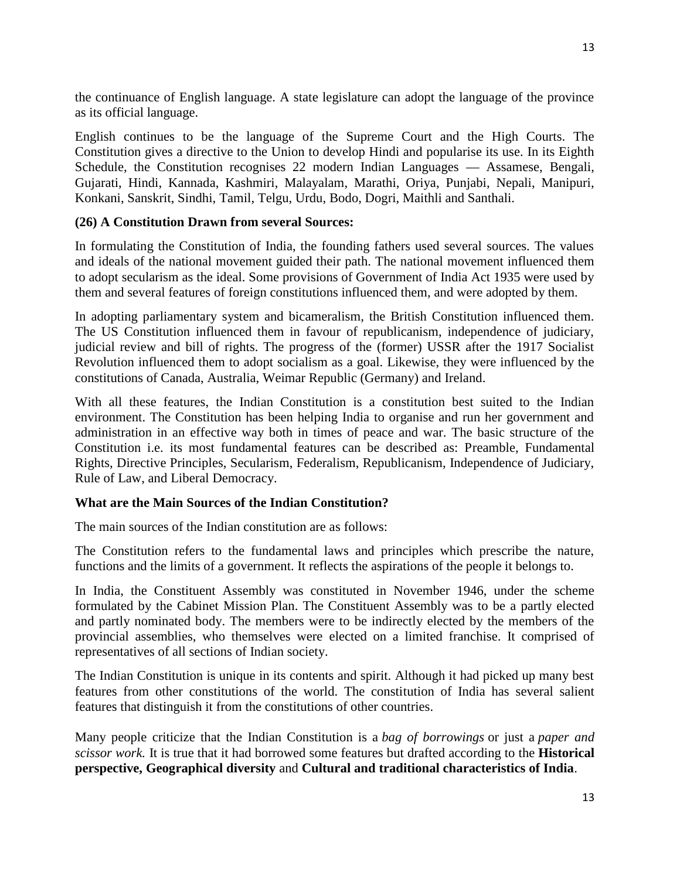the continuance of English language. A state legislature can adopt the language of the province as its official language.

English continues to be the language of the Supreme Court and the High Courts. The Constitution gives a directive to the Union to develop Hindi and popularise its use. In its Eighth Schedule, the Constitution recognises 22 modern Indian Languages — Assamese, Bengali, Gujarati, Hindi, Kannada, Kashmiri, Malayalam, Marathi, Oriya, Punjabi, Nepali, Manipuri, Konkani, Sanskrit, Sindhi, Tamil, Telgu, Urdu, Bodo, Dogri, Maithli and Santhali.

#### **(26) A Constitution Drawn from several Sources:**

In formulating the Constitution of India, the founding fathers used several sources. The values and ideals of the national movement guided their path. The national movement influenced them to adopt secularism as the ideal. Some provisions of Government of India Act 1935 were used by them and several features of foreign constitutions influenced them, and were adopted by them.

In adopting parliamentary system and bicameralism, the British Constitution influenced them. The US Constitution influenced them in favour of republicanism, independence of judiciary, judicial review and bill of rights. The progress of the (former) USSR after the 1917 Socialist Revolution influenced them to adopt socialism as a goal. Likewise, they were influenced by the constitutions of Canada, Australia, Weimar Republic (Germany) and Ireland.

With all these features, the Indian Constitution is a constitution best suited to the Indian environment. The Constitution has been helping India to organise and run her government and administration in an effective way both in times of peace and war. The basic structure of the Constitution i.e. its most fundamental features can be described as: Preamble, Fundamental Rights, Directive Principles, Secularism, Federalism, Republicanism, Independence of Judiciary, Rule of Law, and Liberal Democracy.

#### **What are the Main Sources of the Indian Constitution?**

The main sources of the Indian constitution are as follows:

The Constitution refers to the fundamental laws and principles which prescribe the nature, functions and the limits of a government. It reflects the aspirations of the people it belongs to.

In India, the Constituent Assembly was constituted in November 1946, under the scheme formulated by the Cabinet Mission Plan. The Constituent Assembly was to be a partly elected and partly nominated body. The members were to be indirectly elected by the members of the provincial assemblies, who themselves were elected on a limited franchise. It comprised of representatives of all sections of Indian society.

The Indian Constitution is unique in its contents and spirit. Although it had picked up many best features from other constitutions of the world. The constitution of India has several salient features that distinguish it from the constitutions of other countries.

Many people criticize that the Indian Constitution is a *bag of borrowings* or just a *paper and scissor work.* It is true that it had borrowed some features but drafted according to the **Historical perspective, Geographical diversity** and **Cultural and traditional characteristics of India**.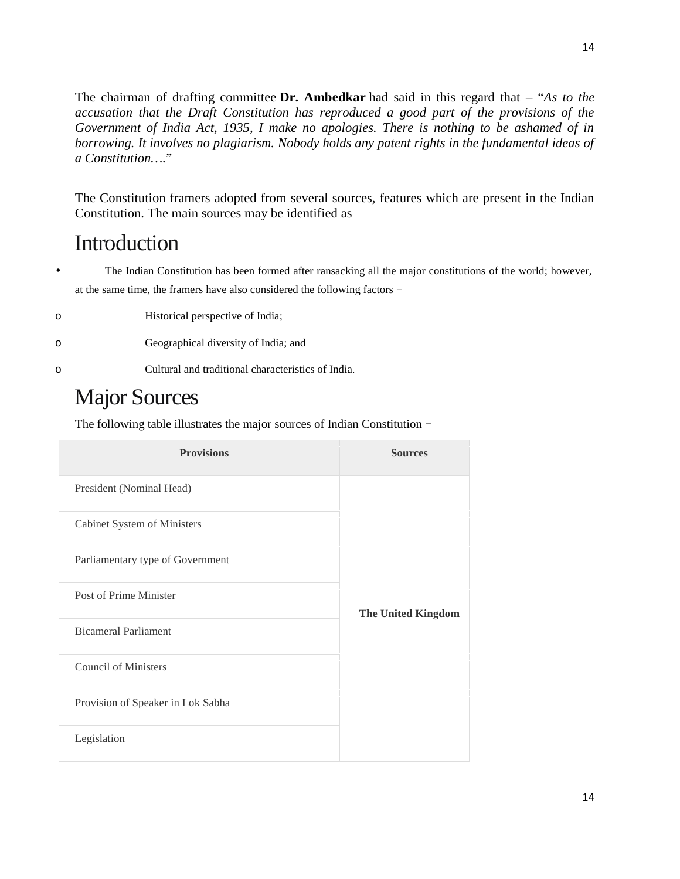The chairman of drafting committee **Dr. Ambedkar** had said in this regard that – "*As to the accusation that the Draft Constitution has reproduced a good part of the provisions of the Government of India Act, 1935, I make no apologies. There is nothing to be ashamed of in borrowing. It involves no plagiarism. Nobody holds any patent rights in the fundamental ideas of a Constitution….*"

The Constitution framers adopted from several sources, features which are present in the Indian Constitution. The main sources may be identified as

## **Introduction**

 The Indian Constitution has been formed after ransacking all the major constitutions of the world; however, at the same time, the framers have also considered the following factors −

| O | Historical perspective of India;                   |
|---|----------------------------------------------------|
| O | Geographical diversity of India; and               |
| O | Cultural and traditional characteristics of India. |

## Major Sources

The following table illustrates the major sources of Indian Constitution −

| <b>Provisions</b>                 | <b>Sources</b>            |
|-----------------------------------|---------------------------|
| President (Nominal Head)          |                           |
| Cabinet System of Ministers       |                           |
| Parliamentary type of Government  |                           |
| Post of Prime Minister            | <b>The United Kingdom</b> |
| <b>Bicameral Parliament</b>       |                           |
| <b>Council of Ministers</b>       |                           |
| Provision of Speaker in Lok Sabha |                           |
| Legislation                       |                           |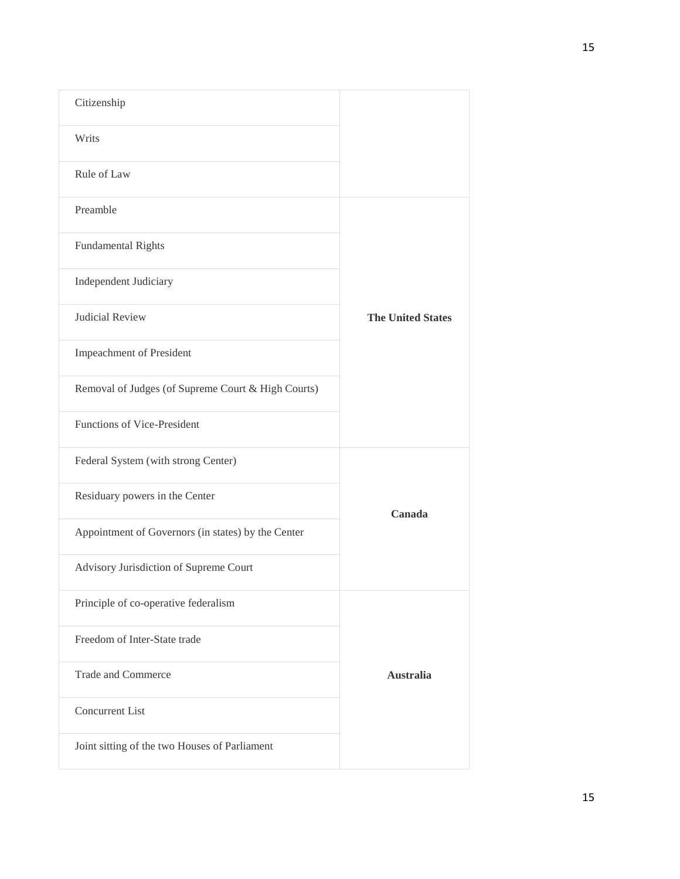| Citizenship                                        |                          |  |
|----------------------------------------------------|--------------------------|--|
| Writs                                              |                          |  |
| Rule of Law                                        |                          |  |
| Preamble                                           |                          |  |
| Fundamental Rights                                 |                          |  |
| <b>Independent Judiciary</b>                       |                          |  |
| <b>Judicial Review</b>                             | <b>The United States</b> |  |
| Impeachment of President                           |                          |  |
| Removal of Judges (of Supreme Court & High Courts) |                          |  |
| <b>Functions of Vice-President</b>                 |                          |  |
| Federal System (with strong Center)                |                          |  |
| Residuary powers in the Center                     | Canada                   |  |
| Appointment of Governors (in states) by the Center |                          |  |
| Advisory Jurisdiction of Supreme Court             |                          |  |
| Principle of co-operative federalism               |                          |  |
| Freedom of Inter-State trade                       | <b>Australia</b>         |  |
| Trade and Commerce                                 |                          |  |
| Concurrent List                                    |                          |  |
| Joint sitting of the two Houses of Parliament      |                          |  |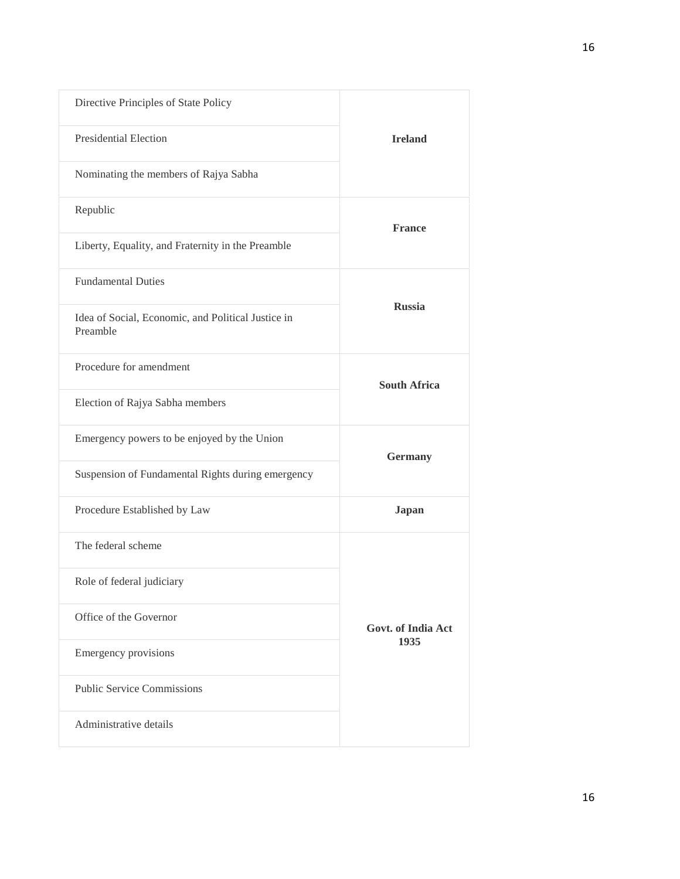| Directive Principles of State Policy                           | <b>Ireland</b>             |  |
|----------------------------------------------------------------|----------------------------|--|
| <b>Presidential Election</b>                                   |                            |  |
| Nominating the members of Rajya Sabha                          |                            |  |
| Republic                                                       |                            |  |
| Liberty, Equality, and Fraternity in the Preamble              | <b>France</b>              |  |
| <b>Fundamental Duties</b>                                      |                            |  |
| Idea of Social, Economic, and Political Justice in<br>Preamble | <b>Russia</b>              |  |
| Procedure for amendment                                        | <b>South Africa</b>        |  |
| Election of Rajya Sabha members                                |                            |  |
| Emergency powers to be enjoyed by the Union                    |                            |  |
| Suspension of Fundamental Rights during emergency              | <b>Germany</b>             |  |
| Procedure Established by Law                                   | Japan                      |  |
| The federal scheme                                             |                            |  |
| Role of federal judiciary                                      | Govt. of India Act<br>1935 |  |
| Office of the Governor                                         |                            |  |
| <b>Emergency provisions</b>                                    |                            |  |
| <b>Public Service Commissions</b>                              |                            |  |
| Administrative details                                         |                            |  |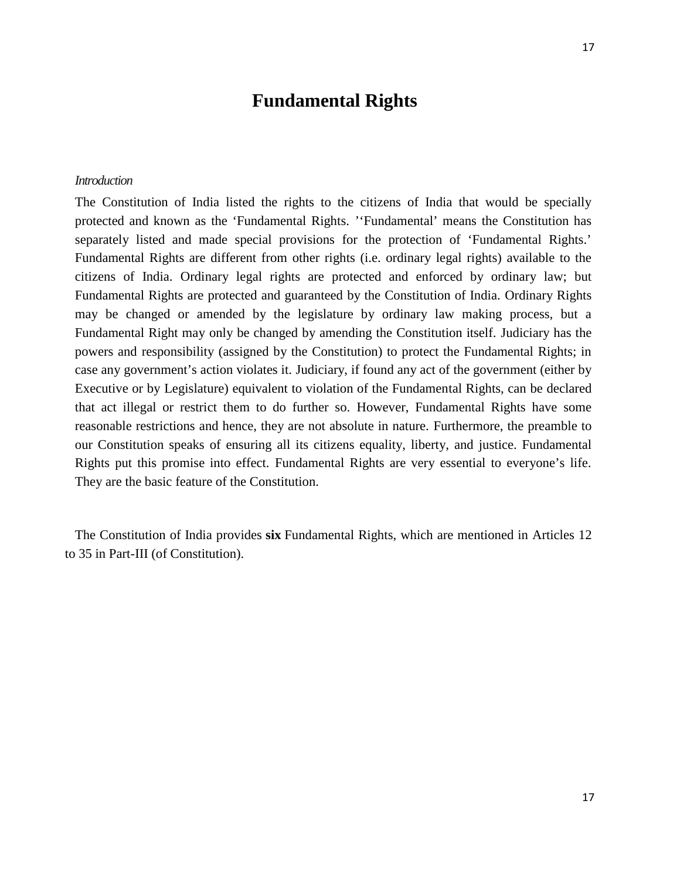## **Fundamental Rights**

#### *Introduction*

The Constitution of India listed the rights to the citizens of India that would be specially protected and known as the 'Fundamental Rights. ''Fundamental' means the Constitution has separately listed and made special provisions for the protection of 'Fundamental Rights.' Fundamental Rights are different from other rights (i.e. ordinary legal rights) available to the citizens of India. Ordinary legal rights are protected and enforced by ordinary law; but Fundamental Rights are protected and guaranteed by the Constitution of India. Ordinary Rights may be changed or amended by the legislature by ordinary law making process, but a Fundamental Right may only be changed by amending the Constitution itself. Judiciary has the powers and responsibility (assigned by the Constitution) to protect the Fundamental Rights; in case any government's action violates it. Judiciary, if found any act of the government (either by Executive or by Legislature) equivalent to violation of the Fundamental Rights, can be declared that act illegal or restrict them to do further so. However, Fundamental Rights have some reasonable restrictions and hence, they are not absolute in nature. Furthermore, the preamble to our Constitution speaks of ensuring all its citizens equality, liberty, and justice. Fundamental Rights put this promise into effect. Fundamental Rights are very essential to everyone's life. They are the basic feature of the Constitution.

The Constitution of India provides **six** Fundamental Rights, which are mentioned in Articles 12 to 35 in Part-III (of Constitution).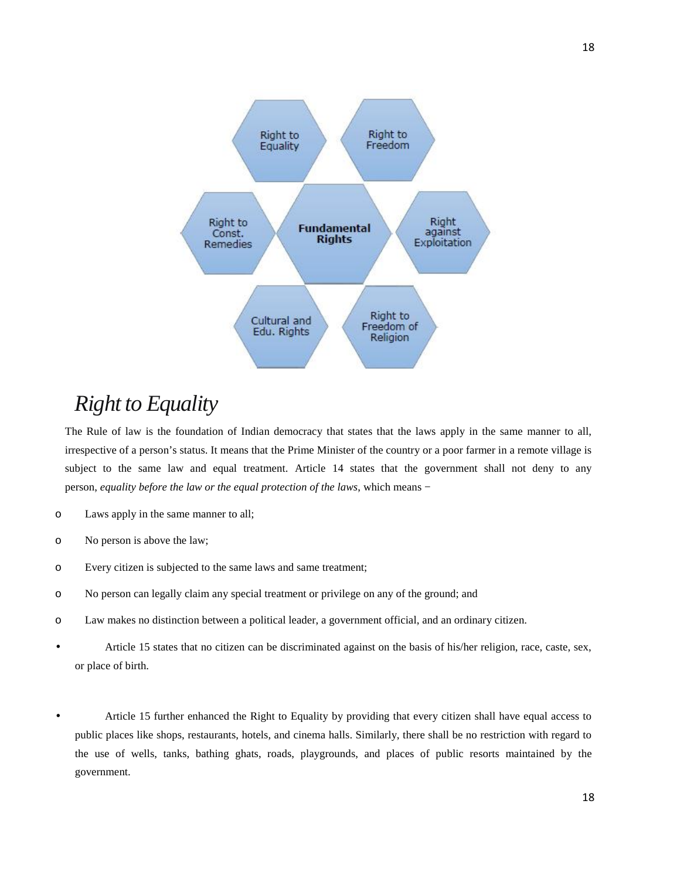

# *Right to Equality*

The Rule of law is the foundation of Indian democracy that states that the laws apply in the same manner to all, irrespective of a person's status. It means that the Prime Minister of the country or a poor farmer in a remote village is subject to the same law and equal treatment. Article 14 states that the government shall not deny to any person, *equality before the law or the equal protection of the laws*, which means −

- o Laws apply in the same manner to all;
- o No person is above the law;
- o Every citizen is subjected to the same laws and same treatment;
- o No person can legally claim any special treatment or privilege on any of the ground; and
- o Law makes no distinction between a political leader, a government official, and an ordinary citizen.
- Article 15 states that no citizen can be discriminated against on the basis of his/her religion, race, caste, sex, or place of birth.
- Article 15 further enhanced the Right to Equality by providing that every citizen shall have equal access to public places like shops, restaurants, hotels, and cinema halls. Similarly, there shall be no restriction with regard to the use of wells, tanks, bathing ghats, roads, playgrounds, and places of public resorts maintained by the government.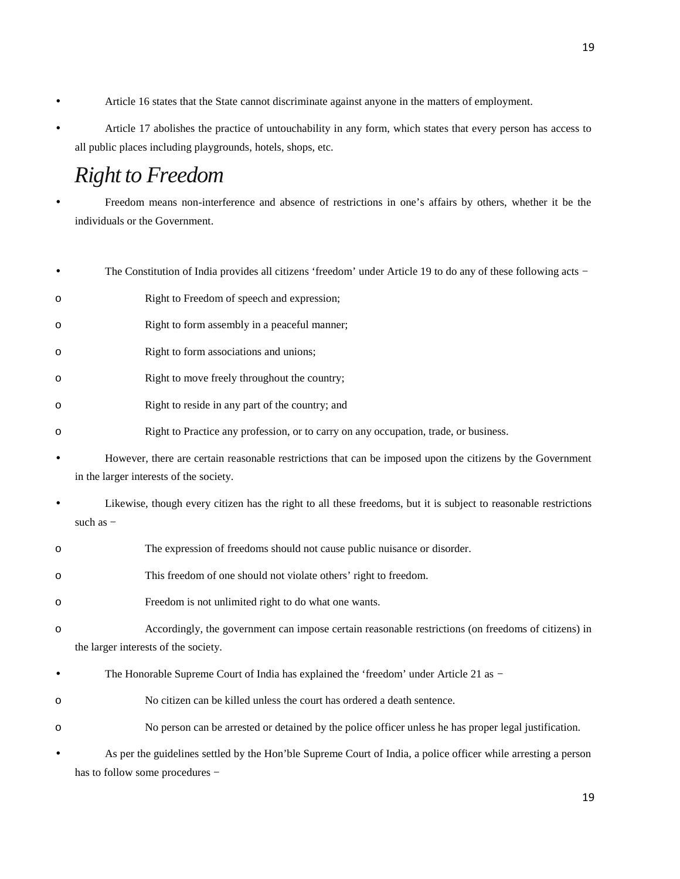- Article 16 states that the State cannot discriminate against anyone in the matters of employment.
- Article 17 abolishes the practice of untouchability in any form, which states that every person has access to all public places including playgrounds, hotels, shops, etc.

# *Right to Freedom*

 Freedom means non-interference and absence of restrictions in one's affairs by others, whether it be the individuals or the Government.

| $\bullet$ | The Constitution of India provides all citizens 'freedom' under Article 19 to do any of these following acts –                                        |
|-----------|-------------------------------------------------------------------------------------------------------------------------------------------------------|
| O         | Right to Freedom of speech and expression;                                                                                                            |
| $\circ$   | Right to form assembly in a peaceful manner;                                                                                                          |
| $\circ$   | Right to form associations and unions;                                                                                                                |
| $\circ$   | Right to move freely throughout the country;                                                                                                          |
| O         | Right to reside in any part of the country; and                                                                                                       |
| $\circ$   | Right to Practice any profession, or to carry on any occupation, trade, or business.                                                                  |
| $\bullet$ | However, there are certain reasonable restrictions that can be imposed upon the citizens by the Government<br>in the larger interests of the society. |
| $\bullet$ | Likewise, though every citizen has the right to all these freedoms, but it is subject to reasonable restrictions<br>such as $-$                       |
| $\circ$   | The expression of freedoms should not cause public nuisance or disorder.                                                                              |
| $\circ$   | This freedom of one should not violate others' right to freedom.                                                                                      |
| $\circ$   | Freedom is not unlimited right to do what one wants.                                                                                                  |
| $\circ$   | Accordingly, the government can impose certain reasonable restrictions (on freedoms of citizens) in<br>the larger interests of the society.           |
| $\bullet$ | The Honorable Supreme Court of India has explained the 'freedom' under Article 21 as -                                                                |
| $\circ$   | No citizen can be killed unless the court has ordered a death sentence.                                                                               |
| O         | No person can be arrested or detained by the police officer unless he has proper legal justification.                                                 |

 As per the guidelines settled by the Hon'ble Supreme Court of India, a police officer while arresting a person has to follow some procedures –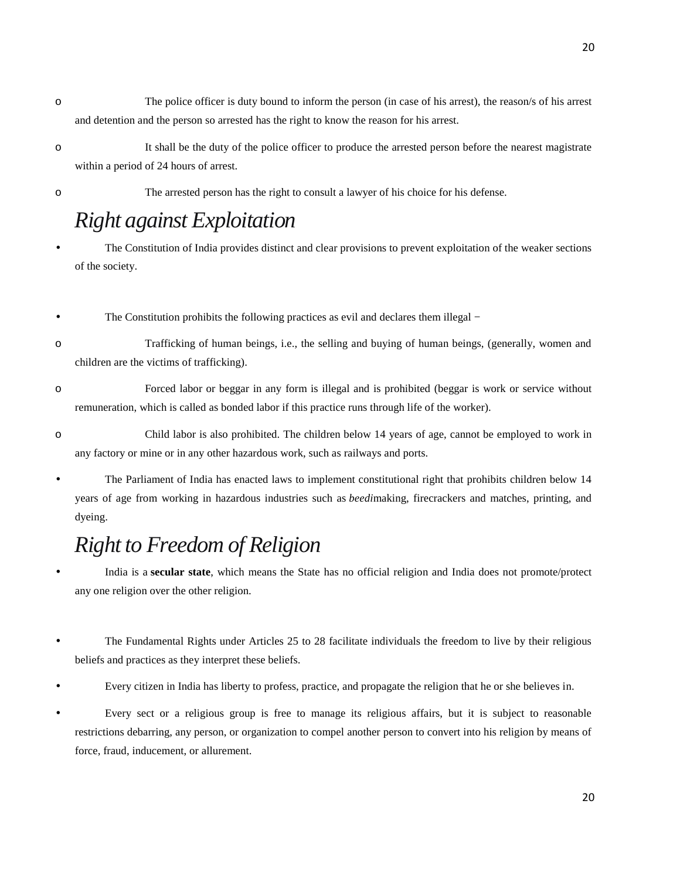- o The police officer is duty bound to inform the person (in case of his arrest), the reason/s of his arrest and detention and the person so arrested has the right to know the reason for his arrest.
- o It shall be the duty of the police officer to produce the arrested person before the nearest magistrate within a period of 24 hours of arrest.
- 

o The arrested person has the right to consult a lawyer of his choice for his defense.

## *Right against Exploitation*

- The Constitution of India provides distinct and clear provisions to prevent exploitation of the weaker sections of the society.
- The Constitution prohibits the following practices as evil and declares them illegal –
- o Trafficking of human beings, i.e., the selling and buying of human beings, (generally, women and children are the victims of trafficking).
- o Forced labor or beggar in any form is illegal and is prohibited (beggar is work or service without remuneration, which is called as bonded labor if this practice runs through life of the worker).
- o Child labor is also prohibited. The children below 14 years of age, cannot be employed to work in any factory or mine or in any other hazardous work, such as railways and ports.
- The Parliament of India has enacted laws to implement constitutional right that prohibits children below 14 years of age from working in hazardous industries such as *beedi*making, firecrackers and matches, printing, and dyeing.

## *Right to Freedom of Religion*

- India is a **secular state**, which means the State has no official religion and India does not promote/protect any one religion over the other religion.
- The Fundamental Rights under Articles 25 to 28 facilitate individuals the freedom to live by their religious beliefs and practices as they interpret these beliefs.
- Every citizen in India has liberty to profess, practice, and propagate the religion that he or she believes in.
- Every sect or a religious group is free to manage its religious affairs, but it is subject to reasonable restrictions debarring, any person, or organization to compel another person to convert into his religion by means of force, fraud, inducement, or allurement.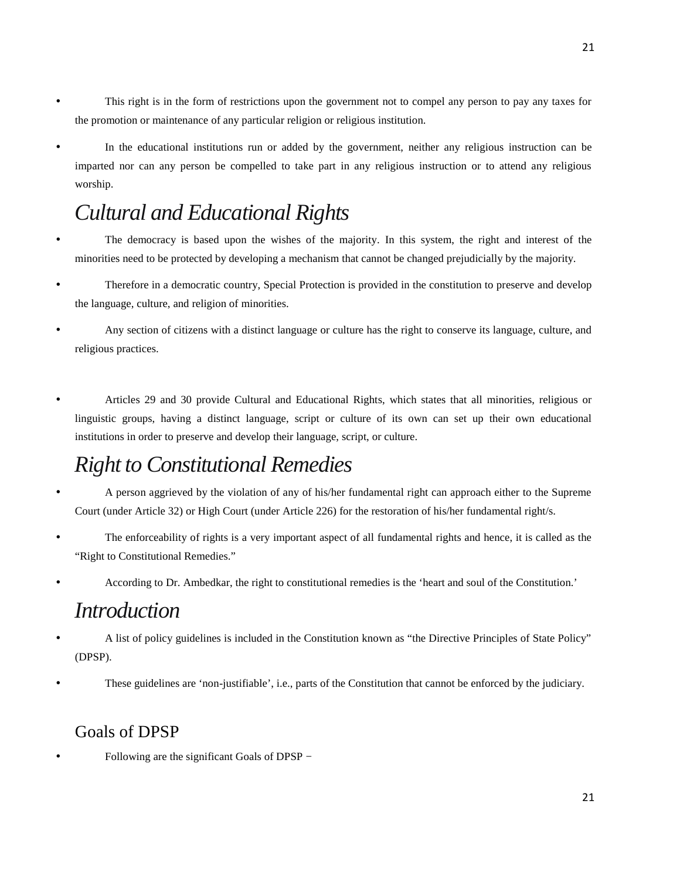- This right is in the form of restrictions upon the government not to compel any person to pay any taxes for the promotion or maintenance of any particular religion or religious institution.
- In the educational institutions run or added by the government, neither any religious instruction can be imparted nor can any person be compelled to take part in any religious instruction or to attend any religious worship.

## *Cultural and Educational Rights*

- The democracy is based upon the wishes of the majority. In this system, the right and interest of the minorities need to be protected by developing a mechanism that cannot be changed prejudicially by the majority.
- Therefore in a democratic country, Special Protection is provided in the constitution to preserve and develop the language, culture, and religion of minorities.
- Any section of citizens with a distinct language or culture has the right to conserve its language, culture, and religious practices.
- Articles 29 and 30 provide Cultural and Educational Rights, which states that all minorities, religious or linguistic groups, having a distinct language, script or culture of its own can set up their own educational institutions in order to preserve and develop their language, script, or culture.

# *Right to Constitutional Remedies*

- A person aggrieved by the violation of any of his/her fundamental right can approach either to the Supreme Court (under Article 32) or High Court (under Article 226) for the restoration of his/her fundamental right/s.
- The enforceability of rights is a very important aspect of all fundamental rights and hence, it is called as the "Right to Constitutional Remedies."
- According to Dr. Ambedkar, the right to constitutional remedies is the 'heart and soul of the Constitution.'

## *Introduction*

- A list of policy guidelines is included in the Constitution known as "the Directive Principles of State Policy" (DPSP).
- These guidelines are 'non-justifiable', i.e., parts of the Constitution that cannot be enforced by the judiciary.

## Goals of DPSP

Following are the significant Goals of DPSP −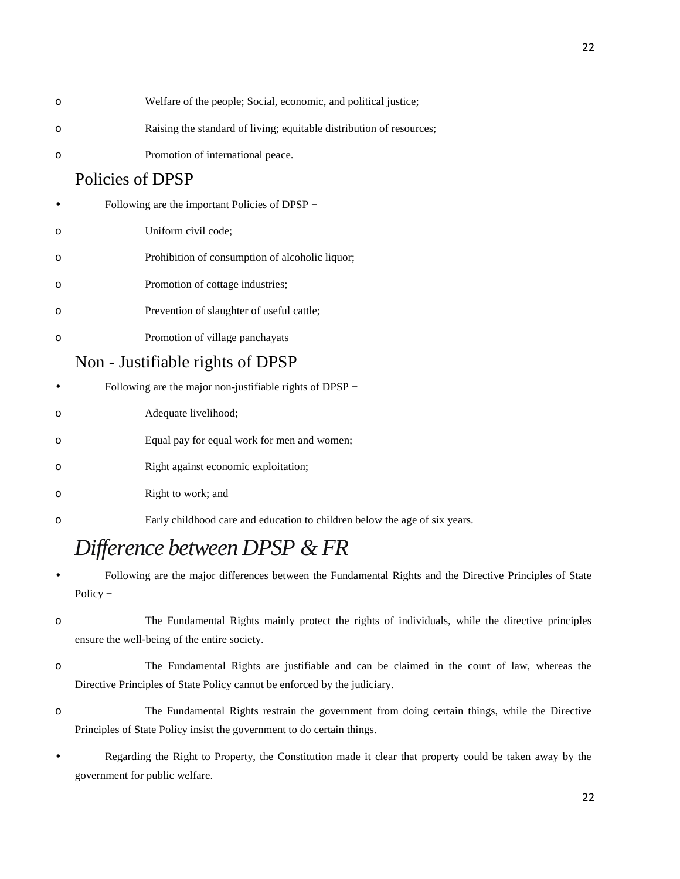| $\circ$  | Welfare of the people; Social, economic, and political justice;      |
|----------|----------------------------------------------------------------------|
| $\Omega$ | Raising the standard of living; equitable distribution of resources; |
| $\circ$  | Promotion of international peace.                                    |
|          | Policies of DPSP                                                     |
|          | Following are the important Policies of DPSP –                       |
| $\circ$  | Uniform civil code;                                                  |
| $\Omega$ | Prohibition of consumption of alcoholic liquor;                      |
| $\circ$  | Promotion of cottage industries;                                     |
| $\circ$  | Prevention of slaughter of useful cattle;                            |

o Promotion of village panchayats

## Non - Justifiable rights of DPSP

- Following are the major non-justifiable rights of DPSP −
- o Adequate livelihood; o Equal pay for equal work for men and women;
- o Right against economic exploitation;
- o Right to work; and
- o Early childhood care and education to children below the age of six years.

# *Difference between DPSP & FR*

- Following are the major differences between the Fundamental Rights and the Directive Principles of State Policy −
- o The Fundamental Rights mainly protect the rights of individuals, while the directive principles ensure the well-being of the entire society.
- o The Fundamental Rights are justifiable and can be claimed in the court of law, whereas the Directive Principles of State Policy cannot be enforced by the judiciary.
- o The Fundamental Rights restrain the government from doing certain things, while the Directive Principles of State Policy insist the government to do certain things.
- Regarding the Right to Property, the Constitution made it clear that property could be taken away by the government for public welfare.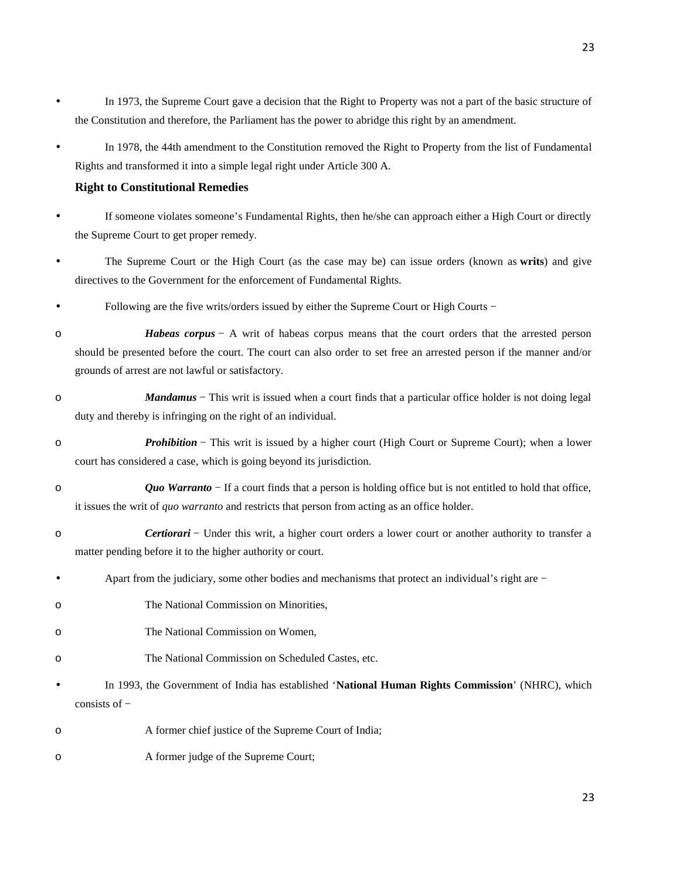- In 1973, the Supreme Court gave a decision that the Right to Property was not a part of the basic structure of the Constitution and therefore, the Parliament has the power to abridge this right by an amendment.
- In 1978, the 44th amendment to the Constitution removed the Right to Property from the list of Fundamental Rights and transformed it into a simple legal right under Article 300 A.

#### **Right to Constitutional Remedies**

- If someone violates someone's Fundamental Rights, then he/she can approach either a High Court or directly the Supreme Court to get proper remedy.
- The Supreme Court or the High Court (as the case may be) can issue orders (known as **writs**) and give directives to the Government for the enforcement of Fundamental Rights.
- Following are the five writs/orders issued by either the Supreme Court or High Courts −
- o *Habeas corpus* − A writ of habeas corpus means that the court orders that the arrested person should be presented before the court. The court can also order to set free an arrested person if the manner and/or grounds of arrest are not lawful or satisfactory.
- o *Mandamus* − This writ is issued when a court finds that a particular office holder is not doing legal duty and thereby is infringing on the right of an individual.
- o *Prohibition* − This writ is issued by a higher court (High Court or Supreme Court); when a lower court has considered a case, which is going beyond its jurisdiction.
- o *Quo Warranto* − If a court finds that a person is holding office but is not entitled to hold that office, it issues the writ of *quo warranto* and restricts that person from acting as an office holder.
- o *Certiorari* − Under this writ, a higher court orders a lower court or another authority to transfer a matter pending before it to the higher authority or court.
- Apart from the judiciary, some other bodies and mechanisms that protect an individual's right are −
- o The National Commission on Minorities,
- o The National Commission on Women,
- o The National Commission on Scheduled Castes, etc.
- In 1993, the Government of India has established '**National Human Rights Commission**' (NHRC), which consists of −
- o A former chief justice of the Supreme Court of India;
- o A former judge of the Supreme Court;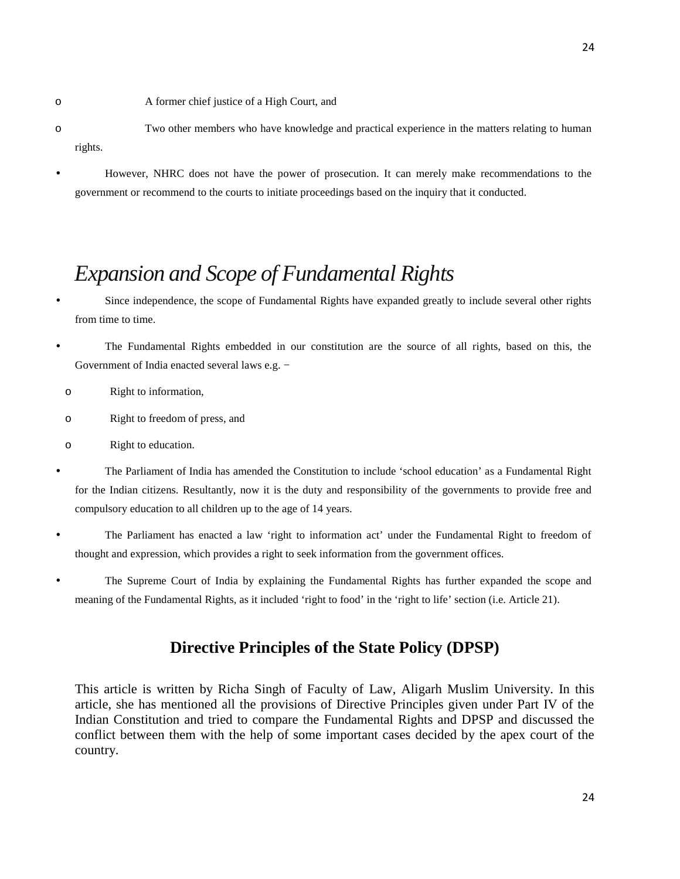- o A former chief justice of a High Court, and
- o Two other members who have knowledge and practical experience in the matters relating to human rights.
- However, NHRC does not have the power of prosecution. It can merely make recommendations to the government or recommend to the courts to initiate proceedings based on the inquiry that it conducted.

## *Expansion and Scope of Fundamental Rights*

- Since independence, the scope of Fundamental Rights have expanded greatly to include several other rights from time to time.
- The Fundamental Rights embedded in our constitution are the source of all rights, based on this, the Government of India enacted several laws e.g. −
	- o Right to information,
	- o Right to freedom of press, and
- o Right to education.
- The Parliament of India has amended the Constitution to include 'school education' as a Fundamental Right for the Indian citizens. Resultantly, now it is the duty and responsibility of the governments to provide free and compulsory education to all children up to the age of 14 years.
- The Parliament has enacted a law 'right to information act' under the Fundamental Right to freedom of thought and expression, which provides a right to seek information from the government offices.
- The Supreme Court of India by explaining the Fundamental Rights has further expanded the scope and meaning of the Fundamental Rights, as it included 'right to food' in the 'right to life' section (i.e. Article 21).

## **Directive Principles of the State Policy (DPSP)**

This article is written by Richa Singh of Faculty of Law, Aligarh Muslim University. In this article, she has mentioned all the provisions of Directive Principles given under Part IV of the Indian Constitution and tried to compare the Fundamental Rights and DPSP and discussed the conflict between them with the help of some important cases decided by the apex court of the country.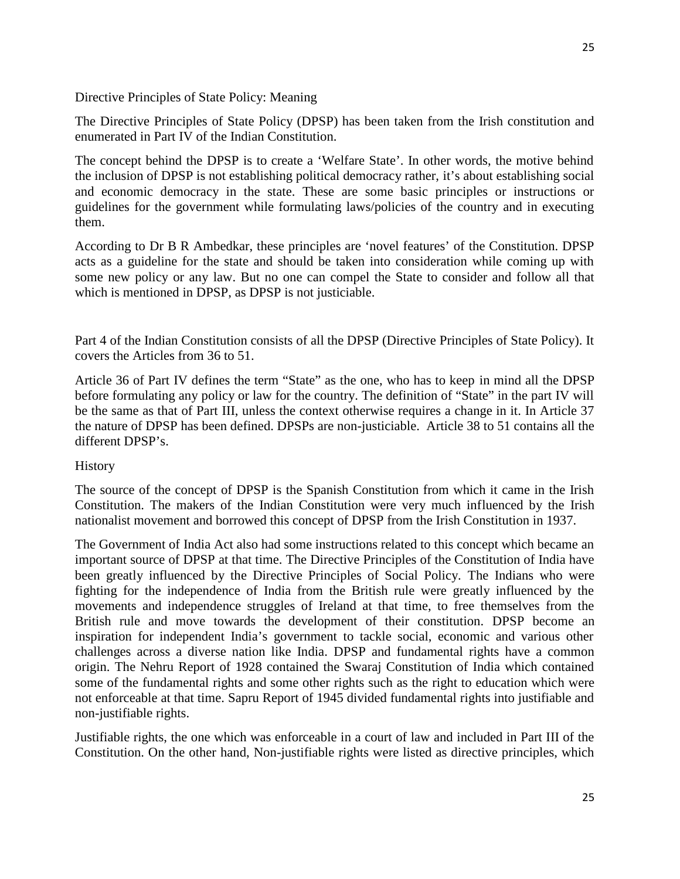Directive Principles of State Policy: Meaning

The Directive Principles of State Policy (DPSP) has been taken from the Irish constitution and enumerated in Part IV of the Indian Constitution.

The concept behind the DPSP is to create a 'Welfare State'. In other words, the motive behind the inclusion of DPSP is not establishing political democracy rather, it's about establishing social and economic democracy in the state. These are some basic principles or instructions or guidelines for the government while formulating laws/policies of the country and in executing them.

According to Dr B R Ambedkar, these principles are 'novel features' of the Constitution. DPSP acts as a guideline for the state and should be taken into consideration while coming up with some new policy or any law. But no one can compel the State to consider and follow all that which is mentioned in DPSP, as DPSP is not justiciable.

Part 4 of the Indian Constitution consists of all the DPSP (Directive Principles of State Policy). It covers the Articles from 36 to 51.

Article 36 of Part IV defines the term "State" as the one, who has to keep in mind all the DPSP before formulating any policy or law for the country. The definition of "State" in the part IV will be the same as that of Part III, unless the context otherwise requires a change in it. In Article 37 the nature of DPSP has been defined. DPSPs are non-justiciable. Article 38 to 51 contains all the different DPSP's.

#### **History**

The source of the concept of DPSP is the Spanish Constitution from which it came in the Irish Constitution. The makers of the Indian Constitution were very much influenced by the Irish nationalist movement and borrowed this concept of DPSP from the Irish Constitution in 1937.

The Government of India Act also had some instructions related to this concept which became an important source of DPSP at that time. The Directive Principles of the Constitution of India have been greatly influenced by the Directive Principles of Social Policy. The Indians who were fighting for the independence of India from the British rule were greatly influenced by the movements and independence struggles of Ireland at that time, to free themselves from the British rule and move towards the development of their constitution. DPSP become an inspiration for independent India's government to tackle social, economic and various other challenges across a diverse nation like India. DPSP and fundamental rights have a common origin. The Nehru Report of 1928 contained the Swaraj Constitution of India which contained some of the fundamental rights and some other rights such as the right to education which were not enforceable at that time. Sapru Report of 1945 divided fundamental rights into justifiable and non-justifiable rights.

Justifiable rights, the one which was enforceable in a court of law and included in Part III of the Constitution. On the other hand, Non-justifiable rights were listed as directive principles, which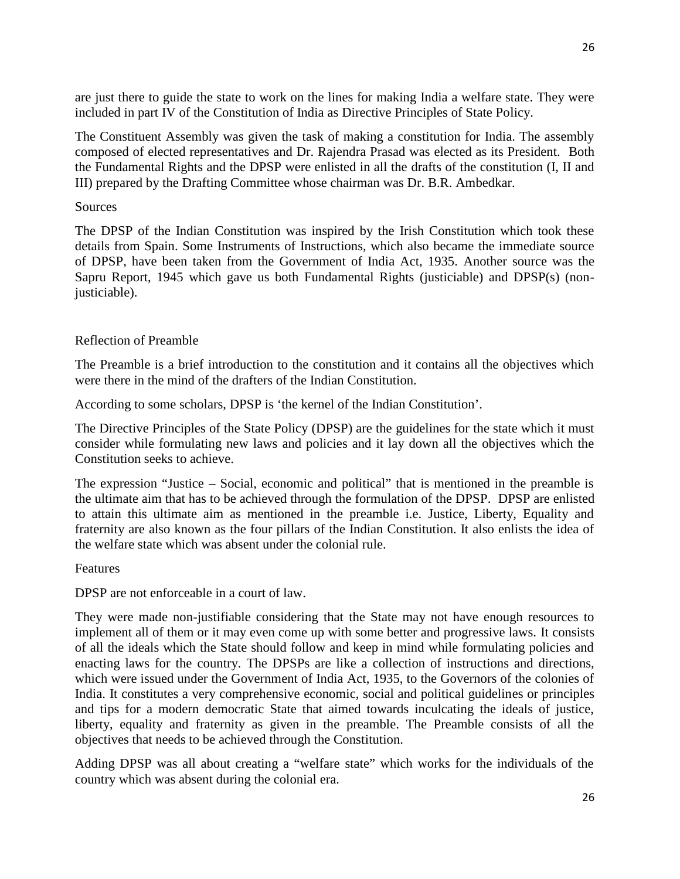are just there to guide the state to work on the lines for making India a welfare state. They were included in part IV of the Constitution of India as Directive Principles of State Policy.

The Constituent Assembly was given the task of making a constitution for India. The assembly composed of elected representatives and Dr. Rajendra Prasad was elected as its President. Both the Fundamental Rights and the DPSP were enlisted in all the drafts of the constitution (I, II and III) prepared by the Drafting Committee whose chairman was Dr. B.R. Ambedkar.

#### Sources

The DPSP of the Indian Constitution was inspired by the Irish Constitution which took these details from Spain. Some Instruments of Instructions, which also became the immediate source of DPSP, have been taken from the Government of India Act, 1935. Another source was the Sapru Report, 1945 which gave us both Fundamental Rights (justiciable) and DPSP(s) (nonjusticiable).

#### Reflection of Preamble

The Preamble is a brief introduction to the constitution and it contains all the objectives which were there in the mind of the drafters of the Indian Constitution.

According to some scholars, DPSP is 'the kernel of the Indian Constitution'.

The Directive Principles of the State Policy (DPSP) are the guidelines for the state which it must consider while formulating new laws and policies and it lay down all the objectives which the Constitution seeks to achieve.

The expression "Justice – Social, economic and political" that is mentioned in the preamble is the ultimate aim that has to be achieved through the formulation of the DPSP. DPSP are enlisted to attain this ultimate aim as mentioned in the preamble i.e. Justice, Liberty, Equality and fraternity are also known as the four pillars of the Indian Constitution. It also enlists the idea of the welfare state which was absent under the colonial rule.

#### Features

DPSP are not enforceable in a court of law.

They were made non-justifiable considering that the State may not have enough resources to implement all of them or it may even come up with some better and progressive laws. It consists of all the ideals which the State should follow and keep in mind while formulating policies and enacting laws for the country. The DPSPs are like a collection of instructions and directions, which were issued under the Government of India Act, 1935, to the Governors of the colonies of India. It constitutes a very comprehensive economic, social and political guidelines or principles and tips for a modern democratic State that aimed towards inculcating the ideals of justice, liberty, equality and fraternity as given in the preamble. The Preamble consists of all the objectives that needs to be achieved through the Constitution.

Adding DPSP was all about creating a "welfare state" which works for the individuals of the country which was absent during the colonial era.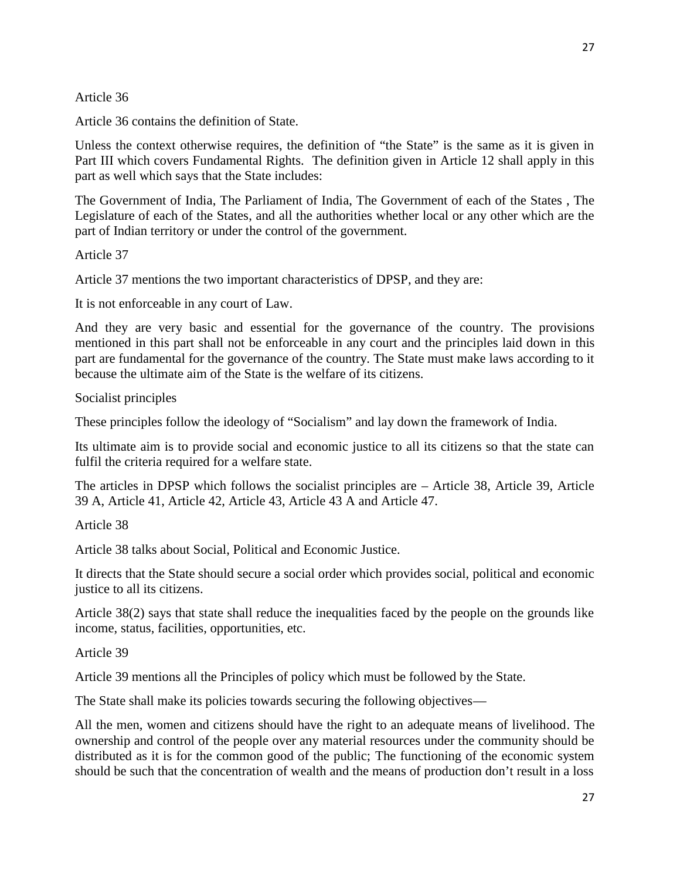Article 36

Article 36 contains the definition of State.

Unless the context otherwise requires, the definition of "the State" is the same as it is given in Part III which covers Fundamental Rights. The definition given in Article 12 shall apply in this part as well which says that the State includes:

The Government of India, The Parliament of India, The Government of each of the States , The Legislature of each of the States, and all the authorities whether local or any other which are the part of Indian territory or under the control of the government.

Article 37

Article 37 mentions the two important characteristics of DPSP, and they are:

It is not enforceable in any court of Law.

And they are very basic and essential for the governance of the country. The provisions mentioned in this part shall not be enforceable in any court and the principles laid down in this part are fundamental for the governance of the country. The State must make laws according to it because the ultimate aim of the State is the welfare of its citizens.

Socialist principles

These principles follow the ideology of "Socialism" and lay down the framework of India.

Its ultimate aim is to provide social and economic justice to all its citizens so that the state can fulfil the criteria required for a welfare state.

The articles in DPSP which follows the socialist principles are – Article 38, Article 39, Article 39 A, Article 41, Article 42, Article 43, Article 43 A and Article 47.

Article 38

Article 38 talks about Social, Political and Economic Justice.

It directs that the State should secure a social order which provides social, political and economic justice to all its citizens.

Article 38(2) says that state shall reduce the inequalities faced by the people on the grounds like income, status, facilities, opportunities, etc.

Article 39

Article 39 mentions all the Principles of policy which must be followed by the State.

The State shall make its policies towards securing the following objectives—

All the men, women and citizens should have the right to an adequate means of livelihood. The ownership and control of the people over any material resources under the community should be distributed as it is for the common good of the public; The functioning of the economic system should be such that the concentration of wealth and the means of production don't result in a loss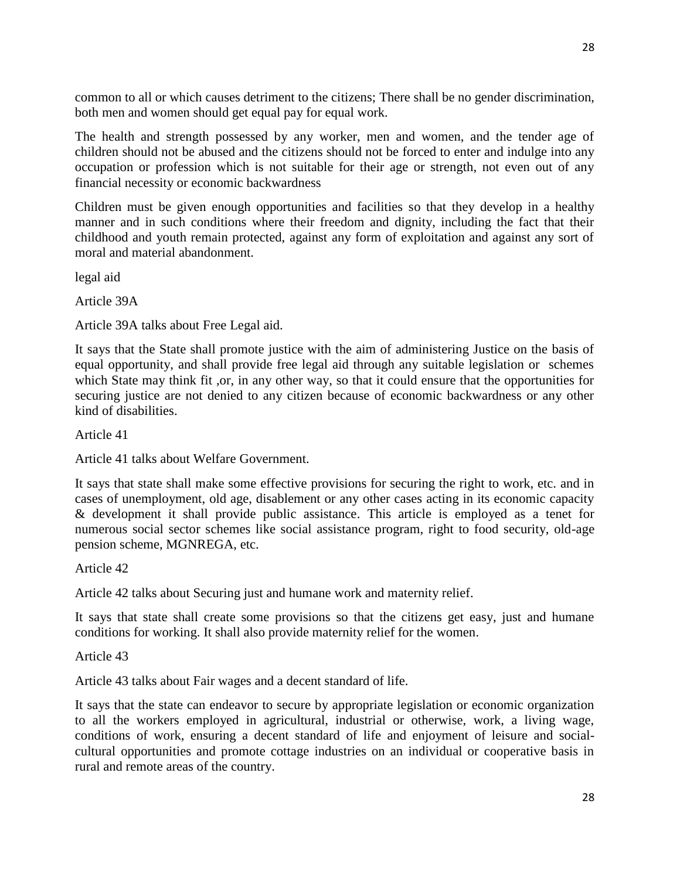common to all or which causes detriment to the citizens; There shall be no gender discrimination, both men and women should get equal pay for equal work.

The health and strength possessed by any worker, men and women, and the tender age of children should not be abused and the citizens should not be forced to enter and indulge into any occupation or profession which is not suitable for their age or strength, not even out of any financial necessity or economic backwardness

Children must be given enough opportunities and facilities so that they develop in a healthy manner and in such conditions where their freedom and dignity, including the fact that their childhood and youth remain protected, against any form of exploitation and against any sort of moral and material abandonment.

legal aid

Article 39A

Article 39A talks about Free Legal aid.

It says that the State shall promote justice with the aim of administering Justice on the basis of equal opportunity, and shall provide free legal aid through any suitable legislation or schemes which State may think fit ,or, in any other way, so that it could ensure that the opportunities for securing justice are not denied to any citizen because of economic backwardness or any other kind of disabilities.

Article 41

Article 41 talks about Welfare Government.

It says that state shall make some effective provisions for securing the right to work, etc. and in cases of unemployment, old age, disablement or any other cases acting in its economic capacity & development it shall provide public assistance. This article is employed as a tenet for numerous social sector schemes like social assistance program, right to food security, old-age pension scheme, MGNREGA, etc.

Article 42

Article 42 talks about Securing just and humane work and maternity relief.

It says that state shall create some provisions so that the citizens get easy, just and humane conditions for working. It shall also provide maternity relief for the women.

Article 43

Article 43 talks about Fair wages and a decent standard of life.

It says that the state can endeavor to secure by appropriate legislation or economic organization to all the workers employed in agricultural, industrial or otherwise, work, a living wage, conditions of work, ensuring a decent standard of life and enjoyment of leisure and social cultural opportunities and promote cottage industries on an individual or cooperative basis in rural and remote areas of the country.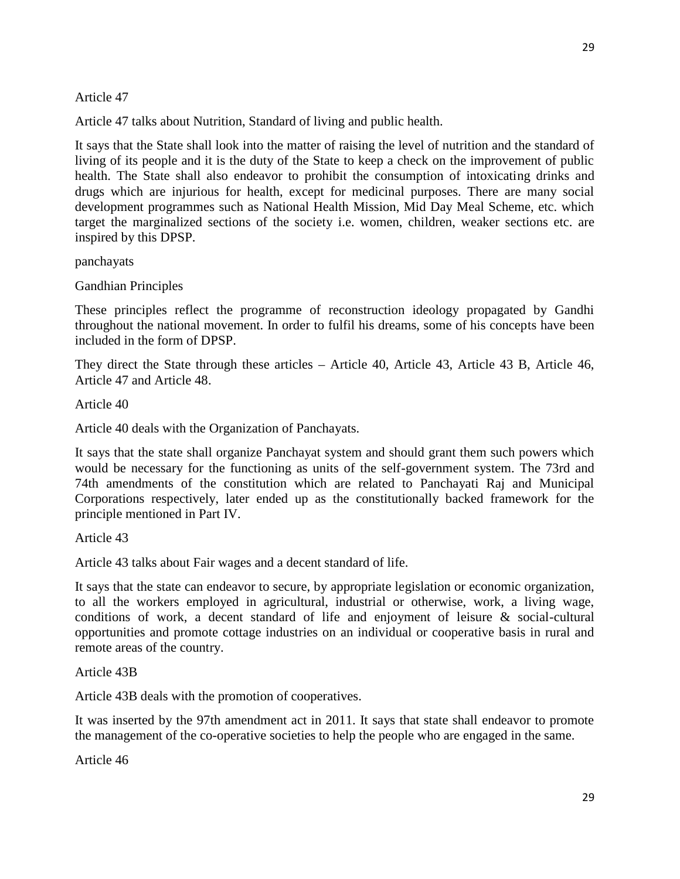#### Article 47

Article 47 talks about Nutrition, Standard of living and public health.

It says that the State shall look into the matter of raising the level of nutrition and the standard of living of its people and it is the duty of the State to keep a check on the improvement of public health. The State shall also endeavor to prohibit the consumption of intoxicating drinks and drugs which are injurious for health, except for medicinal purposes. There are many social development programmes such as National Health Mission, Mid Day Meal Scheme, etc. which target the marginalized sections of the society i.e. women, children, weaker sections etc. are inspired by this DPSP.

panchayats

Gandhian Principles

These principles reflect the programme of reconstruction ideology propagated by Gandhi throughout the national movement. In order to fulfil his dreams, some of his concepts have been included in the form of DPSP.

They direct the State through these articles – Article 40, Article 43, Article 43 B, Article 46, Article 47 and Article 48.

Article 40

Article 40 deals with the Organization of Panchayats.

It says that the state shall organize Panchayat system and should grant them such powers which would be necessary for the functioning as units of the self-government system. The 73rd and 74th amendments of the constitution which are related to Panchayati Raj and Municipal Corporations respectively, later ended up as the constitutionally backed framework for the principle mentioned in Part IV.

Article 43

Article 43 talks about Fair wages and a decent standard of life.

It says that the state can endeavor to secure, by appropriate legislation or economic organization, to all the workers employed in agricultural, industrial or otherwise, work, a living wage, conditions of work, a decent standard of life and enjoyment of leisure & social-cultural opportunities and promote cottage industries on an individual or cooperative basis in rural and remote areas of the country.

Article 43B

Article 43B deals with the promotion of cooperatives.

It was inserted by the 97th amendment act in 2011. It says that state shall endeavor to promote the management of the co-operative societies to help the people who are engaged in the same.

Article 46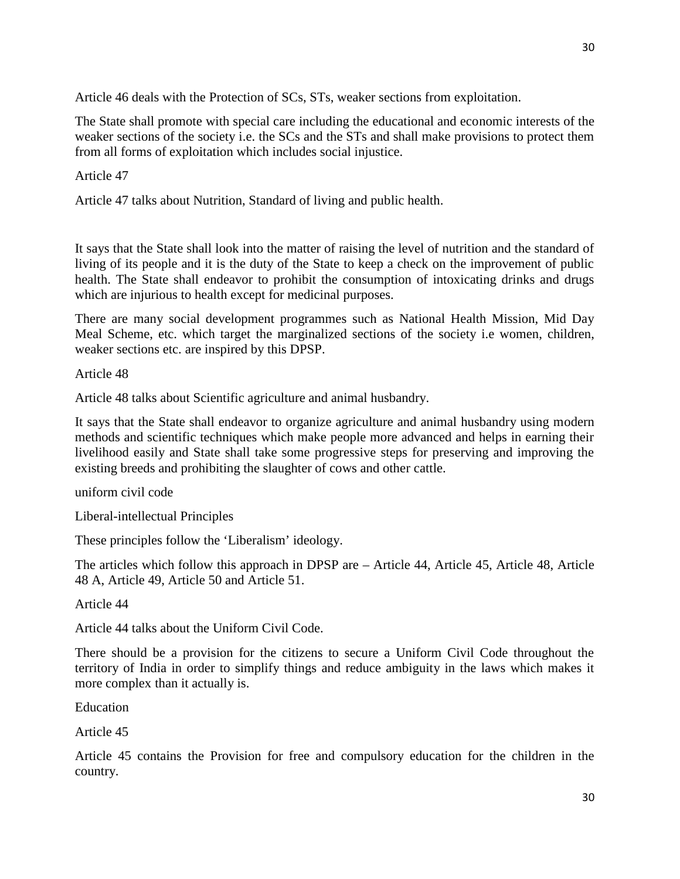Article 46 deals with the Protection of SCs, STs, weaker sections from exploitation.

The State shall promote with special care including the educational and economic interests of the weaker sections of the society i.e. the SCs and the STs and shall make provisions to protect them from all forms of exploitation which includes social injustice.

Article 47

Article 47 talks about Nutrition, Standard of living and public health.

It says that the State shall look into the matter of raising the level of nutrition and the standard of living of its people and it is the duty of the State to keep a check on the improvement of public health. The State shall endeavor to prohibit the consumption of intoxicating drinks and drugs which are injurious to health except for medicinal purposes.

There are many social development programmes such as National Health Mission, Mid Day Meal Scheme, etc. which target the marginalized sections of the society i.e women, children, weaker sections etc. are inspired by this DPSP.

Article 48

Article 48 talks about Scientific agriculture and animal husbandry.

It says that the State shall endeavor to organize agriculture and animal husbandry using modern methods and scientific techniques which make people more advanced and helps in earning their livelihood easily and State shall take some progressive steps for preserving and improving the existing breeds and prohibiting the slaughter of cows and other cattle.

uniform civil code

Liberal-intellectual Principles

These principles follow the 'Liberalism' ideology.

The articles which follow this approach in DPSP are – Article 44, Article 45, Article 48, Article 48 A, Article 49, Article 50 and Article 51.

Article 44

Article 44 talks about the Uniform Civil Code.

There should be a provision for the citizens to secure a Uniform Civil Code throughout the territory of India in order to simplify things and reduce ambiguity in the laws which makes it more complex than it actually is.

**Education** 

Article 45

Article 45 contains the Provision for free and compulsory education for the children in the country.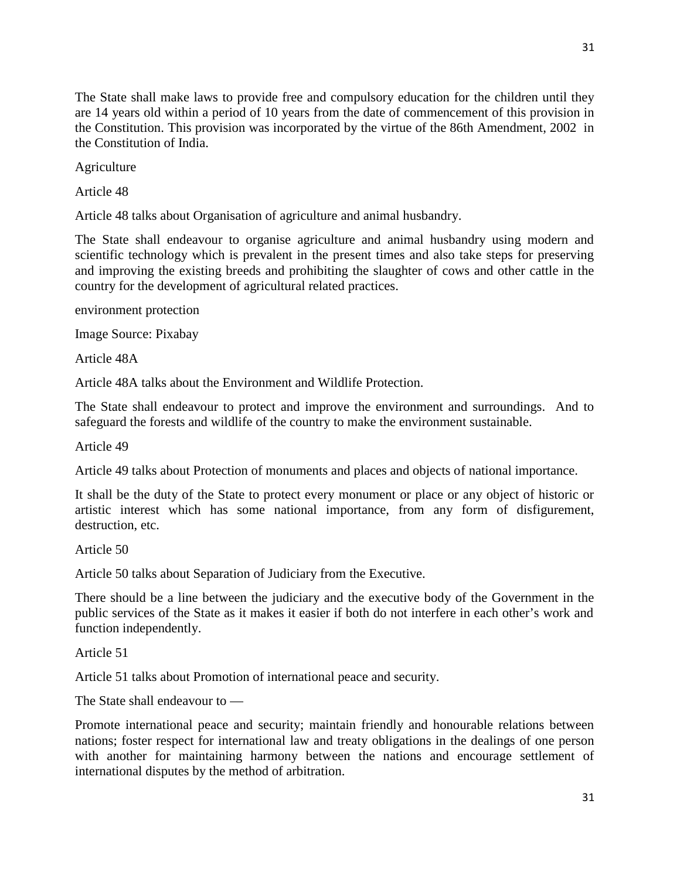The State shall make laws to provide free and compulsory education for the children until they are 14 years old within a period of 10 years from the date of commencement of this provision in the Constitution. This provision was incorporated by the virtue of the 86th Amendment, 2002 in the Constitution of India.

Agriculture

Article 48

Article 48 talks about Organisation of agriculture and animal husbandry.

The State shall endeavour to organise agriculture and animal husbandry using modern and scientific technology which is prevalent in the present times and also take steps for preserving and improving the existing breeds and prohibiting the slaughter of cows and other cattle in the country for the development of agricultural related practices.

environment protection

Image Source: Pixabay

Article 48A

Article 48A talks about the Environment and Wildlife Protection.

The State shall endeavour to protect and improve the environment and surroundings. And to safeguard the forests and wildlife of the country to make the environment sustainable.

Article 49

Article 49 talks about Protection of monuments and places and objects of national importance.

It shall be the duty of the State to protect every monument or place or any object of historic or artistic interest which has some national importance, from any form of disfigurement, destruction, etc.

Article 50

Article 50 talks about Separation of Judiciary from the Executive.

There should be a line between the judiciary and the executive body of the Government in the public services of the State as it makes it easier if both do not interfere in each other's work and function independently.

Article 51

Article 51 talks about Promotion of international peace and security.

The State shall endeavour to —

Promote international peace and security; maintain friendly and honourable relations between nations; foster respect for international law and treaty obligations in the dealings of one person with another for maintaining harmony between the nations and encourage settlement of international disputes by the method of arbitration.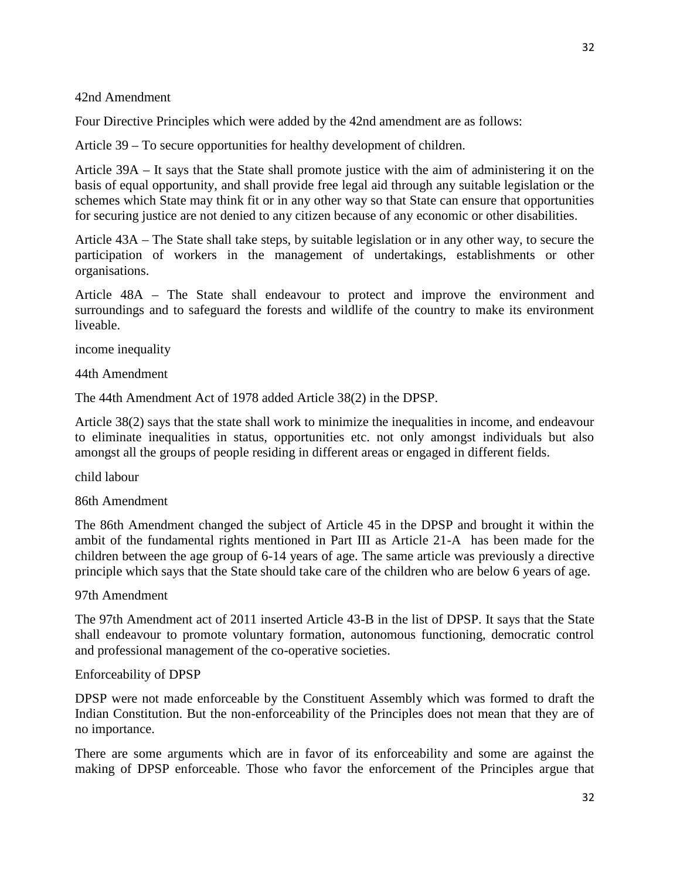42nd Amendment

Four Directive Principles which were added by the 42nd amendment are as follows:

Article 39 – To secure opportunities for healthy development of children.

Article 39A – It says that the State shall promote justice with the aim of administering it on the basis of equal opportunity, and shall provide free legal aid through any suitable legislation or the schemes which State may think fit or in any other way so that State can ensure that opportunities for securing justice are not denied to any citizen because of any economic or other disabilities.

Article 43A – The State shall take steps, by suitable legislation or in any other way, to secure the participation of workers in the management of undertakings, establishments or other organisations.

Article 48A – The State shall endeavour to protect and improve the environment and surroundings and to safeguard the forests and wildlife of the country to make its environment liveable.

income inequality

44th Amendment

The 44th Amendment Act of 1978 added Article 38(2) in the DPSP.

Article 38(2) says that the state shall work to minimize the inequalities in income, and endeavour to eliminate inequalities in status, opportunities etc. not only amongst individuals but also amongst all the groups of people residing in different areas or engaged in different fields.

child labour

86th Amendment

The 86th Amendment changed the subject of Article 45 in the DPSP and brought it within the ambit of the fundamental rights mentioned in Part III as Article 21-A has been made for the children between the age group of 6-14 years of age. The same article was previously a directive principle which says that the State should take care of the children who are below 6 years of age.

97th Amendment

The 97th Amendment act of 2011 inserted Article 43-B in the list of DPSP. It says that the State shall endeavour to promote voluntary formation, autonomous functioning, democratic control and professional management of the co-operative societies.

#### Enforceability of DPSP

DPSP were not made enforceable by the Constituent Assembly which was formed to draft the Indian Constitution. But the non-enforceability of the Principles does not mean that they are of no importance.

There are some arguments which are in favor of its enforceability and some are against the making of DPSP enforceable. Those who favor the enforcement of the Principles argue that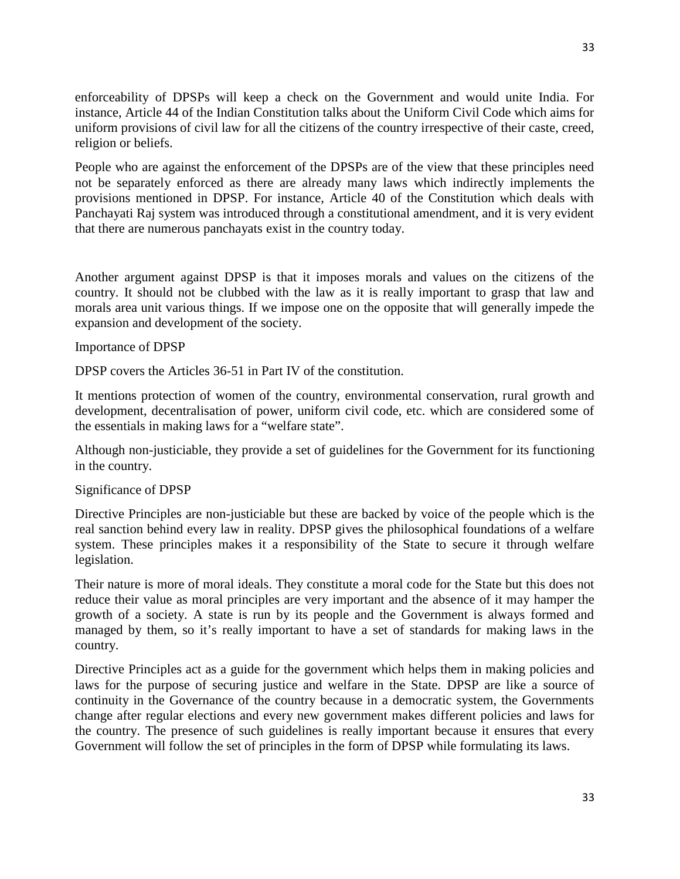enforceability of DPSPs will keep a check on the Government and would unite India. For instance, Article 44 of the Indian Constitution talks about the Uniform Civil Code which aims for uniform provisions of civil law for all the citizens of the country irrespective of their caste, creed, religion or beliefs.

People who are against the enforcement of the DPSPs are of the view that these principles need not be separately enforced as there are already many laws which indirectly implements the provisions mentioned in DPSP. For instance, Article 40 of the Constitution which deals with Panchayati Raj system was introduced through a constitutional amendment, and it is very evident that there are numerous panchayats exist in the country today.

Another argument against DPSP is that it imposes morals and values on the citizens of the country. It should not be clubbed with the law as it is really important to grasp that law and morals area unit various things. If we impose one on the opposite that will generally impede the expansion and development of the society.

Importance of DPSP

DPSP covers the Articles 36-51 in Part IV of the constitution.

It mentions protection of women of the country, environmental conservation, rural growth and development, decentralisation of power, uniform civil code, etc. which are considered some of the essentials in making laws for a "welfare state".

Although non-justiciable, they provide a set of guidelines for the Government for its functioning in the country.

Significance of DPSP

Directive Principles are non-justiciable but these are backed by voice of the people which is the real sanction behind every law in reality. DPSP gives the philosophical foundations of a welfare system. These principles makes it a responsibility of the State to secure it through welfare legislation.

Their nature is more of moral ideals. They constitute a moral code for the State but this does not reduce their value as moral principles are very important and the absence of it may hamper the growth of a society. A state is run by its people and the Government is always formed and managed by them, so it's really important to have a set of standards for making laws in the country.

Directive Principles act as a guide for the government which helps them in making policies and laws for the purpose of securing justice and welfare in the State. DPSP are like a source of continuity in the Governance of the country because in a democratic system, the Governments change after regular elections and every new government makes different policies and laws for the country. The presence of such guidelines is really important because it ensures that every Government will follow the set of principles in the form of DPSP while formulating its laws.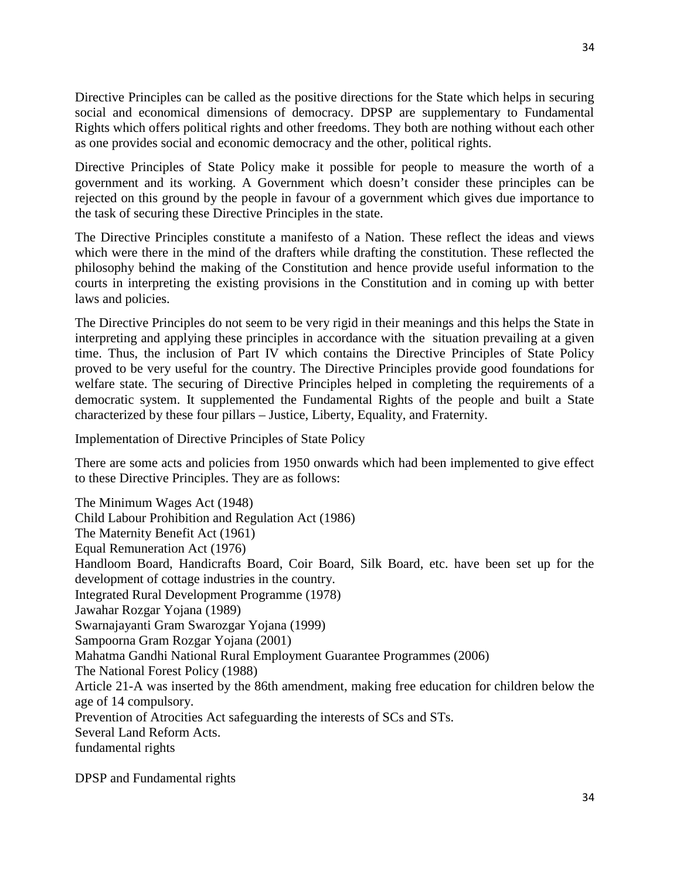Directive Principles can be called as the positive directions for the State which helps in securing social and economical dimensions of democracy. DPSP are supplementary to Fundamental Rights which offers political rights and other freedoms. They both are nothing without each other as one provides social and economic democracy and the other, political rights.

Directive Principles of State Policy make it possible for people to measure the worth of a government and its working. A Government which doesn't consider these principles can be rejected on this ground by the people in favour of a government which gives due importance to the task of securing these Directive Principles in the state.

The Directive Principles constitute a manifesto of a Nation. These reflect the ideas and views which were there in the mind of the drafters while drafting the constitution. These reflected the philosophy behind the making of the Constitution and hence provide useful information to the courts in interpreting the existing provisions in the Constitution and in coming up with better laws and policies.

The Directive Principles do not seem to be very rigid in their meanings and this helps the State in interpreting and applying these principles in accordance with the situation prevailing at a given time. Thus, the inclusion of Part IV which contains the Directive Principles of State Policy proved to be very useful for the country. The Directive Principles provide good foundations for welfare state. The securing of Directive Principles helped in completing the requirements of a democratic system. It supplemented the Fundamental Rights of the people and built a State characterized by these four pillars – Justice, Liberty, Equality, and Fraternity.

Implementation of Directive Principles of State Policy

There are some acts and policies from 1950 onwards which had been implemented to give effect to these Directive Principles. They are as follows:

The Minimum Wages Act (1948) Child Labour Prohibition and Regulation Act (1986) The Maternity Benefit Act (1961) Equal Remuneration Act (1976) Handloom Board, Handicrafts Board, Coir Board, Silk Board, etc. have been set up for the development of cottage industries in the country. Integrated Rural Development Programme (1978) Jawahar Rozgar Yojana (1989) Swarnajayanti Gram Swarozgar Yojana (1999) Sampoorna Gram Rozgar Yojana (2001) Mahatma Gandhi National Rural Employment Guarantee Programmes (2006) The National Forest Policy (1988) Article 21-A was inserted by the 86th amendment, making free education for children below the age of 14 compulsory. Prevention of Atrocities Act safeguarding the interests of SCs and STs. Several Land Reform Acts. fundamental rights

DPSP and Fundamental rights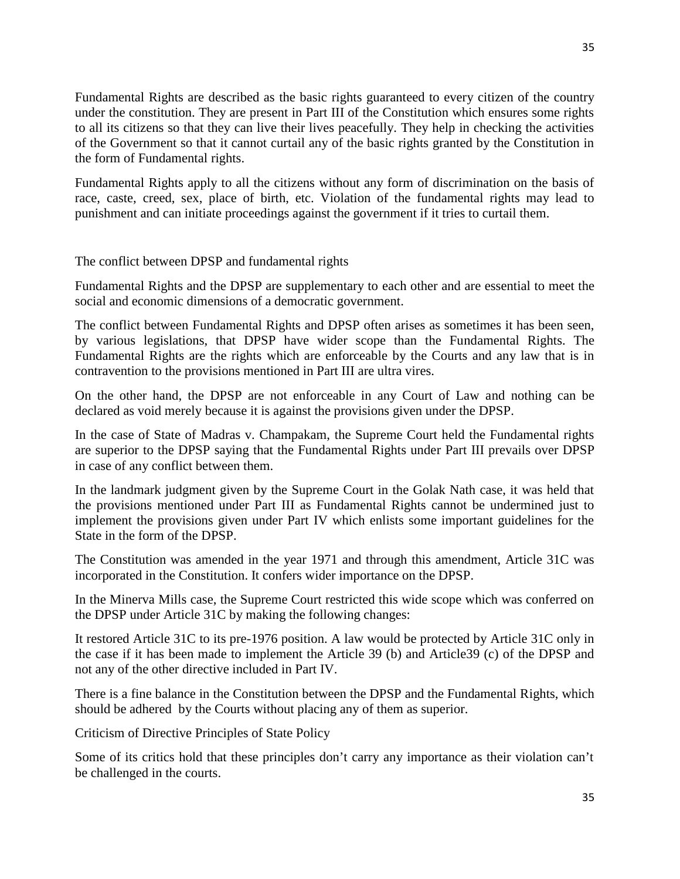Fundamental Rights are described as the basic rights guaranteed to every citizen of the country under the constitution. They are present in Part III of the Constitution which ensures some rights to all its citizens so that they can live their lives peacefully. They help in checking the activities of the Government so that it cannot curtail any of the basic rights granted by the Constitution in the form of Fundamental rights.

Fundamental Rights apply to all the citizens without any form of discrimination on the basis of race, caste, creed, sex, place of birth, etc. Violation of the fundamental rights may lead to punishment and can initiate proceedings against the government if it tries to curtail them.

The conflict between DPSP and fundamental rights

Fundamental Rights and the DPSP are supplementary to each other and are essential to meet the social and economic dimensions of a democratic government.

The conflict between Fundamental Rights and DPSP often arises as sometimes it has been seen, by various legislations, that DPSP have wider scope than the Fundamental Rights. The Fundamental Rights are the rights which are enforceable by the Courts and any law that is in contravention to the provisions mentioned in Part III are ultra vires.

On the other hand, the DPSP are not enforceable in any Court of Law and nothing can be declared as void merely because it is against the provisions given under the DPSP.

In the case of State of Madras v. Champakam, the Supreme Court held the Fundamental rights are superior to the DPSP saying that the Fundamental Rights under Part III prevails over DPSP in case of any conflict between them.

In the landmark judgment given by the Supreme Court in the Golak Nath case, it was held that the provisions mentioned under Part III as Fundamental Rights cannot be undermined just to implement the provisions given under Part IV which enlists some important guidelines for the State in the form of the DPSP.

The Constitution was amended in the year 1971 and through this amendment, Article 31C was incorporated in the Constitution. It confers wider importance on the DPSP.

In the Minerva Mills case, the Supreme Court restricted this wide scope which was conferred on the DPSP under Article 31C by making the following changes:

It restored Article 31C to its pre-1976 position. A law would be protected by Article 31C only in the case if it has been made to implement the Article 39 (b) and Article39 (c) of the DPSP and not any of the other directive included in Part IV.

There is a fine balance in the Constitution between the DPSP and the Fundamental Rights, which should be adhered by the Courts without placing any of them as superior.

Criticism of Directive Principles of State Policy

Some of its critics hold that these principles don't carry any importance as their violation can't be challenged in the courts.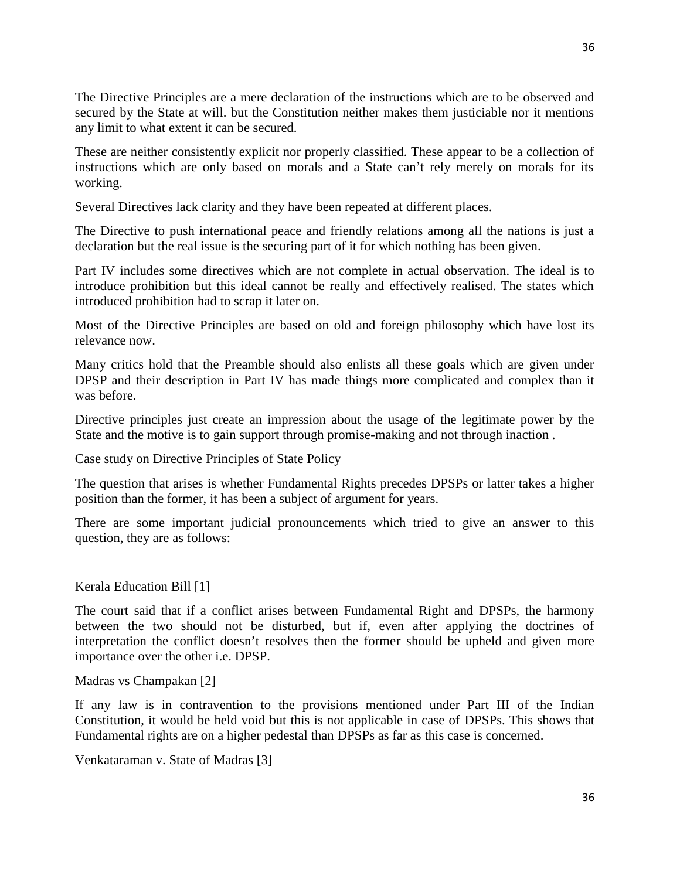The Directive Principles are a mere declaration of the instructions which are to be observed and secured by the State at will. but the Constitution neither makes them justiciable nor it mentions any limit to what extent it can be secured.

These are neither consistently explicit nor properly classified. These appear to be a collection of instructions which are only based on morals and a State can't rely merely on morals for its working.

Several Directives lack clarity and they have been repeated at different places.

The Directive to push international peace and friendly relations among all the nations is just a declaration but the real issue is the securing part of it for which nothing has been given.

Part IV includes some directives which are not complete in actual observation. The ideal is to introduce prohibition but this ideal cannot be really and effectively realised. The states which introduced prohibition had to scrap it later on.

Most of the Directive Principles are based on old and foreign philosophy which have lost its relevance now.

Many critics hold that the Preamble should also enlists all these goals which are given under DPSP and their description in Part IV has made things more complicated and complex than it was before.

Directive principles just create an impression about the usage of the legitimate power by the State and the motive is to gain support through promise-making and not through inaction .

Case study on Directive Principles of State Policy

The question that arises is whether Fundamental Rights precedes DPSPs or latter takes a higher position than the former, it has been a subject of argument for years.

There are some important judicial pronouncements which tried to give an answer to this question, they are as follows:

Kerala Education Bill [1]

The court said that if a conflict arises between Fundamental Right and DPSPs, the harmony between the two should not be disturbed, but if, even after applying the doctrines of interpretation the conflict doesn't resolves then the former should be upheld and given more importance over the other i.e. DPSP.

Madras vs Champakan [2]

If any law is in contravention to the provisions mentioned under Part III of the Indian Constitution, it would be held void but this is not applicable in case of DPSPs. This shows that Fundamental rights are on a higher pedestal than DPSPs as far as this case is concerned.

Venkataraman v. State of Madras [3]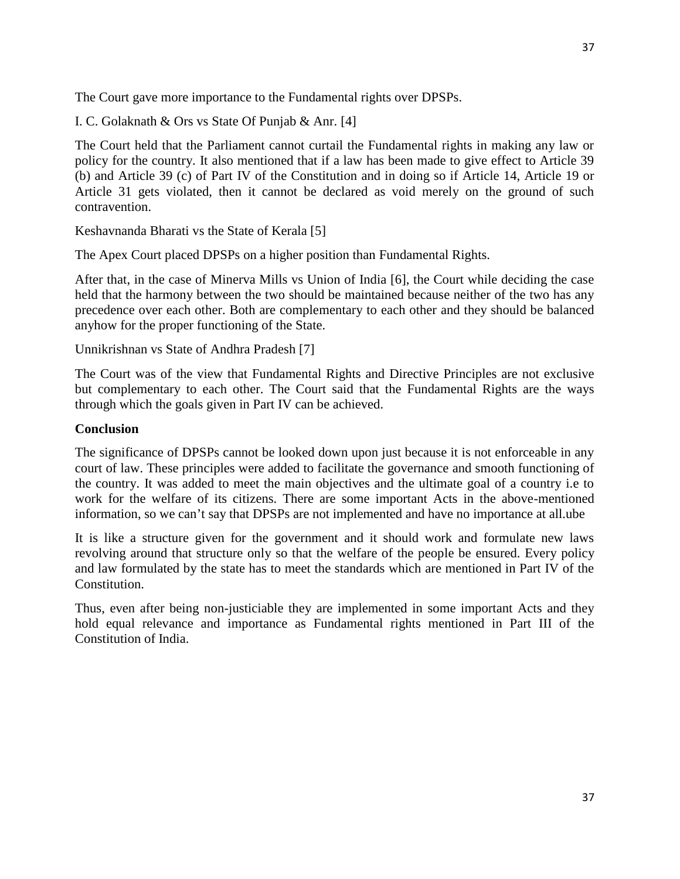The Court gave more importance to the Fundamental rights over DPSPs.

I. C. Golaknath & Ors vs State Of Punjab & Anr. [4]

The Court held that the Parliament cannot curtail the Fundamental rights in making any law or policy for the country. It also mentioned that if a law has been made to give effect to Article 39 (b) and Article 39 (c) of Part IV of the Constitution and in doing so if Article 14, Article 19 or Article 31 gets violated, then it cannot be declared as void merely on the ground of such contravention.

Keshavnanda Bharati vs the State of Kerala [5]

The Apex Court placed DPSPs on a higher position than Fundamental Rights.

After that, in the case of Minerva Mills vs Union of India [6], the Court while deciding the case held that the harmony between the two should be maintained because neither of the two has any precedence over each other. Both are complementary to each other and they should be balanced anyhow for the proper functioning of the State.

Unnikrishnan vs State of Andhra Pradesh [7]

The Court was of the view that Fundamental Rights and Directive Principles are not exclusive but complementary to each other. The Court said that the Fundamental Rights are the ways through which the goals given in Part IV can be achieved.

# **Conclusion**

The significance of DPSPs cannot be looked down upon just because it is not enforceable in any court of law. These principles were added to facilitate the governance and smooth functioning of the country. It was added to meet the main objectives and the ultimate goal of a country i.e to work for the welfare of its citizens. There are some important Acts in the above-mentioned information, so we can't say that DPSPs are not implemented and have no importance at all.ube

It is like a structure given for the government and it should work and formulate new laws revolving around that structure only so that the welfare of the people be ensured. Every policy and law formulated by the state has to meet the standards which are mentioned in Part IV of the Constitution.

Thus, even after being non-justiciable they are implemented in some important Acts and they hold equal relevance and importance as Fundamental rights mentioned in Part III of the Constitution of India.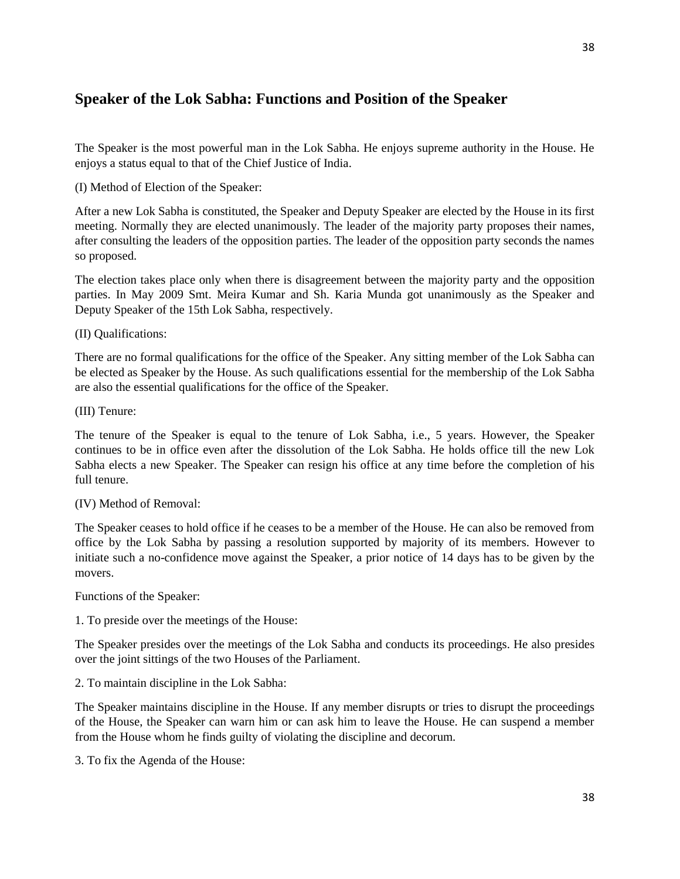# **Speaker of the Lok Sabha: Functions and Position of the Speaker**

The Speaker is the most powerful man in the Lok Sabha. He enjoys supreme authority in the House. He enjoys a status equal to that of the Chief Justice of India.

(I) Method of Election of the Speaker:

After a new Lok Sabha is constituted, the Speaker and Deputy Speaker are elected by the House in its first meeting. Normally they are elected unanimously. The leader of the majority party proposes their names, after consulting the leaders of the opposition parties. The leader of the opposition party seconds the names so proposed.

The election takes place only when there is disagreement between the majority party and the opposition parties. In May 2009 Smt. Meira Kumar and Sh. Karia Munda got unanimously as the Speaker and Deputy Speaker of the 15th Lok Sabha, respectively.

#### (II) Qualifications:

There are no formal qualifications for the office of the Speaker. Any sitting member of the Lok Sabha can be elected as Speaker by the House. As such qualifications essential for the membership of the Lok Sabha are also the essential qualifications for the office of the Speaker.

(III) Tenure:

The tenure of the Speaker is equal to the tenure of Lok Sabha, i.e., 5 years. However, the Speaker continues to be in office even after the dissolution of the Lok Sabha. He holds office till the new Lok Sabha elects a new Speaker. The Speaker can resign his office at any time before the completion of his full tenure.

#### (IV) Method of Removal:

The Speaker ceases to hold office if he ceases to be a member of the House. He can also be removed from office by the Lok Sabha by passing a resolution supported by majority of its members. However to initiate such a no-confidence move against the Speaker, a prior notice of 14 days has to be given by the movers.

Functions of the Speaker:

1. To preside over the meetings of the House:

The Speaker presides over the meetings of the Lok Sabha and conducts its proceedings. He also presides over the joint sittings of the two Houses of the Parliament.

2. To maintain discipline in the Lok Sabha:

The Speaker maintains discipline in the House. If any member disrupts or tries to disrupt the proceedings of the House, the Speaker can warn him or can ask him to leave the House. He can suspend a member from the House whom he finds guilty of violating the discipline and decorum.

3. To fix the Agenda of the House: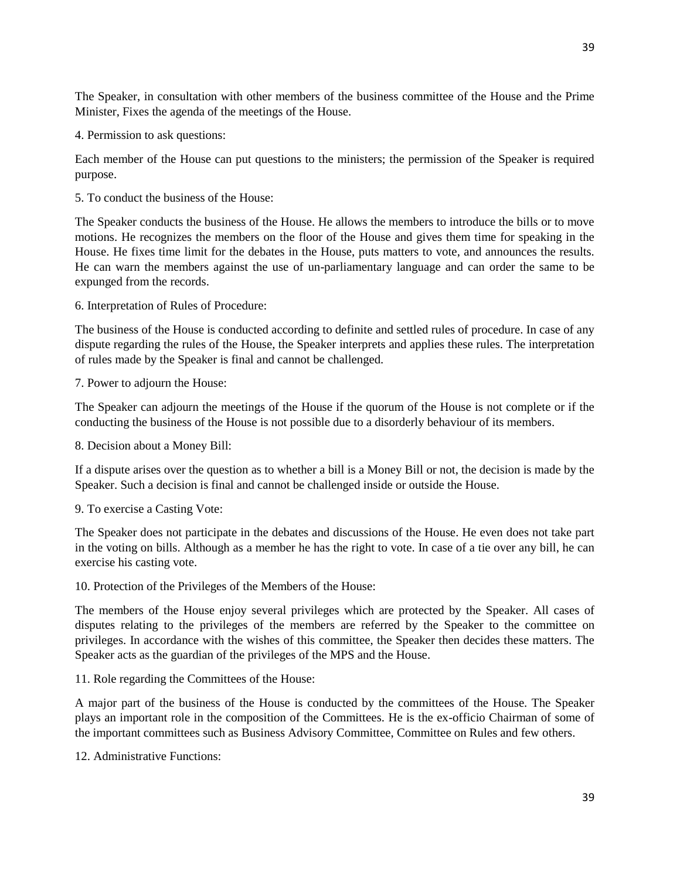The Speaker, in consultation with other members of the business committee of the House and the Prime Minister, Fixes the agenda of the meetings of the House.

4. Permission to ask questions:

Each member of the House can put questions to the ministers; the permission of the Speaker is required purpose.

5. To conduct the business of the House:

The Speaker conducts the business of the House. He allows the members to introduce the bills or to move motions. He recognizes the members on the floor of the House and gives them time for speaking in the House. He fixes time limit for the debates in the House, puts matters to vote, and announces the results. He can warn the members against the use of un-parliamentary language and can order the same to be expunged from the records.

6. Interpretation of Rules of Procedure:

The business of the House is conducted according to definite and settled rules of procedure. In case of any dispute regarding the rules of the House, the Speaker interprets and applies these rules. The interpretation of rules made by the Speaker is final and cannot be challenged.

7. Power to adjourn the House:

The Speaker can adjourn the meetings of the House if the quorum of the House is not complete or if the conducting the business of the House is not possible due to a disorderly behaviour of its members.

8. Decision about a Money Bill:

If a dispute arises over the question as to whether a bill is a Money Bill or not, the decision is made by the Speaker. Such a decision is final and cannot be challenged inside or outside the House.

9. To exercise a Casting Vote:

The Speaker does not participate in the debates and discussions of the House. He even does not take part in the voting on bills. Although as a member he has the right to vote. In case of a tie over any bill, he can exercise his casting vote.

10. Protection of the Privileges of the Members of the House:

The members of the House enjoy several privileges which are protected by the Speaker. All cases of disputes relating to the privileges of the members are referred by the Speaker to the committee on privileges. In accordance with the wishes of this committee, the Speaker then decides these matters. The Speaker acts as the guardian of the privileges of the MPS and the House.

11. Role regarding the Committees of the House:

A major part of the business of the House is conducted by the committees of the House. The Speaker plays an important role in the composition of the Committees. He is the ex-officio Chairman of some of the important committees such as Business Advisory Committee, Committee on Rules and few others.

12. Administrative Functions: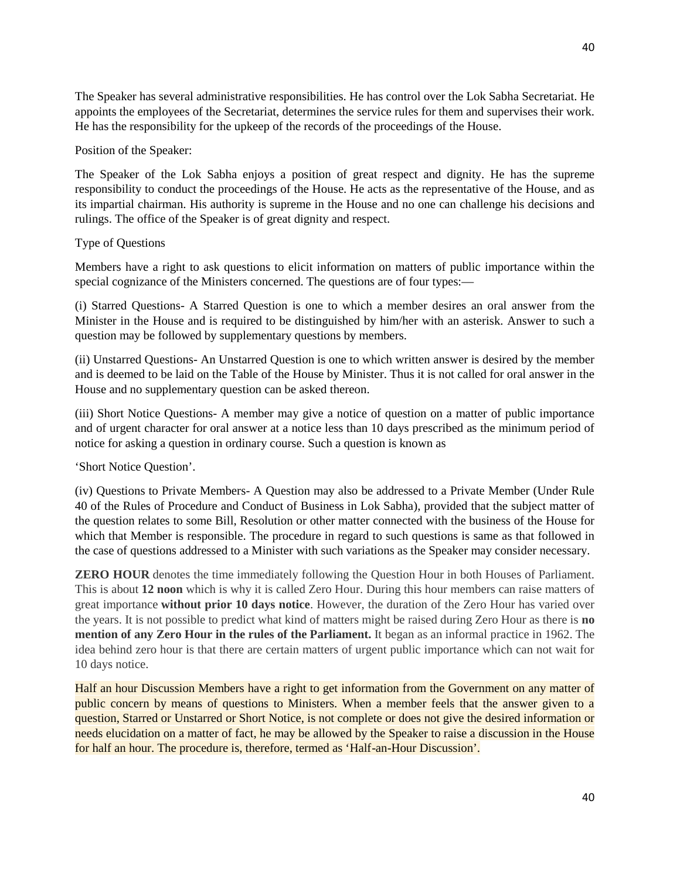The Speaker has several administrative responsibilities. He has control over the Lok Sabha Secretariat. He appoints the employees of the Secretariat, determines the service rules for them and supervises their work. He has the responsibility for the upkeep of the records of the proceedings of the House.

Position of the Speaker:

The Speaker of the Lok Sabha enjoys a position of great respect and dignity. He has the supreme responsibility to conduct the proceedings of the House. He acts as the representative of the House, and as its impartial chairman. His authority is supreme in the House and no one can challenge his decisions and rulings. The office of the Speaker is of great dignity and respect.

Type of Questions

Members have a right to ask questions to elicit information on matters of public importance within the special cognizance of the Ministers concerned. The questions are of four types:—

(i) Starred Questions- A Starred Question is one to which a member desires an oral answer from the Minister in the House and is required to be distinguished by him/her with an asterisk. Answer to such a question may be followed by supplementary questions by members.

(ii) Unstarred Questions- An Unstarred Question is one to which written answer is desired by the member and is deemed to be laid on the Table of the House by Minister. Thus it is not called for oral answer in the House and no supplementary question can be asked thereon.

(iii) Short Notice Questions- A member may give a notice of question on a matter of public importance and of urgent character for oral answer at a notice less than 10 days prescribed as the minimum period of notice for asking a question in ordinary course. Such a question is known as

'Short Notice Question'.

(iv) Questions to Private Members- A Question may also be addressed to a Private Member (Under Rule 40 of the Rules of Procedure and Conduct of Business in Lok Sabha), provided that the subject matter of the question relates to some Bill, Resolution or other matter connected with the business of the House for which that Member is responsible. The procedure in regard to such questions is same as that followed in the case of questions addressed to a Minister with such variations as the Speaker may consider necessary.

**ZERO HOUR** denotes the time immediately following the Question Hour in both Houses of Parliament. This is about **12 noon** which is why it is called Zero Hour. During this hour members can raise matters of great importance **without prior 10 days notice**. However, the duration of the Zero Hour has varied over the years. It is not possible to predict what kind of matters might be raised during Zero Hour as there is **no mention of any Zero Hour in the rules of the Parliament.** It began as an informal practice in 1962. The idea behind zero hour is that there are certain matters of urgent public importance which can not wait for 10 days notice.

Half an hour Discussion Members have a right to get information from the Government on any matter of public concern by means of questions to Ministers. When a member feels that the answer given to a question, Starred or Unstarred or Short Notice, is not complete or does not give the desired information or needs elucidation on a matter of fact, he may be allowed by the Speaker to raise a discussion in the House for half an hour. The procedure is, therefore, termed as 'Half-an-Hour Discussion'.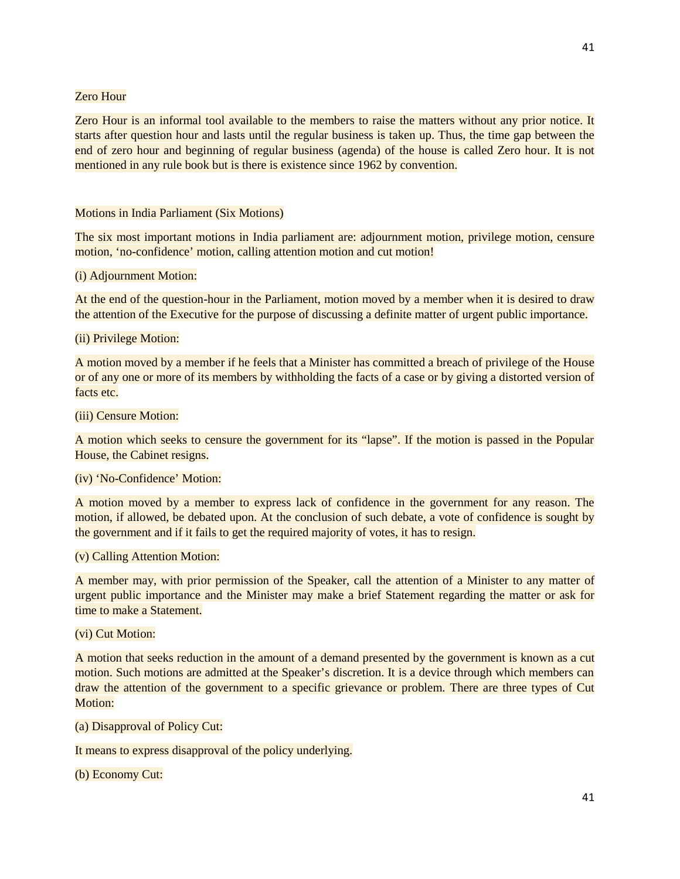#### Zero Hour

Zero Hour is an informal tool available to the members to raise the matters without any prior notice. It starts after question hour and lasts until the regular business is taken up. Thus, the time gap between the end of zero hour and beginning of regular business (agenda) of the house is called Zero hour. It is not mentioned in any rule book but is there is existence since 1962 by convention.

#### Motions in India Parliament (Six Motions)

The six most important motions in India parliament are: adjournment motion, privilege motion, censure motion, 'no-confidence' motion, calling attention motion and cut motion!

#### (i) Adjournment Motion:

At the end of the question-hour in the Parliament, motion moved by a member when it is desired to draw the attention of the Executive for the purpose of discussing a definite matter of urgent public importance.

#### (ii) Privilege Motion:

A motion moved by a member if he feels that a Minister has committed a breach of privilege of the House or of any one or more of its members by withholding the facts of a case or by giving a distorted version of facts etc.

#### (iii) Censure Motion:

A motion which seeks to censure the government for its "lapse". If the motion is passed in the Popular House, the Cabinet resigns.

#### (iv) 'No-Confidence' Motion:

A motion moved by a member to express lack of confidence in the government for any reason. The motion, if allowed, be debated upon. At the conclusion of such debate, a vote of confidence is sought by the government and if it fails to get the required majority of votes, it has to resign.

#### (v) Calling Attention Motion:

A member may, with prior permission of the Speaker, call the attention of a Minister to any matter of urgent public importance and the Minister may make a brief Statement regarding the matter or ask for time to make a Statement.

#### (vi) Cut Motion:

A motion that seeks reduction in the amount of a demand presented by the government is known as a cut motion. Such motions are admitted at the Speaker's discretion. It is a device through which members can draw the attention of the government to a specific grievance or problem. There are three types of Cut Motion:

(a) Disapproval of Policy Cut:

It means to express disapproval of the policy underlying.

(b) Economy Cut: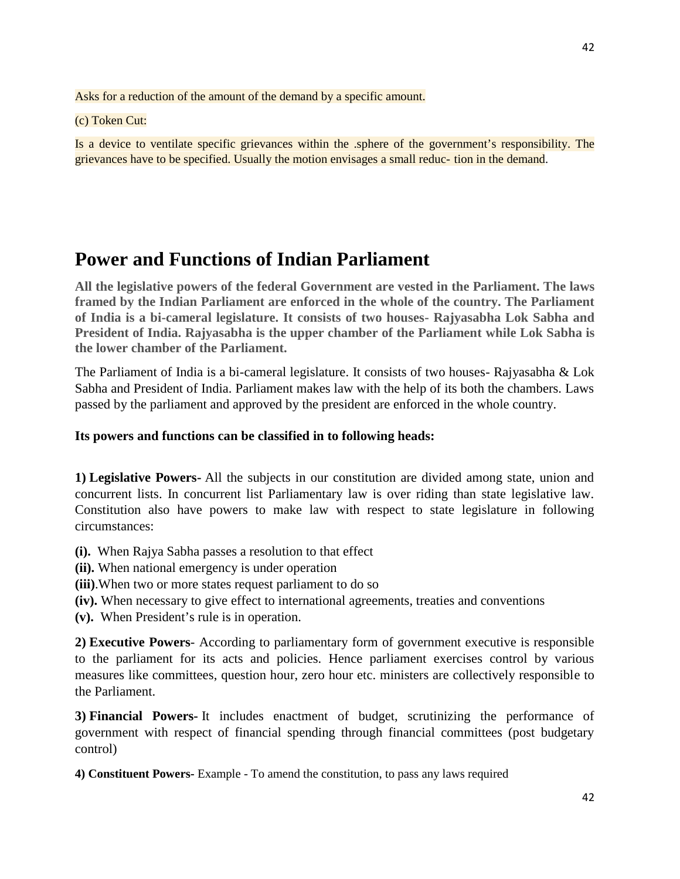Asks for a reduction of the amount of the demand by a specific amount.

(c) Token Cut:

Is a device to ventilate specific grievances within the .sphere of the government's responsibility. The grievances have to be specified. Usually the motion envisages a small reduc- tion in the demand.

# **Power and Functions of Indian Parliament**

**All the legislative powers of the federal Government are vested in the Parliament. The laws framed by the Indian Parliament are enforced in the whole of the country. The Parliament of India is a bi-cameral legislature. It consists of two houses- Rajyasabha Lok Sabha and President of India. Rajyasabha is the upper chamber of the Parliament while Lok Sabha is the lower chamber of the Parliament.**

The Parliament of India is a bi-cameral legislature. It consists of two houses- Rajyasabha & Lok Sabha and President of India. Parliament makes law with the help of its both the chambers. Laws passed by the parliament and approved by the president are enforced in the whole country.

#### **Its powers and functions can be classified in to following heads:**

**1) Legislative Powers-** All the subjects in our constitution are divided among state, union and concurrent lists. In concurrent list Parliamentary law is over riding than state legislative law. Constitution also have powers to make law with respect to state legislature in following circumstances:

**(i).** When Rajya Sabha passes a resolution to that effect

**(ii).** When national emergency is under operation

**(iii)**.When two or more states request parliament to do so

**(iv).** When necessary to give effect to international agreements, treaties and conventions

**(v).** When President's rule is in operation.

**2) Executive Powers**- According to parliamentary form of government executive is responsible to the parliament for its acts and policies. Hence parliament exercises control by various measures like committees, question hour, zero hour etc. ministers are collectively responsible to the Parliament.

**3) Financial Powers-** It includes enactment of budget, scrutinizing the performance of government with respect of financial spending through financial committees (post budgetary control)

**4) Constituent Powers-** Example - To amend the constitution, to pass any laws required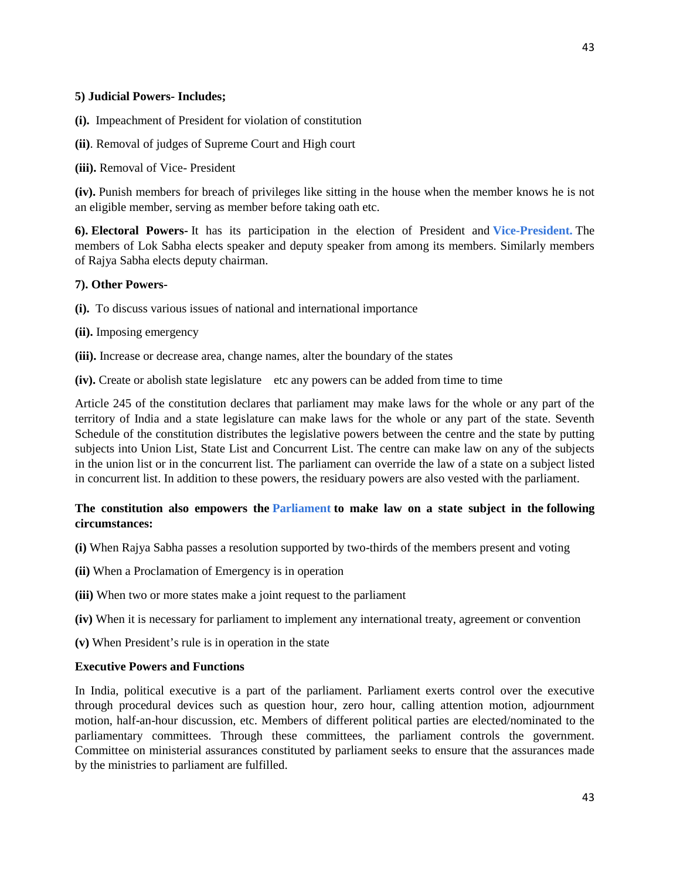#### **5) Judicial Powers- Includes;**

**(i).** Impeachment of President for violation of constitution

- **(ii)**. Removal of judges of Supreme Court and High court
- **(iii).** Removal of Vice- President

**(iv).** Punish members for breach of privileges like sitting in the house when the member knows he is not an eligible member, serving as member before taking oath etc.

**6). Electoral Powers-** It has its participation in the election of President and **Vice-President.** The members of Lok Sabha elects speaker and deputy speaker from among its members. Similarly members of Rajya Sabha elects deputy chairman.

#### **7). Other Powers-**

**(i).** To discuss various issues of national and international importance

**(ii).** Imposing emergency

**(iii).** Increase or decrease area, change names, alter the boundary of the states

**(iv).** Create or abolish state legislature etc any powers can be added from time to time

Article 245 of the constitution declares that parliament may make laws for the whole or any part of the territory of India and a state legislature can make laws for the whole or any part of the state. Seventh Schedule of the constitution distributes the legislative powers between the centre and the state by putting subjects into Union List, State List and Concurrent List. The centre can make law on any of the subjects in the union list or in the concurrent list. The parliament can override the law of a state on a subject listed in concurrent list. In addition to these powers, the residuary powers are also vested with the parliament.

#### **The constitution also empowers the Parliament to make law on a state subject in the following circumstances:**

**(i)** When Rajya Sabha passes a resolution supported by two-thirds of the members present and voting

- **(ii)** When a Proclamation of Emergency is in operation
- **(iii)** When two or more states make a joint request to the parliament
- **(iv)** When it is necessary for parliament to implement any international treaty, agreement or convention

**(v)** When President's rule is in operation in the state

#### **Executive Powers and Functions**

In India, political executive is a part of the parliament. Parliament exerts control over the executive through procedural devices such as question hour, zero hour, calling attention motion, adjournment motion, half-an-hour discussion, etc. Members of different political parties are elected/nominated to the parliamentary committees. Through these committees, the parliament controls the government. Committee on ministerial assurances constituted by parliament seeks to ensure that the assurances made by the ministries to parliament are fulfilled.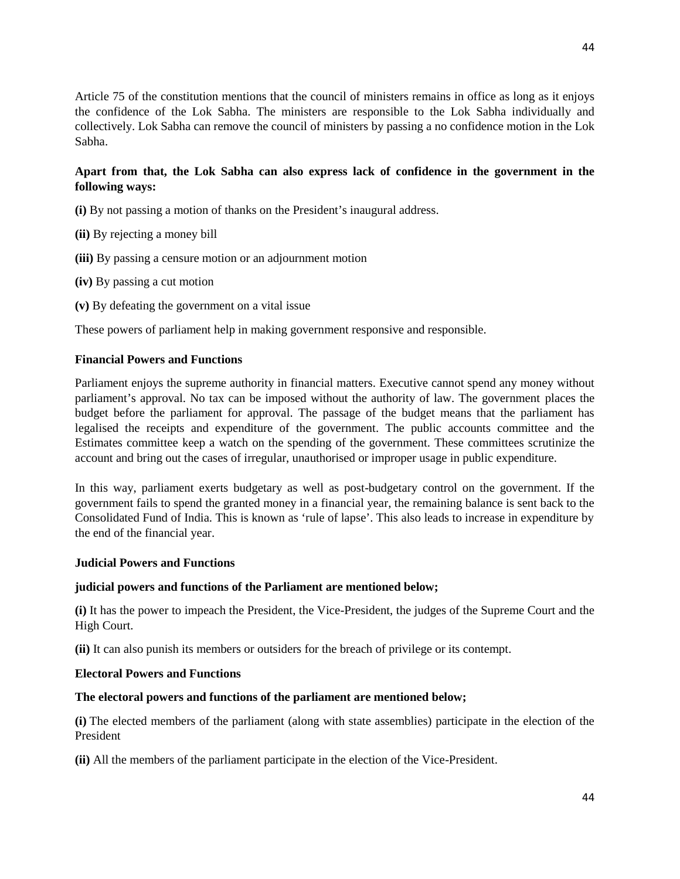Article 75 of the constitution mentions that the council of ministers remains in office as long as it enjoys the confidence of the Lok Sabha. The ministers are responsible to the Lok Sabha individually and collectively. Lok Sabha can remove the council of ministers by passing a no confidence motion in the Lok Sabha.

### **Apart from that, the Lok Sabha can also express lack of confidence in the government in the following ways:**

- **(i)** By not passing a motion of thanks on the President's inaugural address.
- **(ii)** By rejecting a money bill
- **(iii)** By passing a censure motion or an adjournment motion
- **(iv)** By passing a cut motion
- **(v)** By defeating the government on a vital issue

These powers of parliament help in making government responsive and responsible.

#### **Financial Powers and Functions**

Parliament enjoys the supreme authority in financial matters. Executive cannot spend any money without parliament's approval. No tax can be imposed without the authority of law. The government places the budget before the parliament for approval. The passage of the budget means that the parliament has legalised the receipts and expenditure of the government. The public accounts committee and the Estimates committee keep a watch on the spending of the government. These committees scrutinize the account and bring out the cases of irregular, unauthorised or improper usage in public expenditure.

In this way, parliament exerts budgetary as well as post-budgetary control on the government. If the government fails to spend the granted money in a financial year, the remaining balance is sent back to the Consolidated Fund of India. This is known as 'rule of lapse'. This also leads to increase in expenditure by the end of the financial year.

#### **Judicial Powers and Functions**

#### **judicial powers and functions of the Parliament are mentioned below;**

**(i)** It has the power to impeach the President, the Vice-President, the judges of the Supreme Court and the High Court.

**(ii)** It can also punish its members or outsiders for the breach of privilege or its contempt.

#### **Electoral Powers and Functions**

#### **The electoral powers and functions of the parliament are mentioned below;**

**(i)** The elected members of the parliament (along with state assemblies) participate in the election of the President

**(ii)** All the members of the parliament participate in the election of the Vice-President.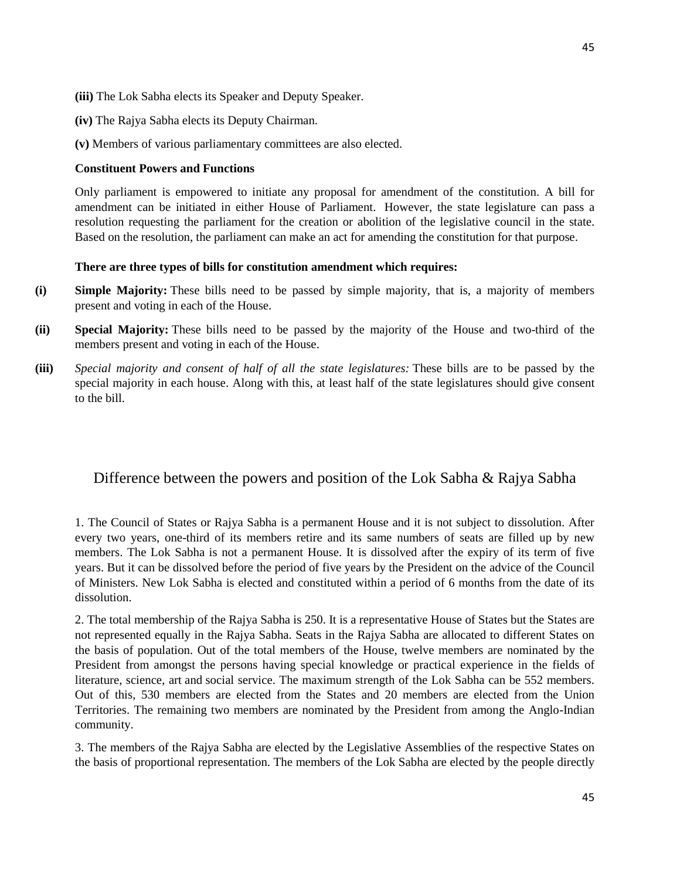- **(iii)** The Lok Sabha elects its Speaker and Deputy Speaker.
- **(iv)** The Rajya Sabha elects its Deputy Chairman.
- **(v)** Members of various parliamentary committees are also elected.

#### **Constituent Powers and Functions**

Only parliament is empowered to initiate any proposal for amendment of the constitution. A bill for amendment can be initiated in either House of Parliament. However, the state legislature can pass a resolution requesting the parliament for the creation or abolition of the legislative council in the state. Based on the resolution, the parliament can make an act for amending the constitution for that purpose.

#### **There are three types of bills for constitution amendment which requires:**

- **(i) Simple Majority:** These bills need to be passed by simple majority, that is, a majority of members present and voting in each of the House.
- **(ii) Special Majority:** These bills need to be passed by the majority of the House and two-third of the members present and voting in each of the House.
- **(iii)** *Special majority and consent of half of all the state legislatures:* These bills are to be passed by the special majority in each house. Along with this, at least half of the state legislatures should give consent to the bill.

# Difference between the powers and position of the Lok Sabha & Rajya Sabha

1. The Council of States or Rajya Sabha is a permanent House and it is not subject to dissolution. After every two years, one-third of its members retire and its same numbers of seats are filled up by new members. The Lok Sabha is not a permanent House. It is dissolved after the expiry of its term of five years. But it can be dissolved before the period of five years by the President on the advice of the Council of Ministers. New Lok Sabha is elected and constituted within a period of 6 months from the date of its dissolution.

2. The total membership of the Rajya Sabha is 250. It is a representative House of States but the States are not represented equally in the Rajya Sabha. Seats in the Rajya Sabha are allocated to different States on the basis of population. Out of the total members of the House, twelve members are nominated by the President from amongst the persons having special knowledge or practical experience in the fields of literature, science, art and social service. The maximum strength of the Lok Sabha can be 552 members. Out of this, 530 members are elected from the States and 20 members are elected from the Union Territories. The remaining two members are nominated by the President from among the Anglo-Indian community.

3. The members of the Rajya Sabha are elected by the Legislative Assemblies of the respective States on the basis of proportional representation. The members of the Lok Sabha are elected by the people directly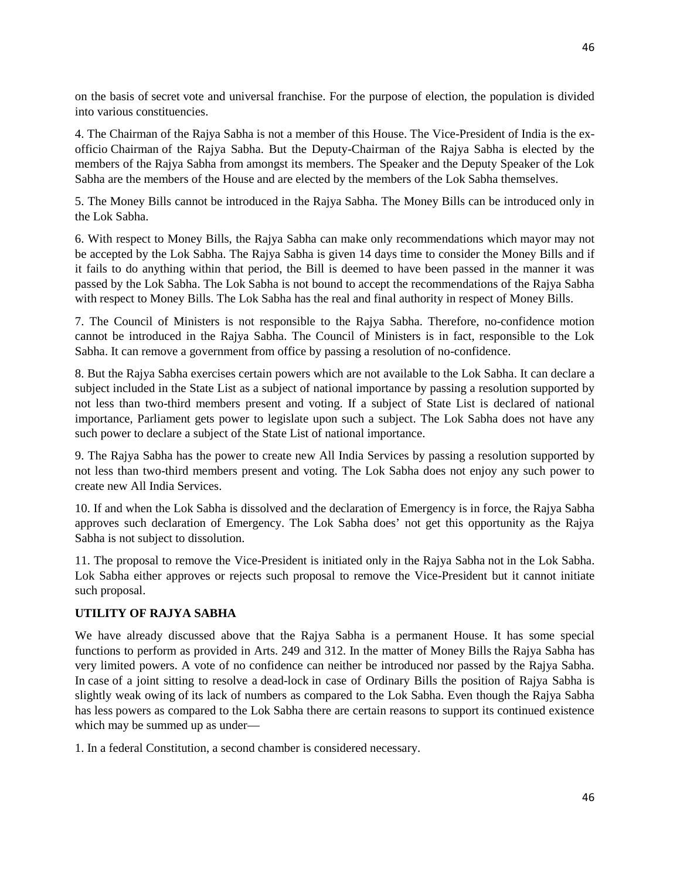on the basis of secret vote and universal franchise. For the purpose of election, the population is divided into various constituencies.

4. The Chairman of the Rajya Sabha is not a member of this House. The Vice-President of India is the ex officio Chairman of the Rajya Sabha. But the Deputy-Chairman of the Rajya Sabha is elected by the members of the Rajya Sabha from amongst its members. The Speaker and the Deputy Speaker of the Lok Sabha are the members of the House and are elected by the members of the Lok Sabha themselves.

5. The Money Bills cannot be introduced in the Rajya Sabha. The Money Bills can be introduced only in the Lok Sabha.

6. With respect to Money Bills, the Rajya Sabha can make only recommendations which mayor may not be accepted by the Lok Sabha. The Rajya Sabha is given 14 days time to consider the Money Bills and if it fails to do anything within that period, the Bill is deemed to have been passed in the manner it was passed by the Lok Sabha. The Lok Sabha is not bound to accept the recommendations of the Rajya Sabha with respect to Money Bills. The Lok Sabha has the real and final authority in respect of Money Bills.

7. The Council of Ministers is not responsible to the Rajya Sabha. Therefore, no-confidence motion cannot be introduced in the Rajya Sabha. The Council of Ministers is in fact, responsible to the Lok Sabha. It can remove a government from office by passing a resolution of no-confidence.

8. But the Rajya Sabha exercises certain powers which are not available to the Lok Sabha. It can declare a subject included in the State List as a subject of national importance by passing a resolution supported by not less than two-third members present and voting. If a subject of State List is declared of national importance, Parliament gets power to legislate upon such a subject. The Lok Sabha does not have any such power to declare a subject of the State List of national importance.

9. The Rajya Sabha has the power to create new All India Services by passing a resolution supported by not less than two-third members present and voting. The Lok Sabha does not enjoy any such power to create new All India Services.

10. If and when the Lok Sabha is dissolved and the declaration of Emergency is in force, the Rajya Sabha approves such declaration of Emergency. The Lok Sabha does' not get this opportunity as the Rajya Sabha is not subject to dissolution.

11. The proposal to remove the Vice-President is initiated only in the Rajya Sabha not in the Lok Sabha. Lok Sabha either approves or rejects such proposal to remove the Vice-President but it cannot initiate such proposal.

#### **UTILITY OF RAJYA SABHA**

We have already discussed above that the Rajya Sabha is a permanent House. It has some special functions to perform as provided in Arts. 249 and 312. In the matter of Money Bills the Rajya Sabha has very limited powers. A vote of no confidence can neither be introduced nor passed by the Rajya Sabha. In case of a joint sitting to resolve a dead-lock in case of Ordinary Bills the position of Rajya Sabha is slightly weak owing of its lack of numbers as compared to the Lok Sabha. Even though the Rajya Sabha has less powers as compared to the Lok Sabha there are certain reasons to support its continued existence which may be summed up as under—

1. In a federal Constitution, a second chamber is considered necessary.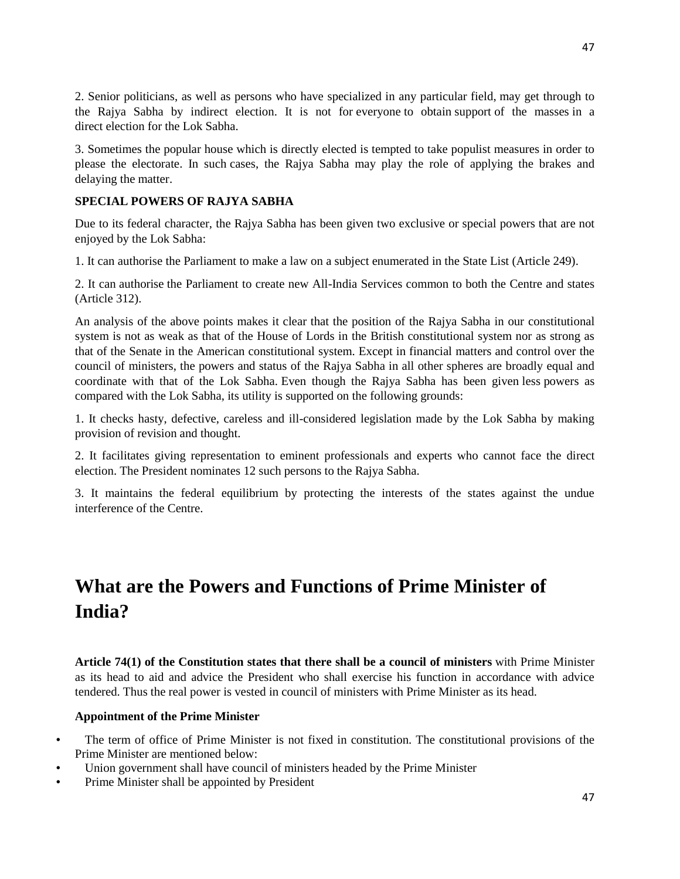2. Senior politicians, as well as persons who have specialized in any particular field, may get through to the Rajya Sabha by indirect election. It is not for everyone to obtain support of the masses in a direct election for the Lok Sabha.

3. Sometimes the popular house which is directly elected is tempted to take populist measures in order to please the electorate. In such cases, the Rajya Sabha may play the role of applying the brakes and delaying the matter.

### **SPECIAL POWERS OF RAJYA SABHA**

Due to its federal character, the Rajya Sabha has been given two exclusive or special powers that are not enjoyed by the Lok Sabha:

1. It can authorise the Parliament to make a law on a subject enumerated in the State List (Article 249).

2. It can authorise the Parliament to create new All-India Services common to both the Centre and states (Article 312).

An analysis of the above points makes it clear that the position of the Rajya Sabha in our constitutional system is not as weak as that of the House of Lords in the British constitutional system nor as strong as that of the Senate in the American constitutional system. Except in financial matters and control over the council of ministers, the powers and status of the Rajya Sabha in all other spheres are broadly equal and coordinate with that of the Lok Sabha. Even though the Rajya Sabha has been given less powers as compared with the Lok Sabha, its utility is supported on the following grounds:

1. It checks hasty, defective, careless and ill-considered legislation made by the Lok Sabha by making provision of revision and thought.

2. It facilitates giving representation to eminent professionals and experts who cannot face the direct election. The President nominates 12 such persons to the Rajya Sabha.

3. It maintains the federal equilibrium by protecting the interests of the states against the undue interference of the Centre.

# **What are the Powers and Functions of Prime Minister of India?**

**Article 74(1) of the Constitution states that there shall be a council of ministers** with Prime Minister as its head to aid and advice the President who shall exercise his function in accordance with advice tendered. Thus the real power is vested in council of ministers with Prime Minister as its head.

#### **Appointment of the Prime Minister**

- The term of office of Prime Minister is not fixed in constitution. The constitutional provisions of the Prime Minister are mentioned below:
- Union government shall have council of ministers headed by the Prime Minister
- Prime Minister shall be appointed by President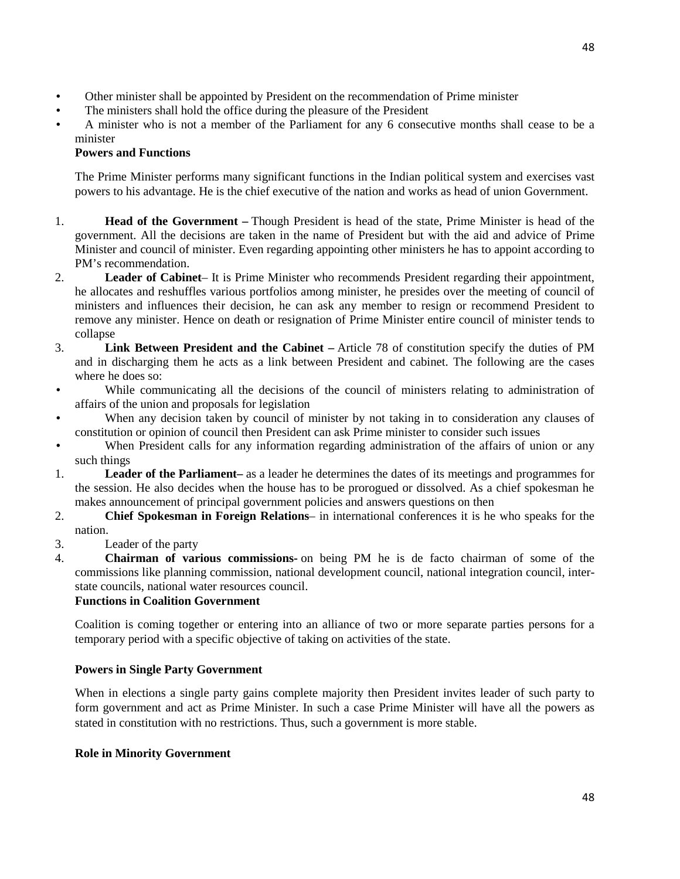- Other minister shall be appointed by President on the recommendation of Prime minister
- The ministers shall hold the office during the pleasure of the President
- A minister who is not a member of the Parliament for any 6 consecutive months shall cease to be a minister

### **Powers and Functions**

The Prime Minister performs many significant functions in the Indian political system and exercises vast powers to his advantage. He is the chief executive of the nation and works as head of union Government.

- 1. **Head of the Government –** Though President is head of the state, Prime Minister is head of the government. All the decisions are taken in the name of President but with the aid and advice of Prime Minister and council of minister. Even regarding appointing other ministers he has to appoint according to PM's recommendation.
- 2. **Leader of Cabinet** It is Prime Minister who recommends President regarding their appointment, he allocates and reshuffles various portfolios among minister, he presides over the meeting of council of ministers and influences their decision, he can ask any member to resign or recommend President to remove any minister. Hence on death or resignation of Prime Minister entire council of minister tends to collapse
- 3. **Link Between President and the Cabinet –** Article 78 of constitution specify the duties of PM and in discharging them he acts as a link between President and cabinet. The following are the cases where he does so:
- While communicating all the decisions of the council of ministers relating to administration of affairs of the union and proposals for legislation
- When any decision taken by council of minister by not taking in to consideration any clauses of constitution or opinion of council then President can ask Prime minister to consider such issues
- When President calls for any information regarding administration of the affairs of union or any such things
- 1. **Leader of the Parliament–** as a leader he determines the dates of its meetings and programmes for the session. He also decides when the house has to be prorogued or dissolved. As a chief spokesman he makes announcement of principal government policies and answers questions on then
- 2. **Chief Spokesman in Foreign Relations** in international conferences it is he who speaks for the nation.
- 3. Leader of the party
- 4. **Chairman of various commissions-** on being PM he is de facto chairman of some of the commissions like planning commission, national development council, national integration council, inter state councils, national water resources council.

### **Functions in Coalition Government**

Coalition is coming together or entering into an alliance of two or more separate parties persons for a temporary period with a specific objective of taking on activities of the state.

#### **Powers in Single Party Government**

When in elections a single party gains complete majority then President invites leader of such party to form government and act as Prime Minister. In such a case Prime Minister will have all the powers as stated in constitution with no restrictions. Thus, such a government is more stable.

#### **Role in Minority Government**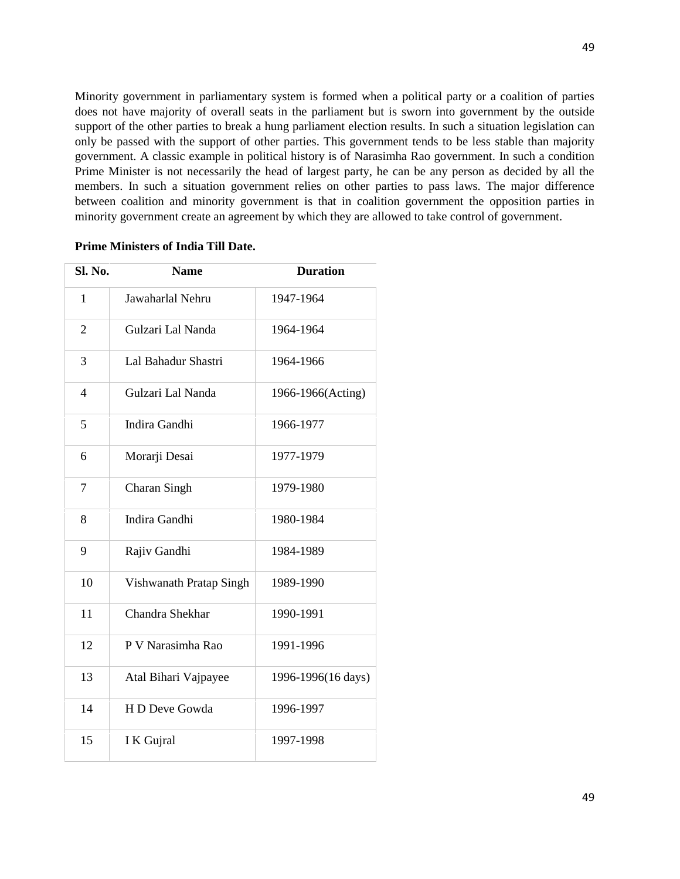Minority government in parliamentary system is formed when a political party or a coalition of parties does not have majority of overall seats in the parliament but is sworn into government by the outside support of the other parties to break a hung parliament election results. In such a situation legislation can only be passed with the support of other parties. This government tends to be less stable than majority government. A classic example in political history is of Narasimha Rao government. In such a condition Prime Minister is not necessarily the head of largest party, he can be any person as decided by all the members. In such a situation government relies on other parties to pass laws. The major difference between coalition and minority government is that in coalition government the opposition parties in minority government create an agreement by which they are allowed to take control of government.

| Sl. No.        | <b>Name</b>             | <b>Duration</b>    |
|----------------|-------------------------|--------------------|
| $\mathbf{1}$   | Jawaharlal Nehru        | 1947-1964          |
| $\overline{2}$ | Gulzari Lal Nanda       | 1964-1964          |
| 3              | Lal Bahadur Shastri     | 1964-1966          |
| $\overline{4}$ | Gulzari Lal Nanda       | 1966-1966(Acting)  |
| 5              | Indira Gandhi           | 1966-1977          |
| 6              | Morarji Desai           | 1977-1979          |
| 7              | Charan Singh            | 1979-1980          |
| 8              | Indira Gandhi           | 1980-1984          |
| 9              | Rajiv Gandhi            | 1984-1989          |
| 10             | Vishwanath Pratap Singh | 1989-1990          |
| 11             | Chandra Shekhar         | 1990-1991          |
| 12             | P V Narasimha Rao       | 1991-1996          |
| 13             | Atal Bihari Vajpayee    | 1996-1996(16 days) |
| 14             | H D Deve Gowda          | 1996-1997          |
| 15             | I K Gujral              | 1997-1998          |
|                |                         |                    |

| <b>Prime Ministers of India Till Date.</b> |  |
|--------------------------------------------|--|
|--------------------------------------------|--|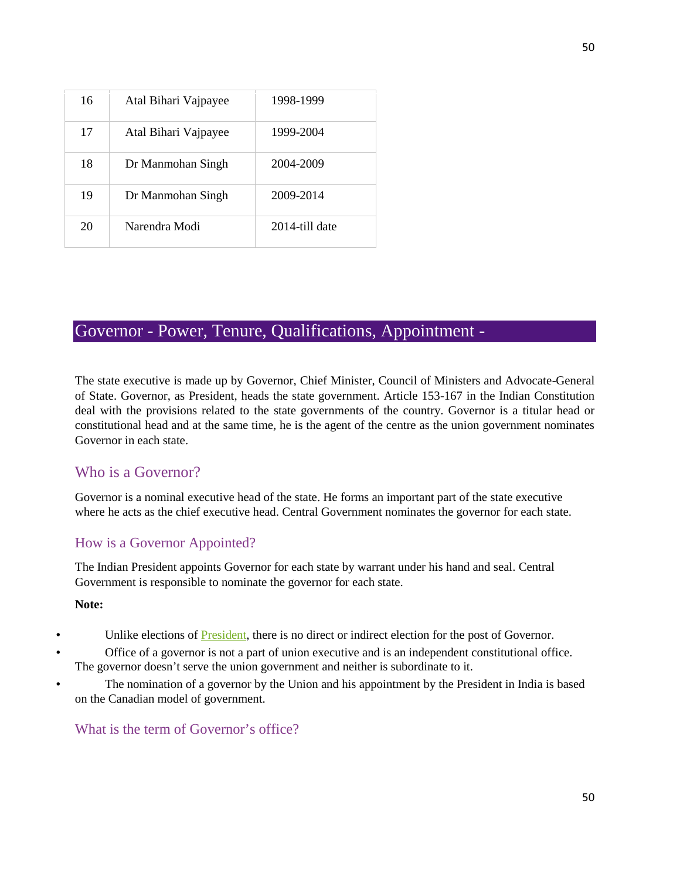| 16 | Atal Bihari Vajpayee | 1998-1999      |
|----|----------------------|----------------|
| 17 | Atal Bihari Vajpayee | 1999-2004      |
| 18 | Dr Manmohan Singh    | 2004-2009      |
| 19 | Dr Manmohan Singh    | 2009-2014      |
| 20 | Narendra Modi        | 2014-till date |

# Governor - Power, Tenure, Qualifications, Appointment -

The state executive is made up by Governor, Chief Minister, Council of Ministers and Advocate-General of State. Governor, as President, heads the state government. Article 153-167 in the Indian Constitution deal with the provisions related to the state governments of the country. Governor is a titular head or constitutional head and at the same time, he is the agent of the centre as the union government nominates Governor in each state.

# Who is a Governor?

Governor is a nominal executive head of the state. He forms an important part of the state executive where he acts as the chief executive head. Central Government nominates the governor for each state.

# How is a Governor Appointed?

The Indian President appoints Governor for each state by warrant under his hand and seal. Central Government is responsible to nominate the governor for each state.

#### **Note:**

- Unlike elections of **President**, there is no direct or indirect election for the post of Governor.
- Office of a governor is not a part of union executive and is an independent constitutional office. The governor doesn't serve the union government and neither is subordinate to it.
- The nomination of a governor by the Union and his appointment by the President in India is based on the Canadian model of government.

# What is the term of Governor's office?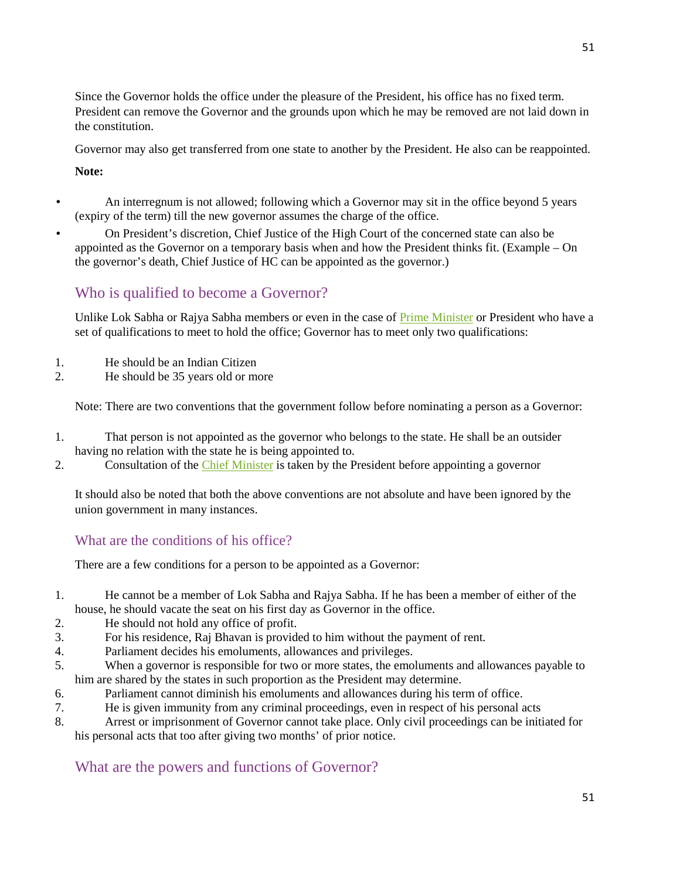Since the Governor holds the office under the pleasure of the President, his office has no fixed term. President can remove the Governor and the grounds upon which he may be removed are not laid down in the constitution.

Governor may also get transferred from one state to another by the President. He also can be reappointed.

**Note:**

- An interregnum is not allowed; following which a Governor may sit in the office beyond 5 years (expiry of the term) till the new governor assumes the charge of the office.
- On President's discretion, Chief Justice of the High Court of the concerned state can also be appointed as the Governor on a temporary basis when and how the President thinks fit. (Example – On the governor's death, Chief Justice of HC can be appointed as the governor.)

# Who is qualified to become a Governor?

Unlike Lok Sabha or Rajya Sabha members or even in the case of Prime Minister or President who have a set of qualifications to meet to hold the office; Governor has to meet only two qualifications:

- 1. He should be an Indian Citizen
- 2. He should be 35 years old or more

Note: There are two conventions that the government follow before nominating a person as a Governor:

- 1. That person is not appointed as the governor who belongs to the state. He shall be an outsider having no relation with the state he is being appointed to.
- 2. Consultation of the Chief Minister is taken by the President before appointing a governor

It should also be noted that both the above conventions are not absolute and have been ignored by the union government in many instances.

# What are the conditions of his office?

There are a few conditions for a person to be appointed as a Governor:

- 1. He cannot be a member of Lok Sabha and Rajya Sabha. If he has been a member of either of the house, he should vacate the seat on his first day as Governor in the office.
- 2. He should not hold any office of profit.
- 3. For his residence, Raj Bhavan is provided to him without the payment of rent.
- 4. Parliament decides his emoluments, allowances and privileges.
- 5. When a governor is responsible for two or more states, the emoluments and allowances payable to him are shared by the states in such proportion as the President may determine.
- 6. Parliament cannot diminish his emoluments and allowances during his term of office.
- 7. He is given immunity from any criminal proceedings, even in respect of his personal acts
- 8. Arrest or imprisonment of Governor cannot take place. Only civil proceedings can be initiated for his personal acts that too after giving two months' of prior notice.

# What are the powers and functions of Governor?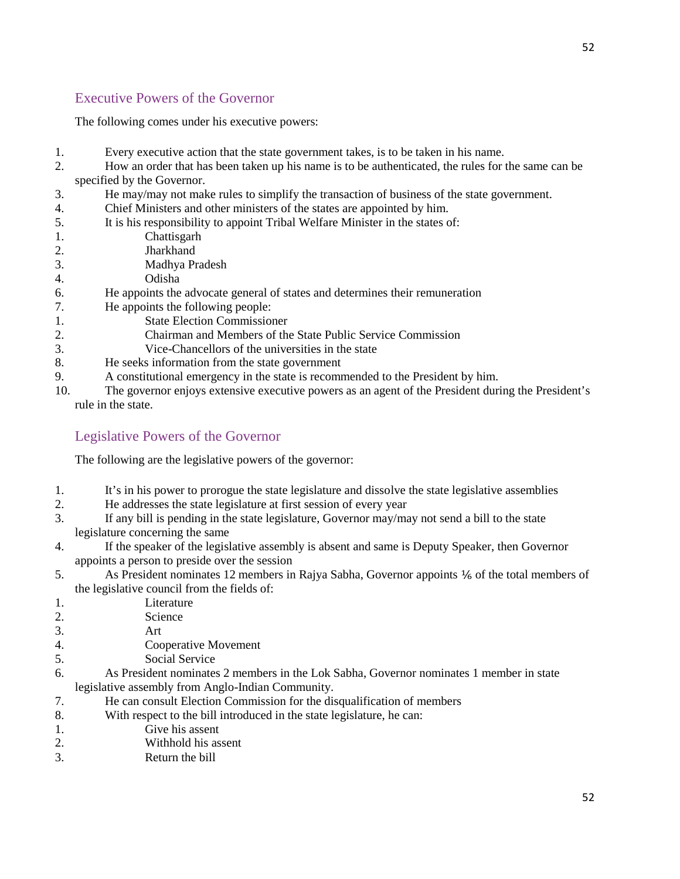# Executive Powers of the Governor

The following comes under his executive powers:

- 1. Every executive action that the state government takes, is to be taken in his name.
- 2. How an order that has been taken up his name is to be authenticated, the rules for the same can be specified by the Governor.
- 3. He may/may not make rules to simplify the transaction of business of the state government.
- 4. Chief Ministers and other ministers of the states are appointed by him.
- 5. It is his responsibility to appoint Tribal Welfare Minister in the states of:
- 1. Chattisgarh
- 2. Jharkhand
- 3. Madhya Pradesh
- 4. Odisha
- 6. He appoints the advocate general of states and determines their remuneration
- 7. He appoints the following people:
- 1. State Election Commissioner
- 2. Chairman and Members of the State Public Service Commission
- 3. Vice-Chancellors of the universities in the state
- 8. He seeks information from the state government
- 9. A constitutional emergency in the state is recommended to the President by him.
- 10. The governor enjoys extensive executive powers as an agent of the President during the President's rule in the state.

### Legislative Powers of the Governor

The following are the legislative powers of the governor:

- 1. It's in his power to prorogue the state legislature and dissolve the state legislative assemblies
- 2. He addresses the state legislature at first session of every year
- 3. If any bill is pending in the state legislature, Governor may/may not send a bill to the state legislature concerning the same
- 4. If the speaker of the legislative assembly is absent and same is Deputy Speaker, then Governor appoints a person to preside over the session
- 5. As President nominates 12 members in Rajya Sabha, Governor appoints ⅙ of the total members of the legislative council from the fields of:
- 1. Literature
- 2. Science
- 3. Art
- 4. Cooperative Movement
- 5. Social Service
- 6. As President nominates 2 members in the Lok Sabha, Governor nominates 1 member in state legislative assembly from Anglo-Indian Community.
- 7. He can consult Election Commission for the disqualification of members
- 8. With respect to the bill introduced in the state legislature, he can:
- 1. Give his assent
- 2. Withhold his assent
- 3. Return the bill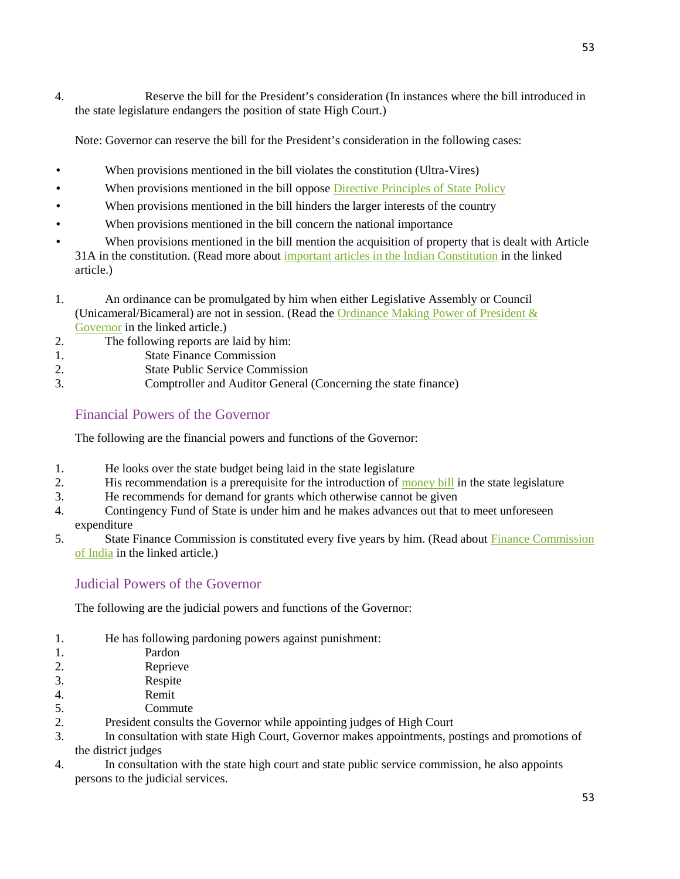4. Reserve the bill for the President's consideration (In instances where the bill introduced in the state legislature endangers the position of state High Court.)

Note: Governor can reserve the bill for the President's consideration in the following cases:

- When provisions mentioned in the bill violates the constitution (Ultra-Vires)
- When provisions mentioned in the bill oppose Directive Principles of State Policy
- When provisions mentioned in the bill hinders the larger interests of the country
- When provisions mentioned in the bill concern the national importance
- When provisions mentioned in the bill mention the acquisition of property that is dealt with Article 31A in the constitution. (Read more about *important articles in the Indian Constitution* in the linked article.)
- 1. An ordinance can be promulgated by him when either Legislative Assembly or Council (Unicameral/Bicameral) are not in session. (Read the Ordinance Making Power of President  $\&$ Governor in the linked article.)
- 2. The following reports are laid by him:
- 1. State Finance Commission
- 2. State Public Service Commission
- 3. Comptroller and Auditor General (Concerning the state finance)

# Financial Powers of the Governor

The following are the financial powers and functions of the Governor:

- 1. He looks over the state budget being laid in the state legislature
- 2. His recommendation is a prerequisite for the introduction of money bill in the state legislature
- 3. He recommends for demand for grants which otherwise cannot be given
- 4. Contingency Fund of State is under him and he makes advances out that to meet unforeseen expenditure
- 5. State Finance Commission is constituted every five years by him. (Read about Finance Commission of India in the linked article.)

# Judicial Powers of the Governor

The following are the judicial powers and functions of the Governor:

- 1. He has following pardoning powers against punishment: 1. Pardon 2. Reprieve 3. Respite 4. Remit 5. Commute 2. President consults the Governor while appointing judges of High Court 3. In consultation with state High Court, Governor makes appointments, postings and promotions of the district judges
- 4. In consultation with the state high court and state public service commission, he also appoints persons to the judicial services.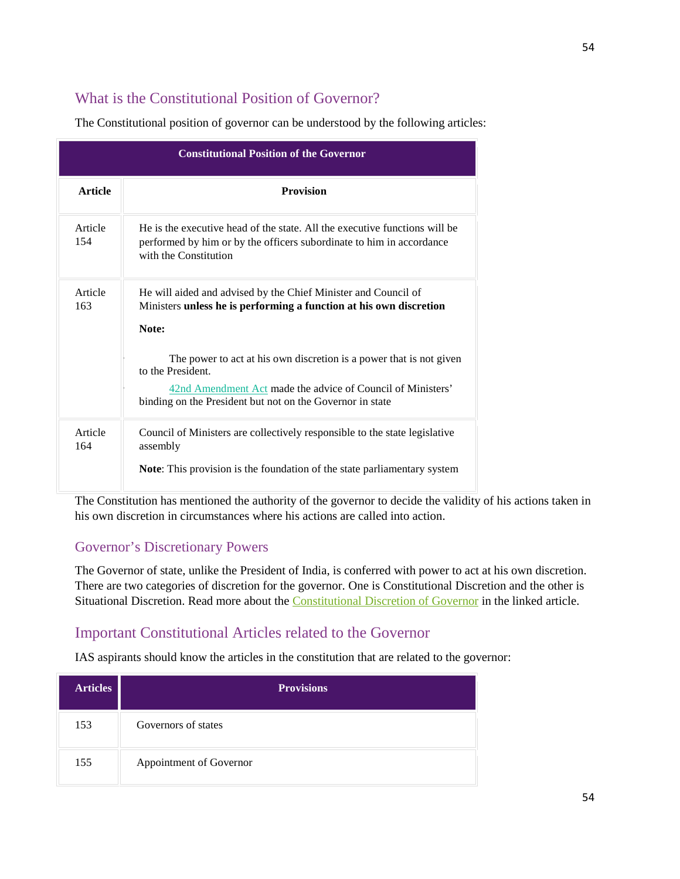# What is the Constitutional Position of Governor?

The Constitutional position of governor can be understood by the following articles:

| <b>Constitutional Position of the Governor</b> |                                                                                                                                                                                                                      |
|------------------------------------------------|----------------------------------------------------------------------------------------------------------------------------------------------------------------------------------------------------------------------|
| <b>Article</b>                                 | <b>Provision</b>                                                                                                                                                                                                     |
| Article<br>154                                 | He is the executive head of the state. All the executive functions will be<br>performed by him or by the officers subordinate to him in accordance<br>with the Constitution                                          |
| Article<br>163                                 | He will aided and advised by the Chief Minister and Council of<br>Ministers unless he is performing a function at his own discretion<br>Note:                                                                        |
|                                                | The power to act at his own discretion is a power that is not given<br>to the President.<br>42nd Amendment Act made the advice of Council of Ministers'<br>binding on the President but not on the Governor in state |
| Article<br>164                                 | Council of Ministers are collectively responsible to the state legislative<br>assembly<br>Note: This provision is the foundation of the state parliamentary system                                                   |

The Constitution has mentioned the authority of the governor to decide the validity of his actions taken in his own discretion in circumstances where his actions are called into action.

# Governor's Discretionary Powers

The Governor of state, unlike the President of India, is conferred with power to act at his own discretion. There are two categories of discretion for the governor. One is Constitutional Discretion and the other is Situational Discretion. Read more about the **Constitutional Discretion of Governor** in the linked article.

# Important Constitutional Articles related to the Governor

IAS aspirants should know the articles in the constitution that are related to the governor:

| <b>Articles</b> | <b>Provisions</b>       |
|-----------------|-------------------------|
| 153             | Governors of states     |
| 155             | Appointment of Governor |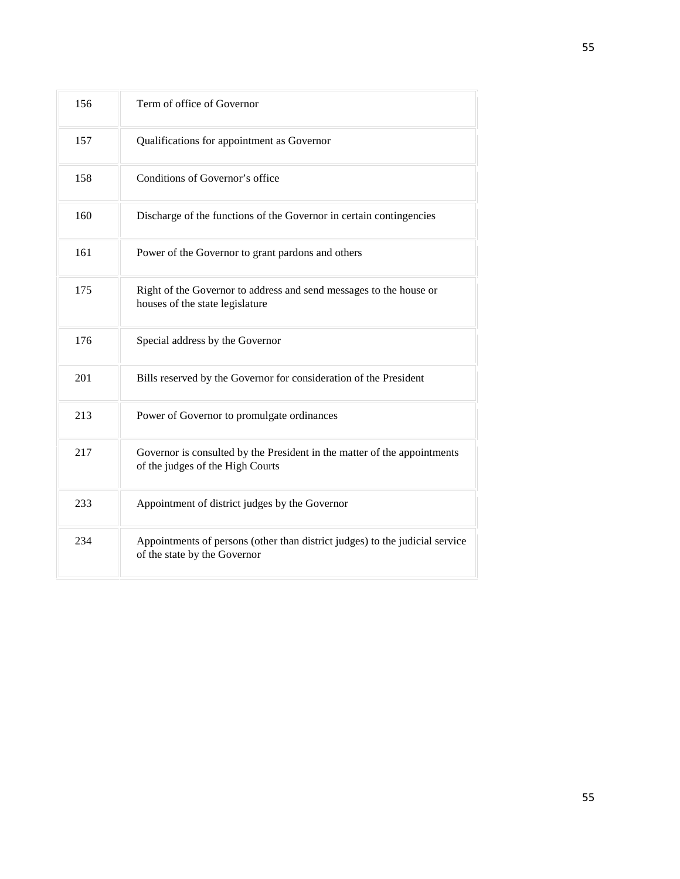| 156 | Term of office of Governor                                                                                   |
|-----|--------------------------------------------------------------------------------------------------------------|
| 157 | Qualifications for appointment as Governor                                                                   |
| 158 | Conditions of Governor's office                                                                              |
| 160 | Discharge of the functions of the Governor in certain contingencies                                          |
| 161 | Power of the Governor to grant pardons and others                                                            |
| 175 | Right of the Governor to address and send messages to the house or<br>houses of the state legislature        |
| 176 | Special address by the Governor                                                                              |
| 201 | Bills reserved by the Governor for consideration of the President                                            |
| 213 | Power of Governor to promulgate ordinances                                                                   |
| 217 | Governor is consulted by the President in the matter of the appointments<br>of the judges of the High Courts |
| 233 | Appointment of district judges by the Governor                                                               |
| 234 | Appointments of persons (other than district judges) to the judicial service<br>of the state by the Governor |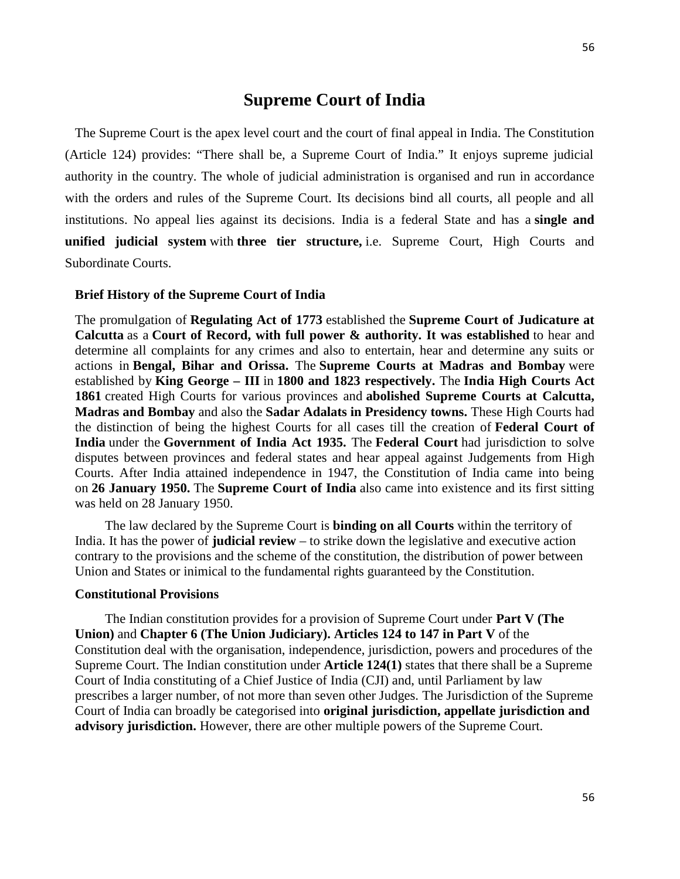# **Supreme Court of India**

The Supreme Court is the apex level court and the court of final appeal in India. The Constitution (Article 124) provides: "There shall be, a Supreme Court of India." It enjoys supreme judicial authority in the country. The whole of judicial administration is organised and run in accordance with the orders and rules of the Supreme Court. Its decisions bind all courts, all people and all institutions. No appeal lies against its decisions. India is a federal State and has a **single and unified judicial system** with **three tier structure,** i.e. Supreme Court, High Courts and Subordinate Courts.

#### **Brief History of the Supreme Court of India**

The promulgation of **Regulating Act of 1773** established the **Supreme Court of Judicature at Calcutta** as a **Court of Record, with full power & authority. It was established** to hear and determine all complaints for any crimes and also to entertain, hear and determine any suits or actions in **Bengal, Bihar and Orissa.** The **Supreme Courts at Madras and Bombay** were established by **King George – III** in **1800 and 1823 respectively.** The **India High Courts Act 1861** created High Courts for various provinces and **abolished Supreme Courts at Calcutta, Madras and Bombay** and also the **Sadar Adalats in Presidency towns.** These High Courts had the distinction of being the highest Courts for all cases till the creation of **Federal Court of India** under the **Government of India Act 1935.** The **Federal Court** had jurisdiction to solve disputes between provinces and federal states and hear appeal against Judgements from High Courts. After India attained independence in 1947, the Constitution of India came into being on **26 January 1950.** The **Supreme Court of India** also came into existence and its first sitting was held on 28 January 1950.

The law declared by the Supreme Court is **binding on all Courts** within the territory of India. It has the power of **judicial review** – to strike down the legislative and executive action contrary to the provisions and the scheme of the constitution, the distribution of power between Union and States or inimical to the fundamental rights guaranteed by the Constitution.

#### **Constitutional Provisions**

The Indian constitution provides for a provision of Supreme Court under **Part V (The Union)** and **Chapter 6 (The Union Judiciary). Articles 124 to 147 in Part V** of the Constitution deal with the organisation, independence, jurisdiction, powers and procedures of the Supreme Court. The Indian constitution under **Article 124(1)** states that there shall be a Supreme Court of India constituting of a Chief Justice of India (CJI) and, until Parliament by law prescribes a larger number, of not more than seven other Judges. The Jurisdiction of the Supreme Court of India can broadly be categorised into **original jurisdiction, appellate jurisdiction and advisory jurisdiction.** However, there are other multiple powers of the Supreme Court.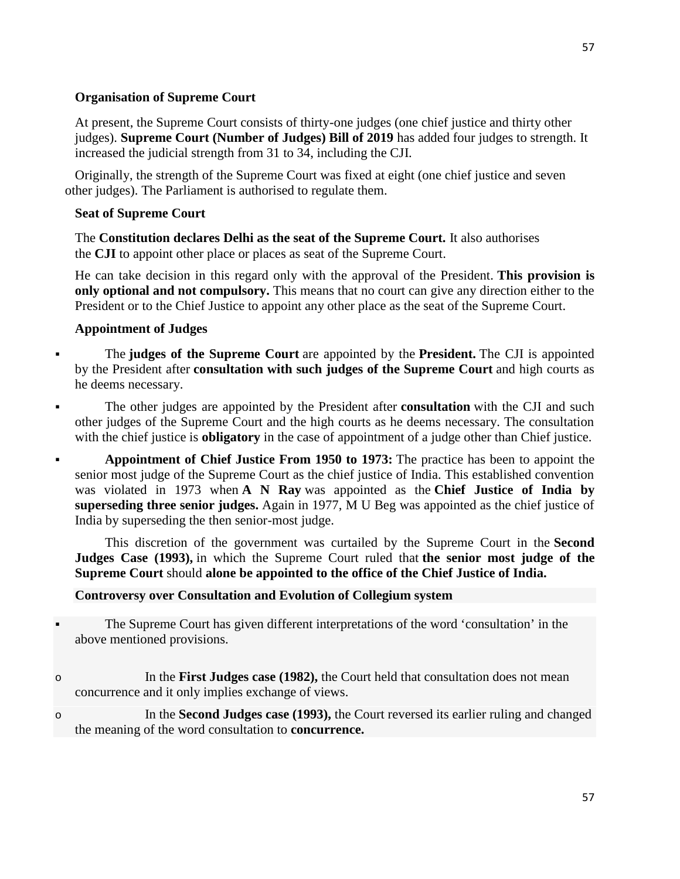### **Organisation of Supreme Court**

At present, the Supreme Court consists of thirty-one judges (one chief justice and thirty other judges). **Supreme Court (Number of Judges) Bill of 2019** has added four judges to strength. It increased the judicial strength from 31 to 34, including the CJI.

Originally, the strength of the Supreme Court was fixed at eight (one chief justice and seven other judges). The Parliament is authorised to regulate them.

### **Seat of Supreme Court**

The **Constitution declares Delhi as the seat of the Supreme Court.** It also authorises the **CJI** to appoint other place or places as seat of the Supreme Court.

He can take decision in this regard only with the approval of the President. **This provision is only optional and not compulsory.** This means that no court can give any direction either to the President or to the Chief Justice to appoint any other place as the seat of the Supreme Court.

### **Appointment of Judges**

- The **judges of the Supreme Court** are appointed by the **President.** The CJI is appointed by the President after **consultation with such judges of the Supreme Court** and high courts as he deems necessary.
- The other judges are appointed by the President after **consultation** with the CJI and such other judges of the Supreme Court and the high courts as he deems necessary. The consultation with the chief justice is **obligatory** in the case of appointment of a judge other than Chief justice.
	- **Appointment of Chief Justice From 1950 to 1973:** The practice has been to appoint the senior most judge of the Supreme Court as the chief justice of India. This established convention was violated in 1973 when **A N Ray** was appointed as the **Chief Justice of India by superseding three senior judges.** Again in 1977, M U Beg was appointed as the chief justice of India by superseding the then senior-most judge.

This discretion of the government was curtailed by the Supreme Court in the **Second Judges Case (1993),** in which the Supreme Court ruled that **the senior most judge of the Supreme Court** should **alone be appointed to the office of the Chief Justice of India.**

#### **Controversy over Consultation and Evolution of Collegium system**

- The Supreme Court has given different interpretations of the word 'consultation' in the above mentioned provisions.
- o In the **First Judges case (1982),** the Court held that consultation does not mean concurrence and it only implies exchange of views.
- o In the **Second Judges case (1993),** the Court reversed its earlier ruling and changed the meaning of the word consultation to **concurrence.**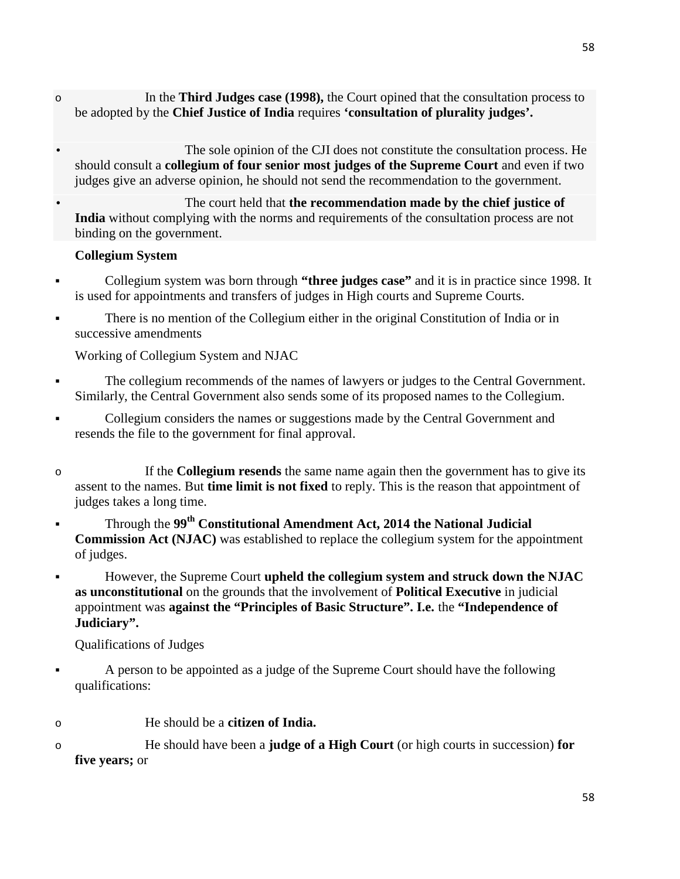- o In the **Third Judges case (1998),** the Court opined that the consultation process to be adopted by the **Chief Justice of India** requires **'consultation of plurality judges'.**
- The sole opinion of the CJI does not constitute the consultation process. He should consult a **collegium of four senior most judges of the Supreme Court** and even if two judges give an adverse opinion, he should not send the recommendation to the government.
- The court held that **the recommendation made by the chief justice of India** without complying with the norms and requirements of the consultation process are not binding on the government.

# **Collegium System**

- Collegium system was born through **"three judges case"** and it is in practice since 1998. It is used for appointments and transfers of judges in High courts and Supreme Courts.
- There is no mention of the Collegium either in the original Constitution of India or in successive amendments

Working of Collegium System and NJAC

- The collegium recommends of the names of lawyers or judges to the Central Government. Similarly, the Central Government also sends some of its proposed names to the Collegium.
- Collegium considers the names or suggestions made by the Central Government and resends the file to the government for final approval.
- o If the **Collegium resends** the same name again then the government has to give its assent to the names. But **time limit is not fixed** to reply. This is the reason that appointment of judges takes a long time.
- Through the **99th Constitutional Amendment Act, 2014 the National Judicial Commission Act (NJAC)** was established to replace the collegium system for the appointment of judges.
- However, the Supreme Court **upheld the collegium system and struck down the NJAC as unconstitutional** on the grounds that the involvement of **Political Executive** in judicial appointment was **against the "Principles of Basic Structure". I.e.** the **"Independence of Judiciary".**

Qualifications of Judges

- A person to be appointed as a judge of the Supreme Court should have the following qualifications:
- o He should be a **citizen of India.**
- o He should have been a **judge of a High Court** (or high courts in succession) **for five years;** or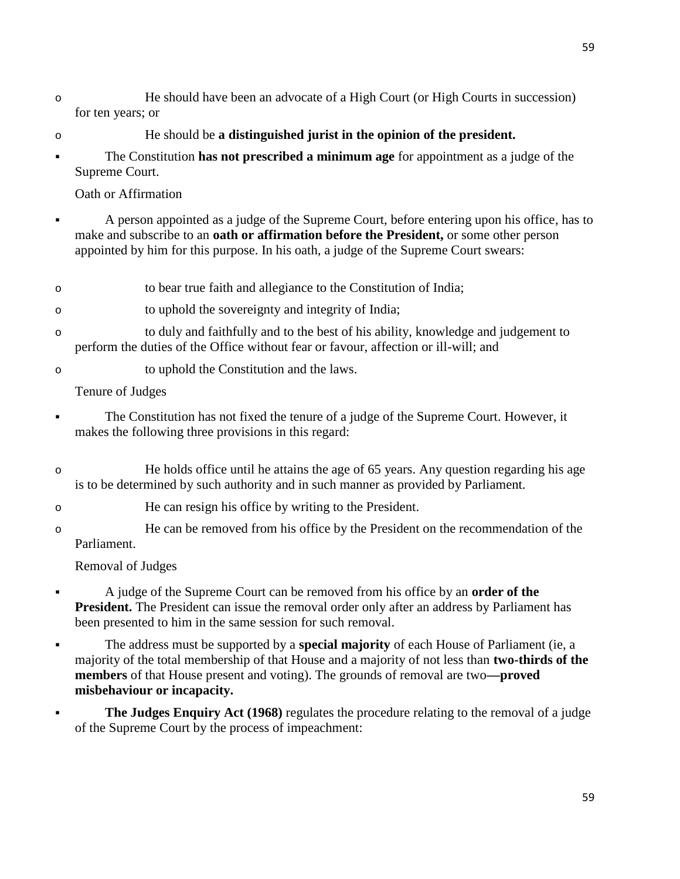- o He should have been an advocate of a High Court (or High Courts in succession) for ten years; or
- o He should be **a distinguished jurist in the opinion of the president.**
- The Constitution **has not prescribed a minimum age** for appointment as a judge of the Supreme Court.

Oath or Affirmation

- A person appointed as a judge of the Supreme Court, before entering upon his office, has to make and subscribe to an **oath or affirmation before the President,** or some other person appointed by him for this purpose. In his oath, a judge of the Supreme Court swears:
- o to bear true faith and allegiance to the Constitution of India;
- o to uphold the sovereignty and integrity of India;
- o to duly and faithfully and to the best of his ability, knowledge and judgement to perform the duties of the Office without fear or favour, affection or ill-will; and
- o to uphold the Constitution and the laws.

Tenure of Judges

 The Constitution has not fixed the tenure of a judge of the Supreme Court. However, it makes the following three provisions in this regard:

- o He holds office until he attains the age of 65 years. Any question regarding his age is to be determined by such authority and in such manner as provided by Parliament.
- o He can resign his office by writing to the President.
- o He can be removed from his office by the President on the recommendation of the Parliament.

Removal of Judges

- A judge of the Supreme Court can be removed from his office by an **order of the President.** The President can issue the removal order only after an address by Parliament has been presented to him in the same session for such removal.
- The address must be supported by a **special majority** of each House of Parliament (ie, a majority of the total membership of that House and a majority of not less than **two-thirds of the members** of that House present and voting). The grounds of removal are two**—proved misbehaviour or incapacity.**
- **The Judges Enquiry Act (1968)** regulates the procedure relating to the removal of a judge of the Supreme Court by the process of impeachment: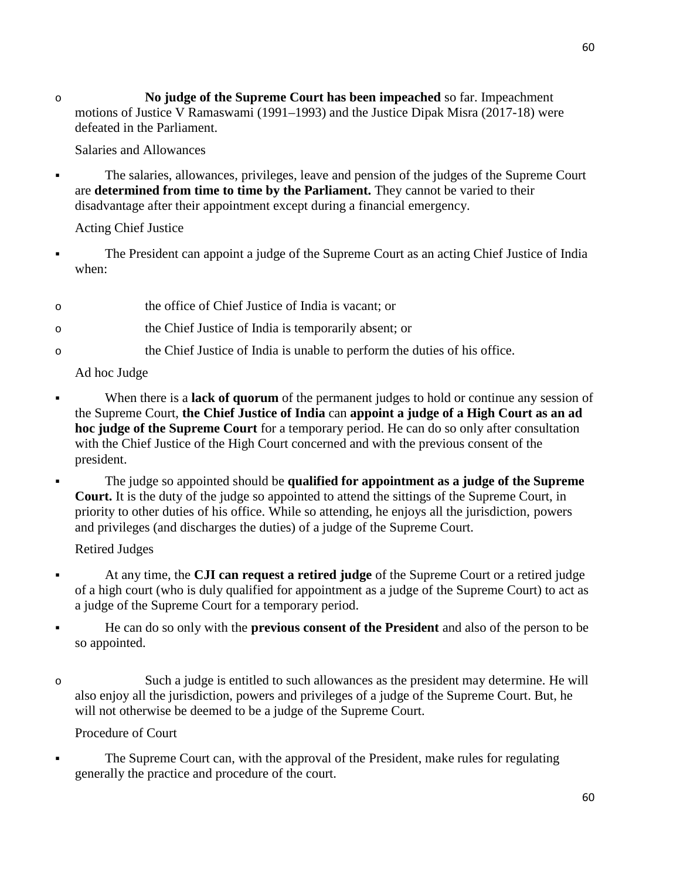o **No judge of the Supreme Court has been impeached** so far. Impeachment motions of Justice V Ramaswami (1991–1993) and the Justice Dipak Misra (2017-18) were defeated in the Parliament.

Salaries and Allowances

- The salaries, allowances, privileges, leave and pension of the judges of the Supreme Court are **determined from time to time by the Parliament.** They cannot be varied to their disadvantage after their appointment except during a financial emergency.
	- Acting Chief Justice
- The President can appoint a judge of the Supreme Court as an acting Chief Justice of India when:
- o the office of Chief Justice of India is vacant; or
- o the Chief Justice of India is temporarily absent; or
- o the Chief Justice of India is unable to perform the duties of his office.

Ad hoc Judge

- When there is a **lack of quorum** of the permanent judges to hold or continue any session of the Supreme Court, **the Chief Justice of India** can **appoint a judge of a High Court as an ad hoc judge of the Supreme Court** for a temporary period. He can do so only after consultation with the Chief Justice of the High Court concerned and with the previous consent of the president.
- The judge so appointed should be **qualified for appointment as a judge of the Supreme Court.** It is the duty of the judge so appointed to attend the sittings of the Supreme Court, in priority to other duties of his office. While so attending, he enjoys all the jurisdiction, powers and privileges (and discharges the duties) of a judge of the Supreme Court.

Retired Judges

- At any time, the **CJI can request a retired judge** of the Supreme Court or a retired judge of a high court (who is duly qualified for appointment as a judge of the Supreme Court) to act as a judge of the Supreme Court for a temporary period.
- He can do so only with the **previous consent of the President** and also of the person to be so appointed.
- o Such a judge is entitled to such allowances as the president may determine. He will also enjoy all the jurisdiction, powers and privileges of a judge of the Supreme Court. But, he will not otherwise be deemed to be a judge of the Supreme Court.
	- Procedure of Court

 The Supreme Court can, with the approval of the President, make rules for regulating generally the practice and procedure of the court.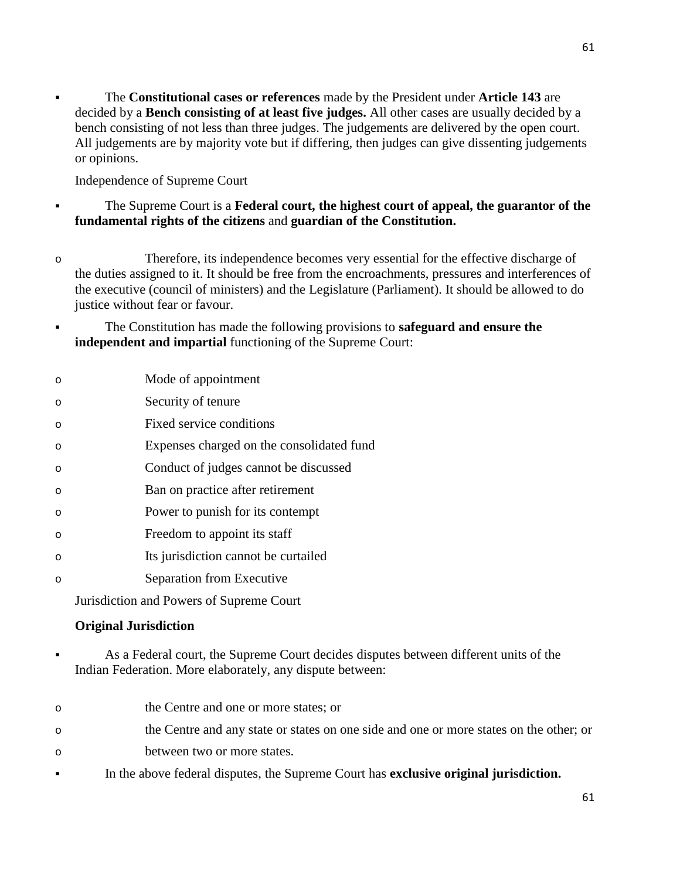The **Constitutional cases or references** made by the President under **Article 143** are decided by a **Bench consisting of at least five judges.** All other cases are usually decided by a bench consisting of not less than three judges. The judgements are delivered by the open court. All judgements are by majority vote but if differing, then judges can give dissenting judgements or opinions.

Independence of Supreme Court

# The Supreme Court is a **Federal court, the highest court of appeal, the guarantor of the fundamental rights of the citizens** and **guardian of the Constitution.**

- o Therefore, its independence becomes very essential for the effective discharge of the duties assigned to it. It should be free from the encroachments, pressures and interferences of the executive (council of ministers) and the Legislature (Parliament). It should be allowed to do justice without fear or favour.
- The Constitution has made the following provisions to **safeguard and ensure the independent and impartial** functioning of the Supreme Court:

| $\Omega$ | Mode of appointment                       |
|----------|-------------------------------------------|
| $\circ$  | Security of tenure                        |
| $\circ$  | Fixed service conditions                  |
| $\Omega$ | Expenses charged on the consolidated fund |
| $\Omega$ | Conduct of judges cannot be discussed     |
| $\Omega$ | Ban on practice after retirement          |
| $\Omega$ | Power to punish for its contempt          |
| $\Omega$ | Freedom to appoint its staff              |
| $\circ$  | Its jurisdiction cannot be curtailed      |
| $\Omega$ | Separation from Executive                 |

Jurisdiction and Powers of Supreme Court

# **Original Jurisdiction**

- As a Federal court, the Supreme Court decides disputes between different units of the Indian Federation. More elaborately, any dispute between:
- o the Centre and one or more states; or
- o the Centre and any state or states on one side and one or more states on the other; or
- o between two or more states.
- In the above federal disputes, the Supreme Court has **exclusive original jurisdiction.**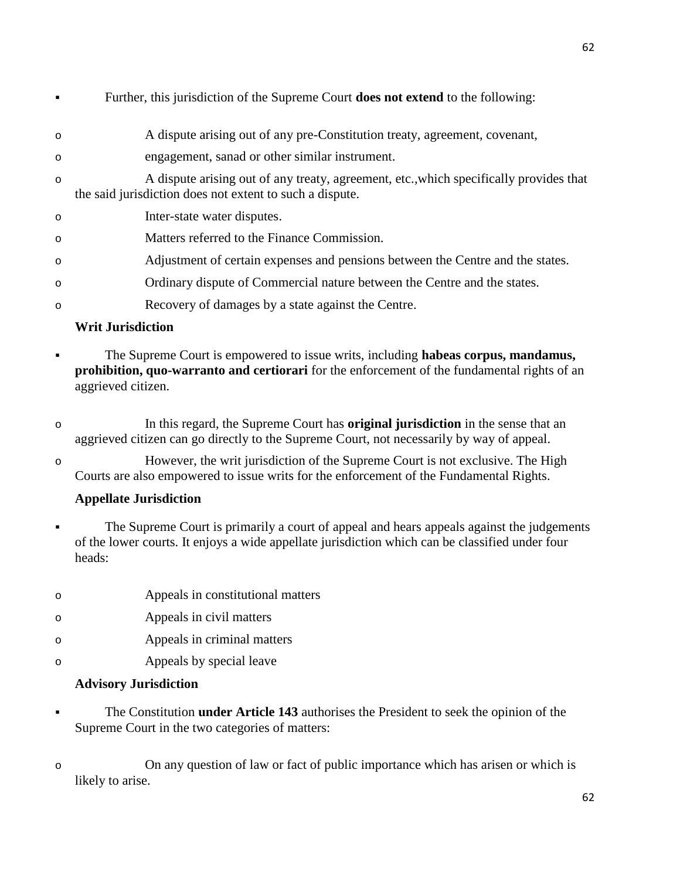- Further, this jurisdiction of the Supreme Court **does not extend** to the following: o A dispute arising out of any pre-Constitution treaty, agreement, covenant, o engagement, sanad or other similar instrument. o A dispute arising out of any treaty, agreement, etc.,which specifically provides that the said jurisdiction does not extent to such a dispute. o Inter-state water disputes. o Matters referred to the Finance Commission. o Adjustment of certain expenses and pensions between the Centre and the states. o Ordinary dispute of Commercial nature between the Centre and the states.
- 
- o Recovery of damages by a state against the Centre.

# **Writ Jurisdiction**

- The Supreme Court is empowered to issue writs, including **habeas corpus, mandamus, prohibition, quo-warranto and certiorari** for the enforcement of the fundamental rights of an aggrieved citizen.
- o In this regard, the Supreme Court has **original jurisdiction** in the sense that an aggrieved citizen can go directly to the Supreme Court, not necessarily by way of appeal.
- o However, the writ jurisdiction of the Supreme Court is not exclusive. The High Courts are also empowered to issue writs for the enforcement of the Fundamental Rights.

# **Appellate Jurisdiction**

- The Supreme Court is primarily a court of appeal and hears appeals against the judgements of the lower courts. It enjoys a wide appellate jurisdiction which can be classified under four heads:
- o Appeals in constitutional matters
- o Appeals in civil matters
- o Appeals in criminal matters
- o Appeals by special leave
	- **Advisory Jurisdiction**
- The Constitution **under Article 143** authorises the President to seek the opinion of the Supreme Court in the two categories of matters:
- o On any question of law or fact of public importance which has arisen or which is likely to arise.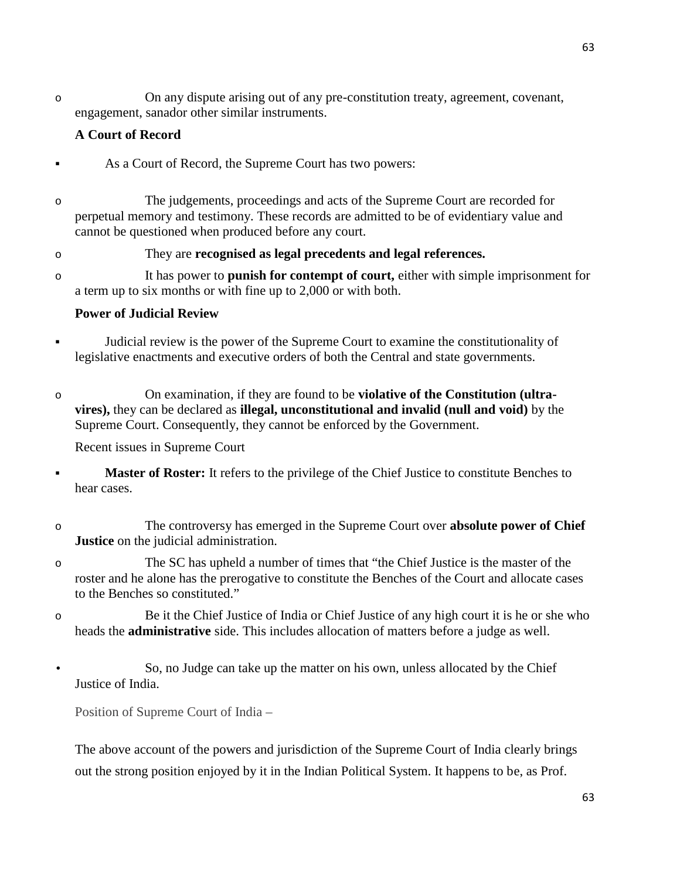o On any dispute arising out of any pre-constitution treaty, agreement, covenant, engagement, sanador other similar instruments.

# **A Court of Record**

- As a Court of Record, the Supreme Court has two powers:
- o The judgements, proceedings and acts of the Supreme Court are recorded for perpetual memory and testimony. These records are admitted to be of evidentiary value and cannot be questioned when produced before any court.
- o They are **recognised as legal precedents and legal references.**

o It has power to **punish for contempt of court,** either with simple imprisonment for a term up to six months or with fine up to 2,000 or with both.

# **Power of Judicial Review**

- Judicial review is the power of the Supreme Court to examine the constitutionality of legislative enactments and executive orders of both the Central and state governments.
- o On examination, if they are found to be **violative of the Constitution (ultra vires),** they can be declared as **illegal, unconstitutional and invalid (null and void)** by the Supreme Court. Consequently, they cannot be enforced by the Government.

Recent issues in Supreme Court

- **Master of Roster:** It refers to the privilege of the Chief Justice to constitute Benches to hear cases.
- o The controversy has emerged in the Supreme Court over **absolute power of Chief Justice** on the judicial administration.
- o The SC has upheld a number of times that "the Chief Justice is the master of the roster and he alone has the prerogative to constitute the Benches of the Court and allocate cases to the Benches so constituted."
- o Be it the Chief Justice of India or Chief Justice of any high court it is he or she who heads the **administrative** side. This includes allocation of matters before a judge as well.
- So, no Judge can take up the matter on his own, unless allocated by the Chief Justice of India.

Position of Supreme Court of India –

The above account of the powers and jurisdiction of the Supreme Court of India clearly brings out the strong position enjoyed by it in the Indian Political System. It happens to be, as Prof.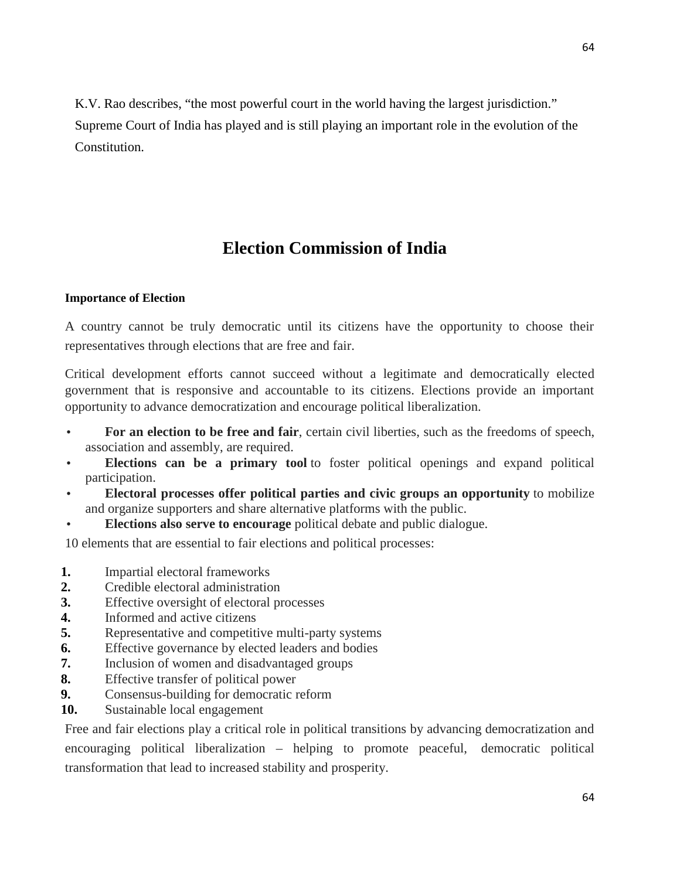K.V. Rao describes, "the most powerful court in the world having the largest jurisdiction." Supreme Court of India has played and is still playing an important role in the evolution of the Constitution.

# **Election Commission of India**

# **Importance of Election**

A country cannot be truly democratic until its citizens have the opportunity to choose their representatives through elections that are free and fair.

Critical development efforts cannot succeed without a legitimate and democratically elected government that is responsive and accountable to its citizens. Elections provide an important opportunity to advance democratization and encourage political liberalization.

- **For an election to be free and fair**, certain civil liberties, such as the freedoms of speech, association and assembly, are required.
- **Elections can be a primary tool** to foster political openings and expand political participation.
- **Electoral processes offer political parties and civic groups an opportunity** to mobilize and organize supporters and share alternative platforms with the public.
- **Elections also serve to encourage** political debate and public dialogue.

10 elements that are essential to fair elections and political processes:

- **1.** Impartial electoral frameworks
- **2.** Credible electoral administration
- **3.** Effective oversight of electoral processes
- **4.** Informed and active citizens
- **5.** Representative and competitive multi-party systems
- **6.** Effective governance by elected leaders and bodies
- **7.** Inclusion of women and disadvantaged groups
- **8.** Effective transfer of political power
- **9.** Consensus-building for democratic reform
- **10.** Sustainable local engagement

Free and fair elections play a critical role in political transitions by advancing democratization and encouraging political liberalization – helping to promote peaceful, democratic political transformation that lead to increased stability and prosperity.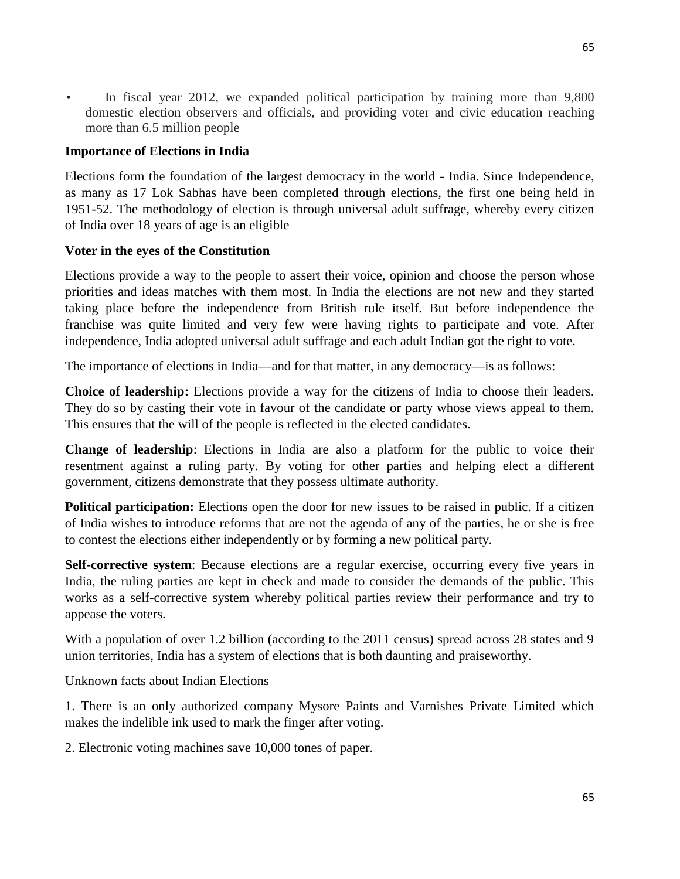In fiscal year 2012, we expanded political participation by training more than 9,800 domestic election observers and officials, and providing voter and civic education reaching more than 6.5 million people

# **Importance of Elections in India**

Elections form the foundation of the largest democracy in the world - India. Since Independence, as many as 17 Lok Sabhas have been completed through elections, the first one being held in 1951-52. The methodology of election is through universal adult suffrage, whereby every citizen of India over 18 years of age is an eligible

# **Voter in the eyes of the Constitution**

Elections provide a way to the people to assert their voice, opinion and choose the person whose priorities and ideas matches with them most. In India the elections are not new and they started taking place before the independence from British rule itself. But before independence the franchise was quite limited and very few were having rights to participate and vote. After independence, India adopted universal adult suffrage and each adult Indian got the right to vote.

The importance of elections in India—and for that matter, in any democracy—is as follows:

**Choice of leadership:** Elections provide a way for the citizens of India to choose their leaders. They do so by casting their vote in favour of the candidate or party whose views appeal to them. This ensures that the will of the people is reflected in the elected candidates.

**Change of leadership**: Elections in India are also a platform for the public to voice their resentment against a ruling party. By voting for other parties and helping elect a different government, citizens demonstrate that they possess ultimate authority.

**Political participation:** Elections open the door for new issues to be raised in public. If a citizen of India wishes to introduce reforms that are not the agenda of any of the parties, he or she is free to contest the elections either independently or by forming a new political party.

**Self-corrective system**: Because elections are a regular exercise, occurring every five years in India, the ruling parties are kept in check and made to consider the demands of the public. This works as a self-corrective system whereby political parties review their performance and try to appease the voters.

With a population of over 1.2 billion (according to the 2011 census) spread across 28 states and 9 union territories, India has a system of elections that is both daunting and praiseworthy.

Unknown facts about Indian Elections

1. There is an only authorized company Mysore Paints and Varnishes Private Limited which makes the indelible ink used to mark the finger after voting.

2. Electronic voting machines save 10,000 tones of paper.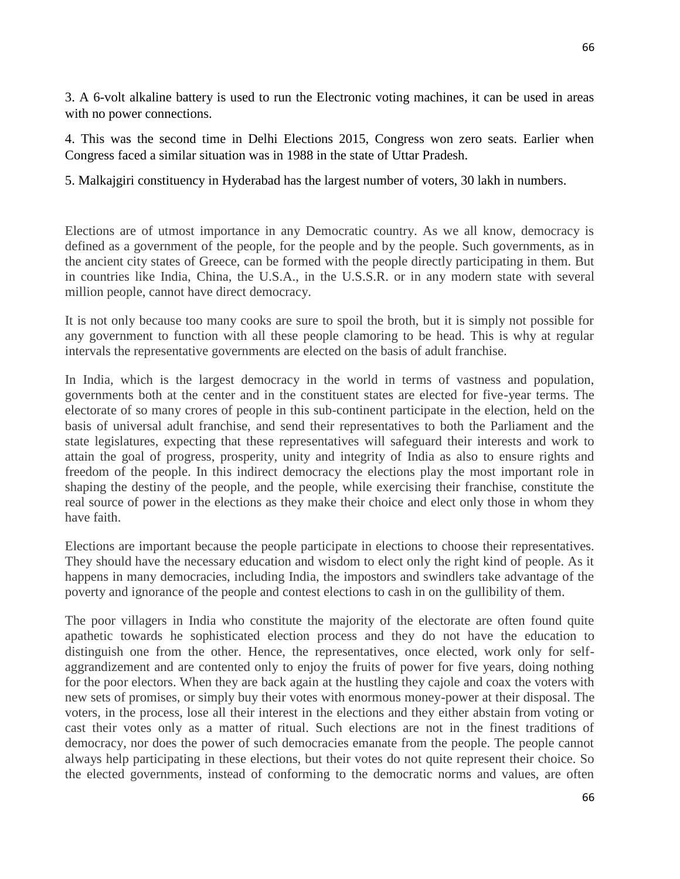3. A 6-volt alkaline battery is used to run the Electronic voting machines, it can be used in areas with no power connections.

4. This was the second time in Delhi Elections 2015, Congress won zero seats. Earlier when Congress faced a similar situation was in 1988 in the state of Uttar Pradesh.

5. Malkajgiri constituency in Hyderabad has the largest number of voters, 30 lakh in numbers.

Elections are of utmost importance in any Democratic country. As we all know, democracy is defined as a government of the people, for the people and by the people. Such governments, as in the ancient city states of Greece, can be formed with the people directly participating in them. But in countries like India, China, the U.S.A., in the U.S.S.R. or in any modern state with several million people, cannot have direct democracy.

It is not only because too many cooks are sure to spoil the broth, but it is simply not possible for any government to function with all these people clamoring to be head. This is why at regular intervals the representative governments are elected on the basis of adult franchise.

In India, which is the largest democracy in the world in terms of vastness and population, governments both at the center and in the constituent states are elected for five-year terms. The electorate of so many crores of people in this sub-continent participate in the election, held on the basis of universal adult franchise, and send their representatives to both the Parliament and the state legislatures, expecting that these representatives will safeguard their interests and work to attain the goal of progress, prosperity, unity and integrity of India as also to ensure rights and freedom of the people. In this indirect democracy the elections play the most important role in shaping the destiny of the people, and the people, while exercising their franchise, constitute the real source of power in the elections as they make their choice and elect only those in whom they have faith.

Elections are important because the people participate in elections to choose their representatives. They should have the necessary education and wisdom to elect only the right kind of people. As it happens in many democracies, including India, the impostors and swindlers take advantage of the poverty and ignorance of the people and contest elections to cash in on the gullibility of them.

The poor villagers in India who constitute the majority of the electorate are often found quite apathetic towards he sophisticated election process and they do not have the education to distinguish one from the other. Hence, the representatives, once elected, work only for self aggrandizement and are contented only to enjoy the fruits of power for five years, doing nothing for the poor electors. When they are back again at the hustling they cajole and coax the voters with new sets of promises, or simply buy their votes with enormous money-power at their disposal. The voters, in the process, lose all their interest in the elections and they either abstain from voting or cast their votes only as a matter of ritual. Such elections are not in the finest traditions of democracy, nor does the power of such democracies emanate from the people. The people cannot always help participating in these elections, but their votes do not quite represent their choice. So the elected governments, instead of conforming to the democratic norms and values, are often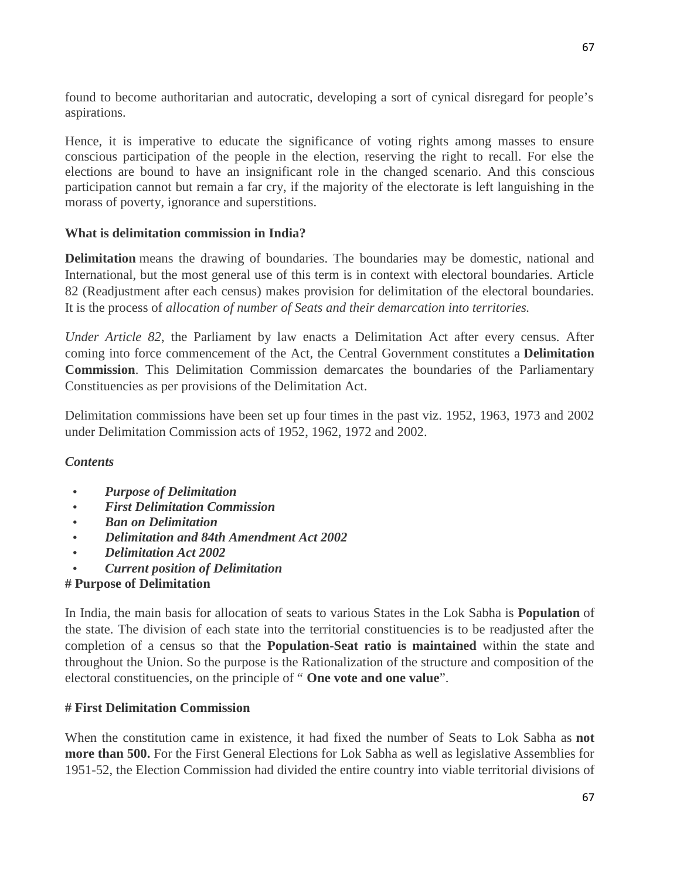found to become authoritarian and autocratic, developing a sort of cynical disregard for people's aspirations.

Hence, it is imperative to educate the significance of voting rights among masses to ensure conscious participation of the people in the election, reserving the right to recall. For else the elections are bound to have an insignificant role in the changed scenario. And this conscious participation cannot but remain a far cry, if the majority of the electorate is left languishing in the morass of poverty, ignorance and superstitions.

# **What is delimitation commission in India?**

**Delimitation** means the drawing of boundaries. The boundaries may be domestic, national and International, but the most general use of this term is in context with electoral boundaries. Article 82 (Readjustment after each census) makes provision for delimitation of the electoral boundaries. It is the process of *allocation of number of Seats and their demarcation into territories.*

*Under Article 82*, the Parliament by law enacts a Delimitation Act after every census. After coming into force commencement of the Act, the Central Government constitutes a **Delimitation Commission**. This Delimitation Commission demarcates the boundaries of the Parliamentary Constituencies as per provisions of the Delimitation Act.

Delimitation commissions have been set up four times in the past viz. 1952, 1963, 1973 and 2002 under Delimitation Commission acts of 1952, 1962, 1972 and 2002.

# *Contents*

- *Purpose of Delimitation*
- *First Delimitation Commission*
- *Ban on Delimitation*
- *Delimitation and 84th Amendment Act 2002*
- *Delimitation Act 2002*
- *Current position of Delimitation*

# **# Purpose of Delimitation**

In India, the main basis for allocation of seats to various States in the Lok Sabha is **Population** of the state. The division of each state into the territorial constituencies is to be readjusted after the completion of a census so that the **Population-Seat ratio is maintained** within the state and throughout the Union. So the purpose is the Rationalization of the structure and composition of the electoral constituencies, on the principle of " **One vote and one value**".

# **# First Delimitation Commission**

When the constitution came in existence, it had fixed the number of Seats to Lok Sabha as **not more than 500.** For the First General Elections for Lok Sabha as well as legislative Assemblies for 1951-52, the Election Commission had divided the entire country into viable territorial divisions of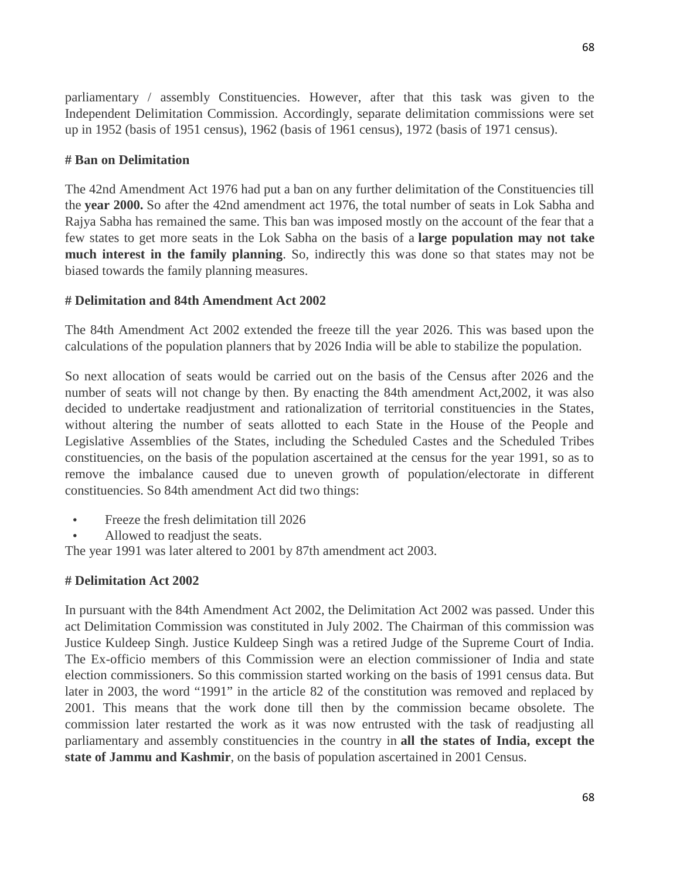parliamentary / assembly Constituencies. However, after that this task was given to the Independent Delimitation Commission. Accordingly, separate delimitation commissions were set up in 1952 (basis of 1951 census), 1962 (basis of 1961 census), 1972 (basis of 1971 census).

# **# Ban on Delimitation**

The 42nd Amendment Act 1976 had put a ban on any further delimitation of the Constituencies till the **year 2000.** So after the 42nd amendment act 1976, the total number of seats in Lok Sabha and Rajya Sabha has remained the same. This ban was imposed mostly on the account of the fear that a few states to get more seats in the Lok Sabha on the basis of a **large population may not take much interest in the family planning**. So, indirectly this was done so that states may not be biased towards the family planning measures.

# **# Delimitation and 84th Amendment Act 2002**

The 84th Amendment Act 2002 extended the freeze till the year 2026. This was based upon the calculations of the population planners that by 2026 India will be able to stabilize the population.

So next allocation of seats would be carried out on the basis of the Census after 2026 and the number of seats will not change by then. By enacting the 84th amendment Act,2002, it was also decided to undertake readjustment and rationalization of territorial constituencies in the States, without altering the number of seats allotted to each State in the House of the People and Legislative Assemblies of the States, including the Scheduled Castes and the Scheduled Tribes constituencies, on the basis of the population ascertained at the census for the year 1991, so as to remove the imbalance caused due to uneven growth of population/electorate in different constituencies. So 84th amendment Act did two things:

- Freeze the fresh delimitation till 2026
- Allowed to readjust the seats.

The year 1991 was later altered to 2001 by 87th amendment act 2003.

# **# Delimitation Act 2002**

In pursuant with the 84th Amendment Act 2002, the Delimitation Act 2002 was passed. Under this act Delimitation Commission was constituted in July 2002. The Chairman of this commission was Justice Kuldeep Singh. Justice Kuldeep Singh was a retired Judge of the Supreme Court of India. The Ex-officio members of this Commission were an election commissioner of India and state election commissioners. So this commission started working on the basis of 1991 census data. But later in 2003, the word "1991" in the article 82 of the constitution was removed and replaced by 2001. This means that the work done till then by the commission became obsolete. The commission later restarted the work as it was now entrusted with the task of readjusting all parliamentary and assembly constituencies in the country in **all the states of India, except the state of Jammu and Kashmir**, on the basis of population ascertained in 2001 Census.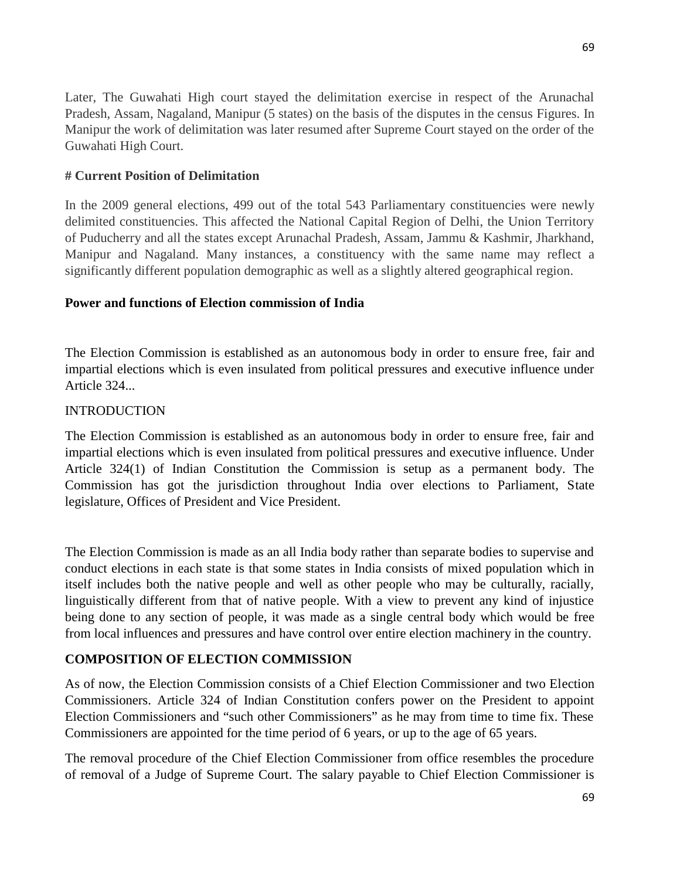Later, The Guwahati High court stayed the delimitation exercise in respect of the Arunachal Pradesh, Assam, Nagaland, Manipur (5 states) on the basis of the disputes in the census Figures. In Manipur the work of delimitation was later resumed after Supreme Court stayed on the order of the Guwahati High Court.

# **# Current Position of Delimitation**

In the 2009 general elections, 499 out of the total 543 Parliamentary constituencies were newly delimited constituencies. This affected the National Capital Region of Delhi, the Union Territory of Puducherry and all the states except Arunachal Pradesh, Assam, Jammu & Kashmir, Jharkhand, Manipur and Nagaland. Many instances, a constituency with the same name may reflect a significantly different population demographic as well as a slightly altered geographical region.

### **Power and functions of Election commission of India**

The Election Commission is established as an autonomous body in order to ensure free, fair and impartial elections which is even insulated from political pressures and executive influence under Article 324...

### INTRODUCTION

The Election Commission is established as an autonomous body in order to ensure free, fair and impartial elections which is even insulated from political pressures and executive influence. Under Article 324(1) of Indian Constitution the Commission is setup as a permanent body. The Commission has got the jurisdiction throughout India over elections to Parliament, State legislature, Offices of President and Vice President.

The Election Commission is made as an all India body rather than separate bodies to supervise and conduct elections in each state is that some states in India consists of mixed population which in itself includes both the native people and well as other people who may be culturally, racially, linguistically different from that of native people. With a view to prevent any kind of injustice being done to any section of people, it was made as a single central body which would be free from local influences and pressures and have control over entire election machinery in the country.

# **COMPOSITION OF ELECTION COMMISSION**

As of now, the Election Commission consists of a Chief Election Commissioner and two Election Commissioners. Article 324 of Indian Constitution confers power on the President to appoint Election Commissioners and "such other Commissioners" as he may from time to time fix. These Commissioners are appointed for the time period of 6 years, or up to the age of 65 years.

The removal procedure of the Chief Election Commissioner from office resembles the procedure of removal of a Judge of Supreme Court. The salary payable to Chief Election Commissioner is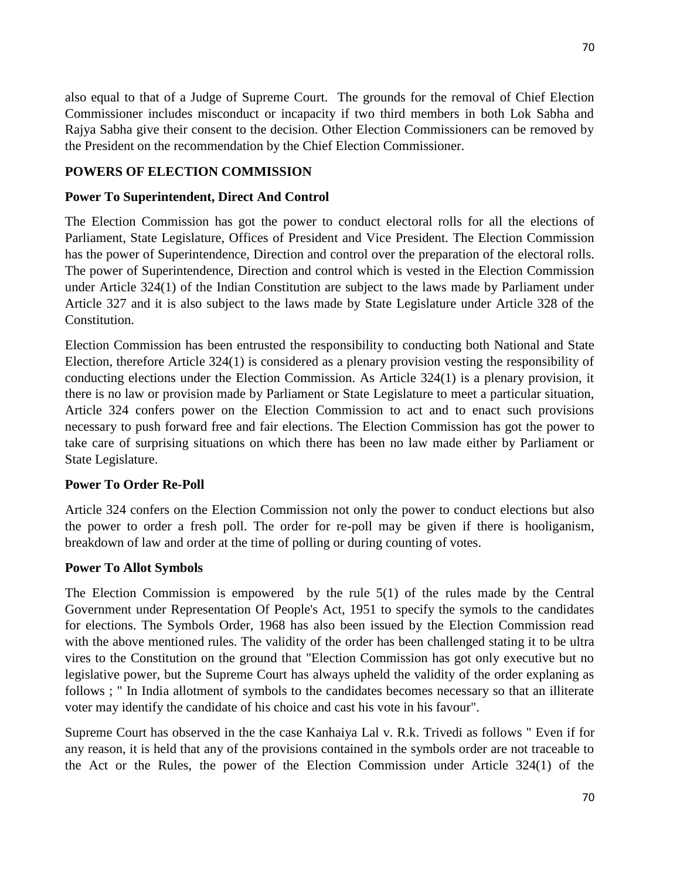also equal to that of a Judge of Supreme Court. The grounds for the removal of Chief Election Commissioner includes misconduct or incapacity if two third members in both Lok Sabha and Rajya Sabha give their consent to the decision. Other Election Commissioners can be removed by the President on the recommendation by the Chief Election Commissioner.

# **POWERS OF ELECTION COMMISSION**

# **Power To Superintendent, Direct And Control**

The Election Commission has got the power to conduct electoral rolls for all the elections of Parliament, State Legislature, Offices of President and Vice President. The Election Commission has the power of Superintendence, Direction and control over the preparation of the electoral rolls. The power of Superintendence, Direction and control which is vested in the Election Commission under Article 324(1) of the Indian Constitution are subject to the laws made by Parliament under Article 327 and it is also subject to the laws made by State Legislature under Article 328 of the Constitution.

Election Commission has been entrusted the responsibility to conducting both National and State Election, therefore Article 324(1) is considered as a plenary provision vesting the responsibility of conducting elections under the Election Commission. As Article 324(1) is a plenary provision, it there is no law or provision made by Parliament or State Legislature to meet a particular situation, Article 324 confers power on the Election Commission to act and to enact such provisions necessary to push forward free and fair elections. The Election Commission has got the power to take care of surprising situations on which there has been no law made either by Parliament or State Legislature.

# **Power To Order Re-Poll**

Article 324 confers on the Election Commission not only the power to conduct elections but also the power to order a fresh poll. The order for re-poll may be given if there is hooliganism, breakdown of law and order at the time of polling or during counting of votes.

# **Power To Allot Symbols**

The Election Commission is empowered by the rule 5(1) of the rules made by the Central Government under Representation Of People's Act, 1951 to specify the symols to the candidates for elections. The Symbols Order, 1968 has also been issued by the Election Commission read with the above mentioned rules. The validity of the order has been challenged stating it to be ultra vires to the Constitution on the ground that "Election Commission has got only executive but no legislative power, but the Supreme Court has always upheld the validity of the order explaning as follows ; " In India allotment of symbols to the candidates becomes necessary so that an illiterate voter may identify the candidate of his choice and cast his vote in his favour".

Supreme Court has observed in the the case Kanhaiya Lal v. R.k. Trivedi as follows " Even if for any reason, it is held that any of the provisions contained in the symbols order are not traceable to the Act or the Rules, the power of the Election Commission under Article 324(1) of the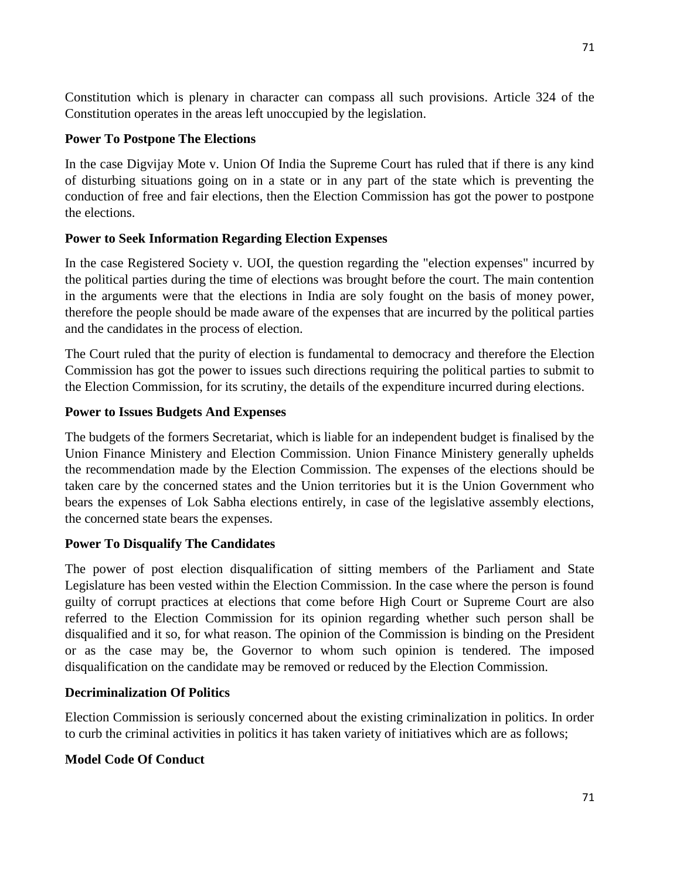Constitution which is plenary in character can compass all such provisions. Article 324 of the Constitution operates in the areas left unoccupied by the legislation.

# **Power To Postpone The Elections**

In the case Digvijay Mote v. Union Of India the Supreme Court has ruled that if there is any kind of disturbing situations going on in a state or in any part of the state which is preventing the conduction of free and fair elections, then the Election Commission has got the power to postpone the elections.

# **Power to Seek Information Regarding Election Expenses**

In the case Registered Society v. UOI, the question regarding the "election expenses" incurred by the political parties during the time of elections was brought before the court. The main contention in the arguments were that the elections in India are soly fought on the basis of money power, therefore the people should be made aware of the expenses that are incurred by the political parties and the candidates in the process of election.

The Court ruled that the purity of election is fundamental to democracy and therefore the Election Commission has got the power to issues such directions requiring the political parties to submit to the Election Commission, for its scrutiny, the details of the expenditure incurred during elections.

# **Power to Issues Budgets And Expenses**

The budgets of the formers Secretariat, which is liable for an independent budget is finalised by the Union Finance Ministery and Election Commission. Union Finance Ministery generally uphelds the recommendation made by the Election Commission. The expenses of the elections should be taken care by the concerned states and the Union territories but it is the Union Government who bears the expenses of Lok Sabha elections entirely, in case of the legislative assembly elections, the concerned state bears the expenses.

# **Power To Disqualify The Candidates**

The power of post election disqualification of sitting members of the Parliament and State Legislature has been vested within the Election Commission. In the case where the person is found guilty of corrupt practices at elections that come before High Court or Supreme Court are also referred to the Election Commission for its opinion regarding whether such person shall be disqualified and it so, for what reason. The opinion of the Commission is binding on the President or as the case may be, the Governor to whom such opinion is tendered. The imposed disqualification on the candidate may be removed or reduced by the Election Commission.

# **Decriminalization Of Politics**

Election Commission is seriously concerned about the existing criminalization in politics. In order to curb the criminal activities in politics it has taken variety of initiatives which are as follows;

# **Model Code Of Conduct**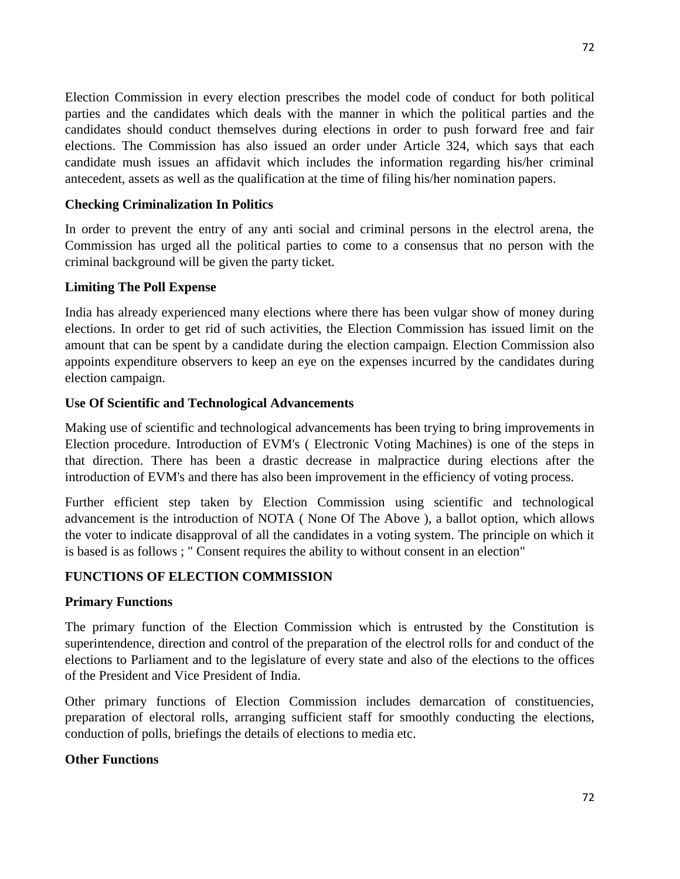Election Commission in every election prescribes the model code of conduct for both political parties and the candidates which deals with the manner in which the political parties and the candidates should conduct themselves during elections in order to push forward free and fair elections. The Commission has also issued an order under Article 324, which says that each candidate mush issues an affidavit which includes the information regarding his/her criminal antecedent, assets as well as the qualification at the time of filing his/her nomination papers.

# **Checking Criminalization In Politics**

In order to prevent the entry of any anti social and criminal persons in the electrol arena, the Commission has urged all the political parties to come to a consensus that no person with the criminal background will be given the party ticket.

# **Limiting The Poll Expense**

India has already experienced many elections where there has been vulgar show of money during elections. In order to get rid of such activities, the Election Commission has issued limit on the amount that can be spent by a candidate during the election campaign. Election Commission also appoints expenditure observers to keep an eye on the expenses incurred by the candidates during election campaign.

# **Use Of Scientific and Technological Advancements**

Making use of scientific and technological advancements has been trying to bring improvements in Election procedure. Introduction of EVM's ( Electronic Voting Machines) is one of the steps in that direction. There has been a drastic decrease in malpractice during elections after the introduction of EVM's and there has also been improvement in the efficiency of voting process.

Further efficient step taken by Election Commission using scientific and technological advancement is the introduction of NOTA ( None Of The Above ), a ballot option, which allows the voter to indicate disapproval of all the candidates in a voting system. The principle on which it is based is as follows ; " Consent requires the ability to without consent in an election"

# **FUNCTIONS OF ELECTION COMMISSION**

# **Primary Functions**

The primary function of the Election Commission which is entrusted by the Constitution is superintendence, direction and control of the preparation of the electrol rolls for and conduct of the elections to Parliament and to the legislature of every state and also of the elections to the offices of the President and Vice President of India.

Other primary functions of Election Commission includes demarcation of constituencies, preparation of electoral rolls, arranging sufficient staff for smoothly conducting the elections, conduction of polls, briefings the details of elections to media etc.

# **Other Functions**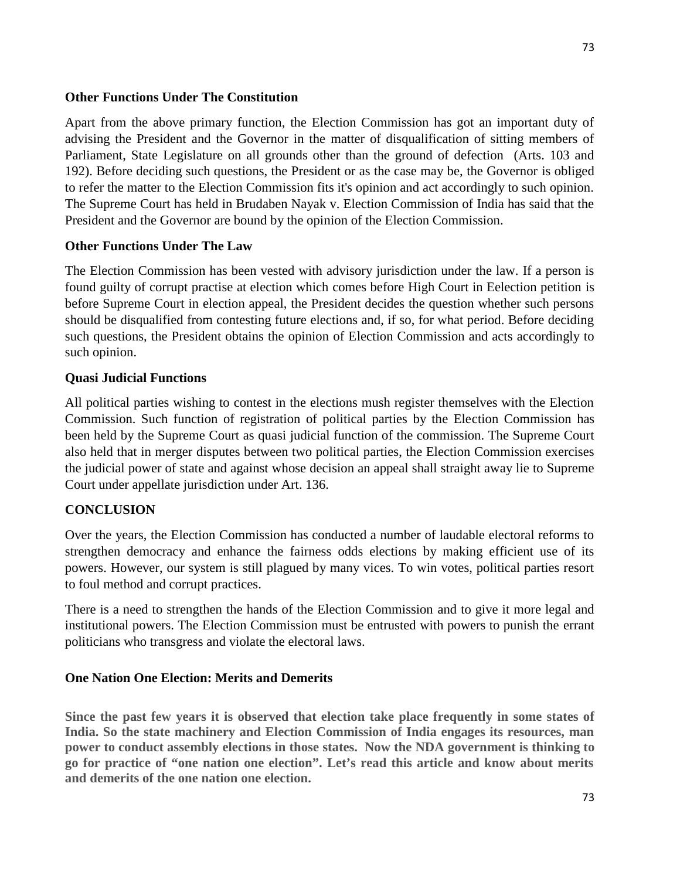#### **Other Functions Under The Constitution**

Apart from the above primary function, the Election Commission has got an important duty of advising the President and the Governor in the matter of disqualification of sitting members of Parliament, State Legislature on all grounds other than the ground of defection (Arts. 103 and 192). Before deciding such questions, the President or as the case may be, the Governor is obliged to refer the matter to the Election Commission fits it's opinion and act accordingly to such opinion. The Supreme Court has held in Brudaben Nayak v. Election Commission of India has said that the President and the Governor are bound by the opinion of the Election Commission.

## **Other Functions Under The Law**

The Election Commission has been vested with advisory jurisdiction under the law. If a person is found guilty of corrupt practise at election which comes before High Court in Eelection petition is before Supreme Court in election appeal, the President decides the question whether such persons should be disqualified from contesting future elections and, if so, for what period. Before deciding such questions, the President obtains the opinion of Election Commission and acts accordingly to such opinion.

#### **Quasi Judicial Functions**

All political parties wishing to contest in the elections mush register themselves with the Election Commission. Such function of registration of political parties by the Election Commission has been held by the Supreme Court as quasi judicial function of the commission. The Supreme Court also held that in merger disputes between two political parties, the Election Commission exercises the judicial power of state and against whose decision an appeal shall straight away lie to Supreme Court under appellate jurisdiction under Art. 136.

## **CONCLUSION**

Over the years, the Election Commission has conducted a number of laudable electoral reforms to strengthen democracy and enhance the fairness odds elections by making efficient use of its powers. However, our system is still plagued by many vices. To win votes, political parties resort to foul method and corrupt practices.

There is a need to strengthen the hands of the Election Commission and to give it more legal and institutional powers. The Election Commission must be entrusted with powers to punish the errant politicians who transgress and violate the electoral laws.

#### **One Nation One Election: Merits and Demerits**

**Since the past few years it is observed that election take place frequently in some states of India. So the state machinery and Election Commission of India engages its resources, man power to conduct assembly elections in those states. Now the NDA government is thinking to go for practice of "one nation one election". Let's read this article and know about merits and demerits of the one nation one election.**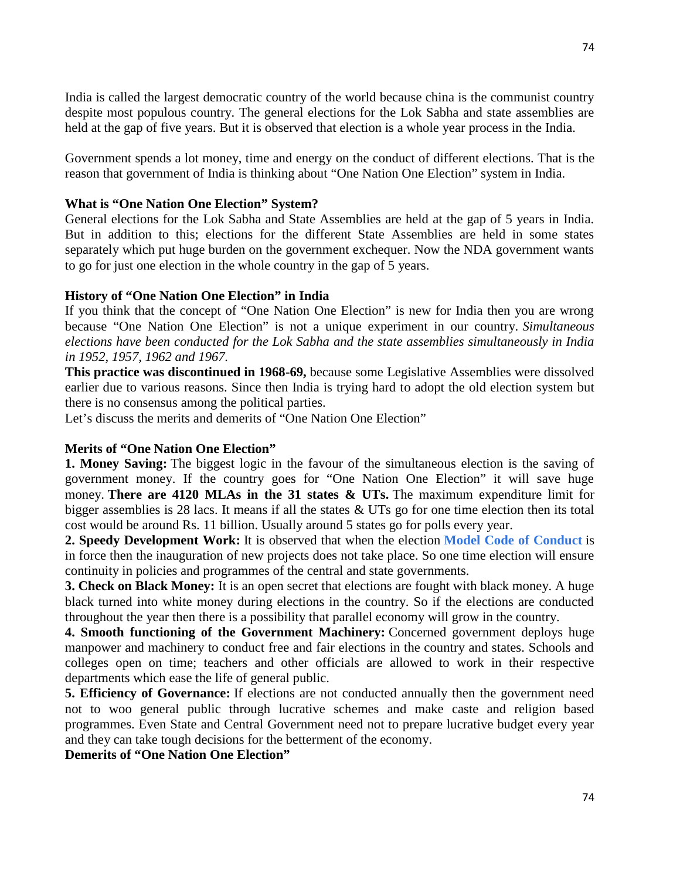India is called the largest democratic country of the world because china is the communist country despite most populous country. The general elections for the Lok Sabha and state assemblies are held at the gap of five years. But it is observed that election is a whole year process in the India.

Government spends a lot money, time and energy on the conduct of different elections. That is the reason that government of India is thinking about "One Nation One Election" system in India.

#### **What is "One Nation One Election" System?**

General elections for the Lok Sabha and State Assemblies are held at the gap of 5 years in India. But in addition to this; elections for the different State Assemblies are held in some states separately which put huge burden on the government exchequer. Now the NDA government wants to go for just one election in the whole country in the gap of 5 years.

#### **History of "One Nation One Election" in India**

If you think that the concept of "One Nation One Election" is new for India then you are wrong because "One Nation One Election" is not a unique experiment in our country. *Simultaneous elections have been conducted for the Lok Sabha and the state assemblies simultaneously in India in 1952, 1957, 1962 and 1967.*

**This practice was discontinued in 1968-69,** because some Legislative Assemblies were dissolved earlier due to various reasons. Since then India is trying hard to adopt the old election system but there is no consensus among the political parties.

Let's discuss the merits and demerits of "One Nation One Election"

#### **Merits of "One Nation One Election"**

**1. Money Saving:** The biggest logic in the favour of the simultaneous election is the saving of government money. If the country goes for "One Nation One Election" it will save huge money. **There are 4120 MLAs in the 31 states & UTs.** The maximum expenditure limit for bigger assemblies is 28 lacs. It means if all the states & UTs go for one time election then its total cost would be around Rs. 11 billion. Usually around 5 states go for polls every year.

**2. Speedy Development Work:** It is observed that when the election **Model Code of Conduct** is in force then the inauguration of new projects does not take place. So one time election will ensure continuity in policies and programmes of the central and state governments.

**3. Check on Black Money:** It is an open secret that elections are fought with black money. A huge black turned into white money during elections in the country. So if the elections are conducted throughout the year then there is a possibility that parallel economy will grow in the country.

**4. Smooth functioning of the Government Machinery:** Concerned government deploys huge manpower and machinery to conduct free and fair elections in the country and states. Schools and colleges open on time; teachers and other officials are allowed to work in their respective departments which ease the life of general public.

**5. Efficiency of Governance:** If elections are not conducted annually then the government need not to woo general public through lucrative schemes and make caste and religion based programmes. Even State and Central Government need not to prepare lucrative budget every year and they can take tough decisions for the betterment of the economy.

**Demerits of "One Nation One Election"**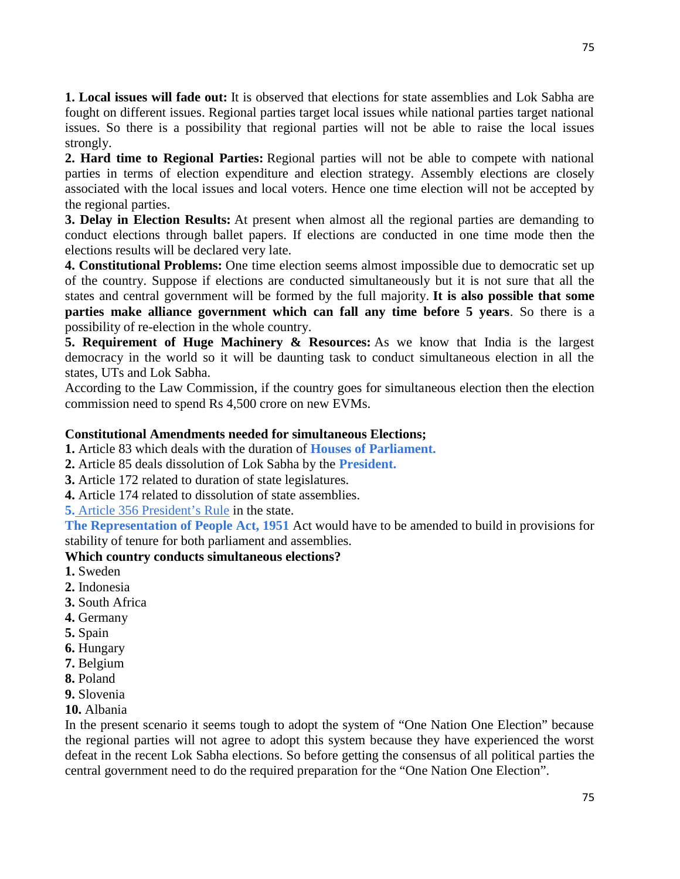**1. Local issues will fade out:** It is observed that elections for state assemblies and Lok Sabha are fought on different issues. Regional parties target local issues while national parties target national issues. So there is a possibility that regional parties will not be able to raise the local issues strongly.

**2. Hard time to Regional Parties:** Regional parties will not be able to compete with national parties in terms of election expenditure and election strategy. Assembly elections are closely associated with the local issues and local voters. Hence one time election will not be accepted by the regional parties.

**3. Delay in Election Results:** At present when almost all the regional parties are demanding to conduct elections through ballet papers. If elections are conducted in one time mode then the elections results will be declared very late.

**4. Constitutional Problems:** One time election seems almost impossible due to democratic set up of the country. Suppose if elections are conducted simultaneously but it is not sure that all the states and central government will be formed by the full majority. **It is also possible that some parties make alliance government which can fall any time before 5 years**. So there is a possibility of re-election in the whole country.

**5. Requirement of Huge Machinery & Resources:** As we know that India is the largest democracy in the world so it will be daunting task to conduct simultaneous election in all the states, UTs and Lok Sabha.

According to the Law Commission, if the country goes for simultaneous election then the election commission need to spend Rs 4,500 crore on new EVMs.

#### **Constitutional Amendments needed for simultaneous Elections;**

**1.** Article 83 which deals with the duration of **Houses of Parliament.**

- **2.** Article 85 deals dissolution of Lok Sabha by the **President.**
- **3.** Article 172 related to duration of state legislatures.

**4.** Article 174 related to dissolution of state assemblies.

**5.** Article 356 President's Rule in the state.

**The Representation of People Act, 1951** Act would have to be amended to build in provisions for stability of tenure for both parliament and assemblies.

# **Which country conducts simultaneous elections?**

- **1.** Sweden
- **2.** Indonesia
- **3.** South Africa
- **4.** Germany
- **5.** Spain
- **6.** Hungary
- **7.** Belgium
- **8.** Poland
- **9.** Slovenia
- **10.** Albania

In the present scenario it seems tough to adopt the system of "One Nation One Election" because the regional parties will not agree to adopt this system because they have experienced the worst defeat in the recent Lok Sabha elections. So before getting the consensus of all political parties the central government need to do the required preparation for the "One Nation One Election".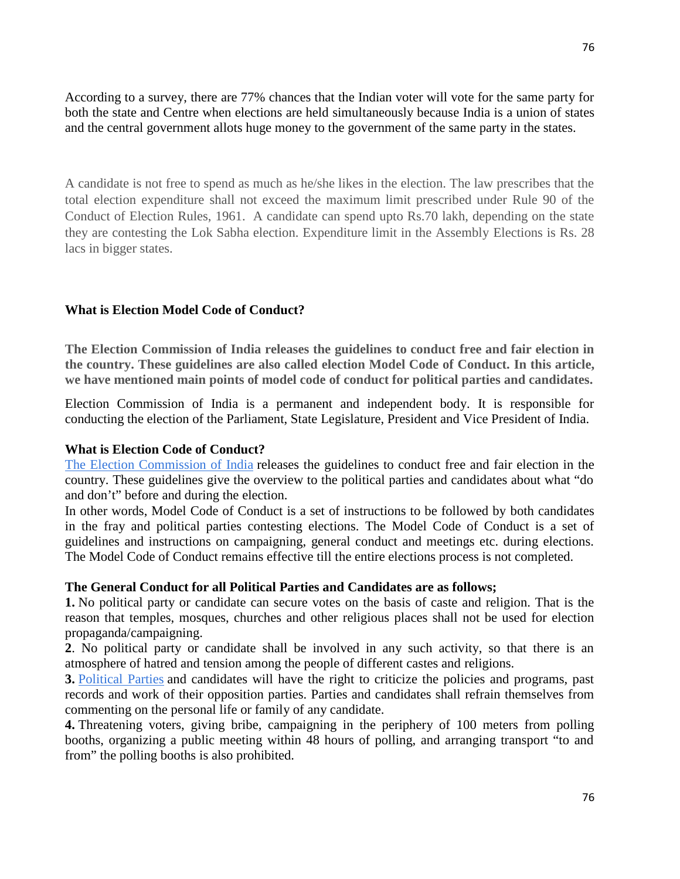According to a survey, there are 77% chances that the Indian voter will vote for the same party for both the state and Centre when elections are held simultaneously because India is a union of states and the central government allots huge money to the government of the same party in the states.

A candidate is not free to spend as much as he/she likes in the election. The law prescribes that the total election expenditure shall not exceed the maximum limit prescribed under Rule 90 of the Conduct of Election Rules, 1961. A candidate can spend upto Rs.70 lakh, depending on the state they are contesting the Lok Sabha election. Expenditure limit in the Assembly Elections is Rs. 28 lacs in bigger states.

## **What is Election Model Code of Conduct?**

**The Election Commission of India releases the guidelines to conduct free and fair election in the country. These guidelines are also called election Model Code of Conduct. In this article, we have mentioned main points of model code of conduct for political parties and candidates.**

Election Commission of India is a permanent and independent body. It is responsible for conducting the election of the Parliament, State Legislature, President and Vice President of India.

#### **What is Election Code of Conduct?**

The Election Commission of India releases the guidelines to conduct free and fair election in the country. These guidelines give the overview to the political parties and candidates about what "do and don't" before and during the election.

In other words, Model Code of Conduct is a set of instructions to be followed by both candidates in the fray and political parties contesting elections. The Model Code of Conduct is a set of guidelines and instructions on campaigning, general conduct and meetings etc. during elections. The Model Code of Conduct remains effective till the entire elections process is not completed.

#### **The General Conduct for all Political Parties and Candidates are as follows;**

**1.** No political party or candidate can secure votes on the basis of caste and religion. That is the reason that temples, mosques, churches and other religious places shall not be used for election propaganda/campaigning.

**2**. No political party or candidate shall be involved in any such activity, so that there is an atmosphere of hatred and tension among the people of different castes and religions.

**3.** Political Parties and candidates will have the right to criticize the policies and programs, past records and work of their opposition parties. Parties and candidates shall refrain themselves from commenting on the personal life or family of any candidate.

**4.** Threatening voters, giving bribe, campaigning in the periphery of 100 meters from polling booths, organizing a public meeting within 48 hours of polling, and arranging transport "to and from" the polling booths is also prohibited.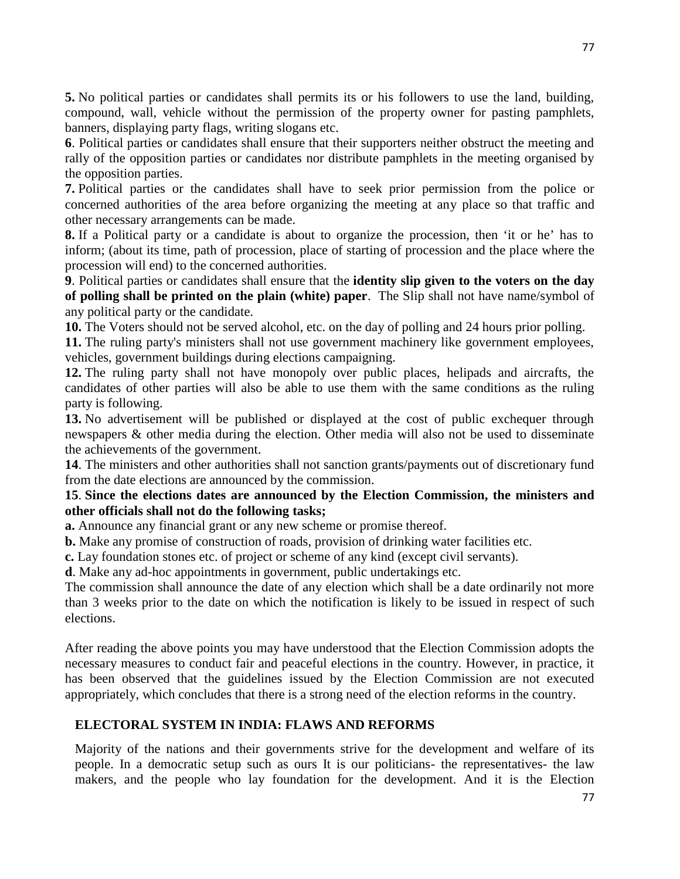**5.** No political parties or candidates shall permits its or his followers to use the land, building, compound, wall, vehicle without the permission of the property owner for pasting pamphlets, banners, displaying party flags, writing slogans etc.

**6**. Political parties or candidates shall ensure that their supporters neither obstruct the meeting and rally of the opposition parties or candidates nor distribute pamphlets in the meeting organised by the opposition parties.

**7.** Political parties or the candidates shall have to seek prior permission from the police or concerned authorities of the area before organizing the meeting at any place so that traffic and other necessary arrangements can be made.

**8.** If a Political party or a candidate is about to organize the procession, then 'it or he' has to inform; (about its time, path of procession, place of starting of procession and the place where the procession will end) to the concerned authorities.

**9**. Political parties or candidates shall ensure that the **identity slip given to the voters on the day of polling shall be printed on the plain (white) paper**. The Slip shall not have name/symbol of any political party or the candidate.

**10.** The Voters should not be served alcohol, etc. on the day of polling and 24 hours prior polling.

**11.** The ruling party's ministers shall not use government machinery like government employees, vehicles, government buildings during elections campaigning.

**12.** The ruling party shall not have monopoly over public places, helipads and aircrafts, the candidates of other parties will also be able to use them with the same conditions as the ruling party is following.

**13.** No advertisement will be published or displayed at the cost of public exchequer through newspapers & other media during the election. Other media will also not be used to disseminate the achievements of the government.

**14**. The ministers and other authorities shall not sanction grants/payments out of discretionary fund from the date elections are announced by the commission.

## **15**. **Since the elections dates are announced by the Election Commission, the ministers and other officials shall not do the following tasks;**

**a.** Announce any financial grant or any new scheme or promise thereof.

**b.** Make any promise of construction of roads, provision of drinking water facilities etc.

**c.** Lay foundation stones etc. of project or scheme of any kind (except civil servants).

**d**. Make any ad-hoc appointments in government, public undertakings etc.

The commission shall announce the date of any election which shall be a date ordinarily not more than 3 weeks prior to the date on which the notification is likely to be issued in respect of such elections.

After reading the above points you may have understood that the Election Commission adopts the necessary measures to conduct fair and peaceful elections in the country. However, in practice, it has been observed that the guidelines issued by the Election Commission are not executed appropriately, which concludes that there is a strong need of the election reforms in the country.

## **ELECTORAL SYSTEM IN INDIA: FLAWS AND REFORMS**

Majority of the nations and their governments strive for the development and welfare of its people. In a democratic setup such as ours It is our politicians- the representatives- the law makers, and the people who lay foundation for the development. And it is the Election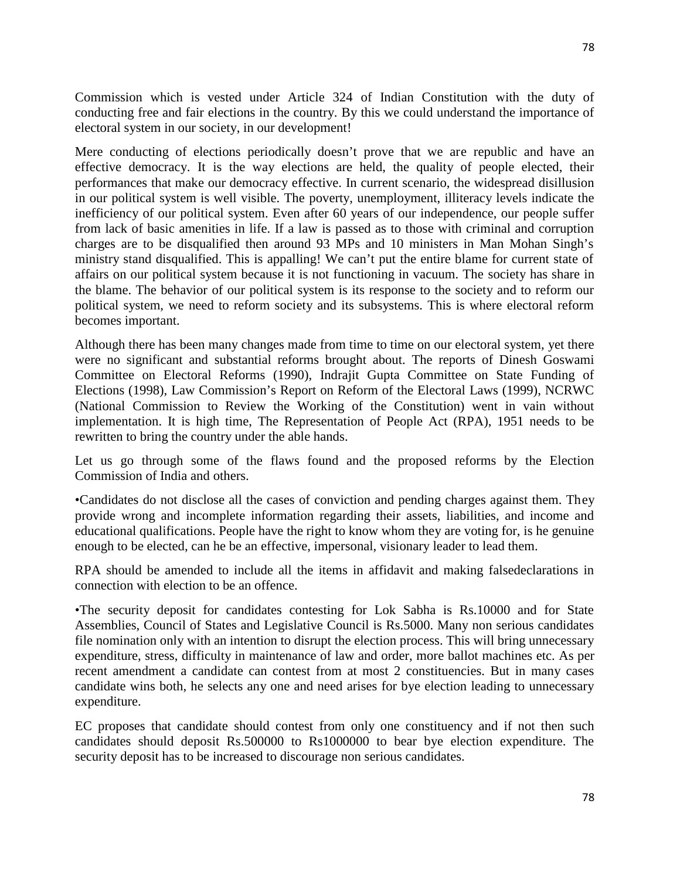Commission which is vested under Article 324 of Indian Constitution with the duty of conducting free and fair elections in the country. By this we could understand the importance of electoral system in our society, in our development!

Mere conducting of elections periodically doesn't prove that we are republic and have an effective democracy. It is the way elections are held, the quality of people elected, their performances that make our democracy effective. In current scenario, the widespread disillusion in our political system is well visible. The poverty, unemployment, illiteracy levels indicate the inefficiency of our political system. Even after 60 years of our independence, our people suffer from lack of basic amenities in life. If a law is passed as to those with criminal and corruption charges are to be disqualified then around 93 MPs and 10 ministers in Man Mohan Singh's ministry stand disqualified. This is appalling! We can't put the entire blame for current state of affairs on our political system because it is not functioning in vacuum. The society has share in the blame. The behavior of our political system is its response to the society and to reform our political system, we need to reform society and its subsystems. This is where electoral reform becomes important.

Although there has been many changes made from time to time on our electoral system, yet there were no significant and substantial reforms brought about. The reports of Dinesh Goswami Committee on Electoral Reforms (1990), Indrajit Gupta Committee on State Funding of Elections (1998), Law Commission's Report on Reform of the Electoral Laws (1999), NCRWC (National Commission to Review the Working of the Constitution) went in vain without implementation. It is high time, The Representation of People Act (RPA), 1951 needs to be rewritten to bring the country under the able hands.

Let us go through some of the flaws found and the proposed reforms by the Election Commission of India and others.

•Candidates do not disclose all the cases of conviction and pending charges against them. They provide wrong and incomplete information regarding their assets, liabilities, and income and educational qualifications. People have the right to know whom they are voting for, is he genuine enough to be elected, can he be an effective, impersonal, visionary leader to lead them.

RPA should be amended to include all the items in affidavit and making falsedeclarations in connection with election to be an offence.

•The security deposit for candidates contesting for Lok Sabha is Rs.10000 and for State Assemblies, Council of States and Legislative Council is Rs.5000. Many non serious candidates file nomination only with an intention to disrupt the election process. This will bring unnecessary expenditure, stress, difficulty in maintenance of law and order, more ballot machines etc. As per recent amendment a candidate can contest from at most 2 constituencies. But in many cases candidate wins both, he selects any one and need arises for bye election leading to unnecessary expenditure.

EC proposes that candidate should contest from only one constituency and if not then such candidates should deposit Rs.500000 to Rs1000000 to bear bye election expenditure. The security deposit has to be increased to discourage non serious candidates.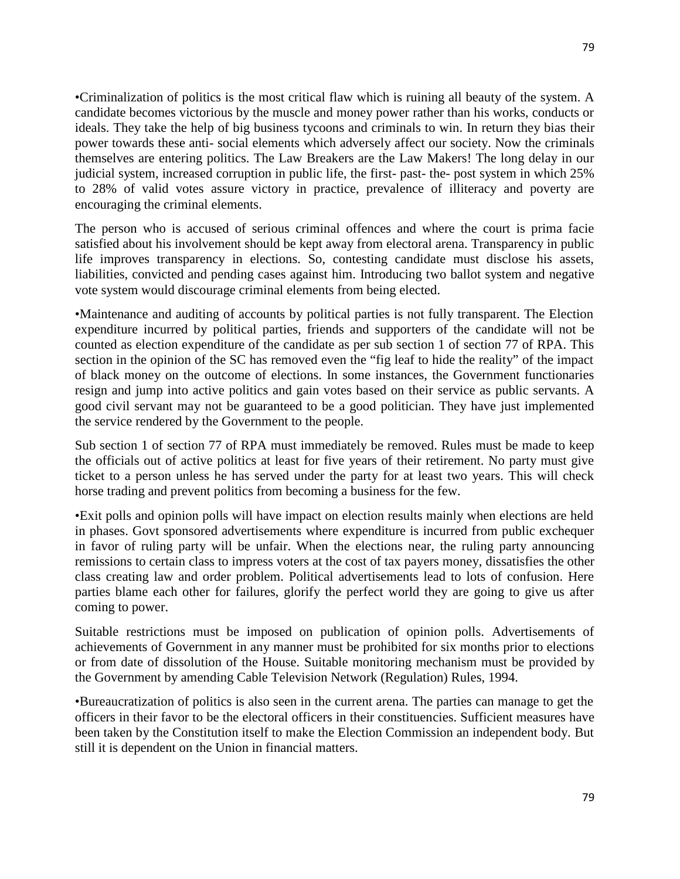•Criminalization of politics is the most critical flaw which is ruining all beauty of the system. A

candidate becomes victorious by the muscle and money power rather than his works, conducts or ideals. They take the help of big business tycoons and criminals to win. In return they bias their power towards these anti- social elements which adversely affect our society. Now the criminals themselves are entering politics. The Law Breakers are the Law Makers! The long delay in our judicial system, increased corruption in public life, the first- past- the- post system in which 25% to 28% of valid votes assure victory in practice, prevalence of illiteracy and poverty are encouraging the criminal elements.

The person who is accused of serious criminal offences and where the court is prima facie satisfied about his involvement should be kept away from electoral arena. Transparency in public life improves transparency in elections. So, contesting candidate must disclose his assets, liabilities, convicted and pending cases against him. Introducing two ballot system and negative vote system would discourage criminal elements from being elected.

•Maintenance and auditing of accounts by political parties is not fully transparent. The Election expenditure incurred by political parties, friends and supporters of the candidate will not be counted as election expenditure of the candidate as per sub section 1 of section 77 of RPA. This section in the opinion of the SC has removed even the "fig leaf to hide the reality" of the impact of black money on the outcome of elections. In some instances, the Government functionaries resign and jump into active politics and gain votes based on their service as public servants. A good civil servant may not be guaranteed to be a good politician. They have just implemented the service rendered by the Government to the people.

Sub section 1 of section 77 of RPA must immediately be removed. Rules must be made to keep the officials out of active politics at least for five years of their retirement. No party must give ticket to a person unless he has served under the party for at least two years. This will check horse trading and prevent politics from becoming a business for the few.

•Exit polls and opinion polls will have impact on election results mainly when elections are held in phases. Govt sponsored advertisements where expenditure is incurred from public exchequer in favor of ruling party will be unfair. When the elections near, the ruling party announcing remissions to certain class to impress voters at the cost of tax payers money, dissatisfies the other class creating law and order problem. Political advertisements lead to lots of confusion. Here parties blame each other for failures, glorify the perfect world they are going to give us after coming to power.

Suitable restrictions must be imposed on publication of opinion polls. Advertisements of achievements of Government in any manner must be prohibited for six months prior to elections or from date of dissolution of the House. Suitable monitoring mechanism must be provided by the Government by amending Cable Television Network (Regulation) Rules, 1994.

•Bureaucratization of politics is also seen in the current arena. The parties can manage to get the officers in their favor to be the electoral officers in their constituencies. Sufficient measures have been taken by the Constitution itself to make the Election Commission an independent body. But still it is dependent on the Union in financial matters.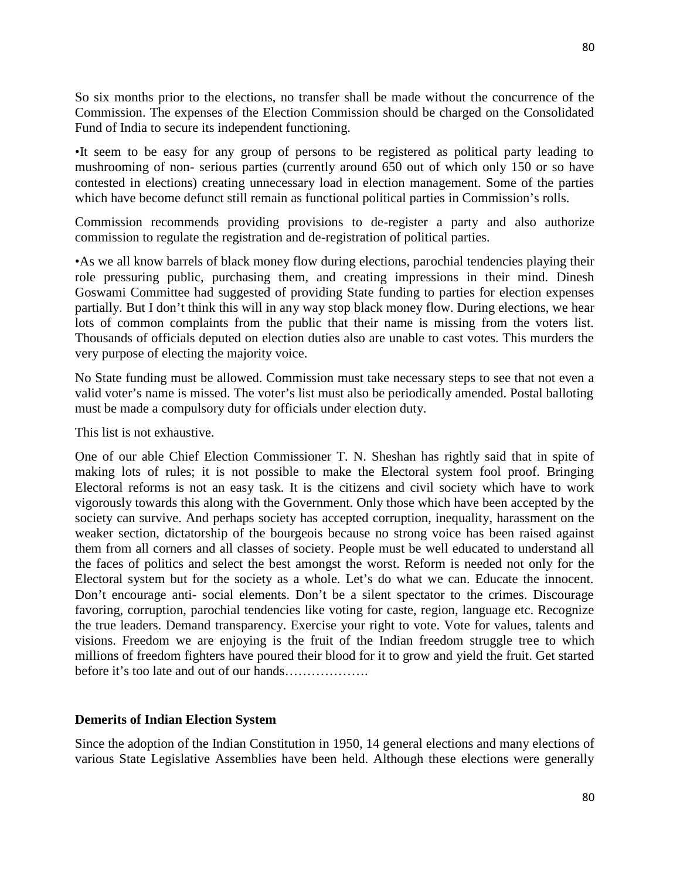So six months prior to the elections, no transfer shall be made without the concurrence of the Commission. The expenses of the Election Commission should be charged on the Consolidated Fund of India to secure its independent functioning.

•It seem to be easy for any group of persons to be registered as political party leading to mushrooming of non- serious parties (currently around 650 out of which only 150 or so have contested in elections) creating unnecessary load in election management. Some of the parties which have become defunct still remain as functional political parties in Commission's rolls.

Commission recommends providing provisions to de-register a party and also authorize commission to regulate the registration and de-registration of political parties.

•As we all know barrels of black money flow during elections, parochial tendencies playing their role pressuring public, purchasing them, and creating impressions in their mind. Dinesh Goswami Committee had suggested of providing State funding to parties for election expenses partially. But I don't think this will in any way stop black money flow. During elections, we hear lots of common complaints from the public that their name is missing from the voters list. Thousands of officials deputed on election duties also are unable to cast votes. This murders the very purpose of electing the majority voice.

No State funding must be allowed. Commission must take necessary steps to see that not even a valid voter's name is missed. The voter's list must also be periodically amended. Postal balloting must be made a compulsory duty for officials under election duty.

This list is not exhaustive.

One of our able Chief Election Commissioner T. N. Sheshan has rightly said that in spite of making lots of rules; it is not possible to make the Electoral system fool proof. Bringing Electoral reforms is not an easy task. It is the citizens and civil society which have to work vigorously towards this along with the Government. Only those which have been accepted by the society can survive. And perhaps society has accepted corruption, inequality, harassment on the weaker section, dictatorship of the bourgeois because no strong voice has been raised against them from all corners and all classes of society. People must be well educated to understand all the faces of politics and select the best amongst the worst. Reform is needed not only for the Electoral system but for the society as a whole. Let's do what we can. Educate the innocent. Don't encourage anti- social elements. Don't be a silent spectator to the crimes. Discourage favoring, corruption, parochial tendencies like voting for caste, region, language etc. Recognize the true leaders. Demand transparency. Exercise your right to vote. Vote for values, talents and visions. Freedom we are enjoying is the fruit of the Indian freedom struggle tree to which millions of freedom fighters have poured their blood for it to grow and yield the fruit. Get started before it's too late and out of our hands……………….

#### **Demerits of Indian Election System**

Since the adoption of the Indian Constitution in 1950, 14 general elections and many elections of various State Legislative Assemblies have been held. Although these elections were generally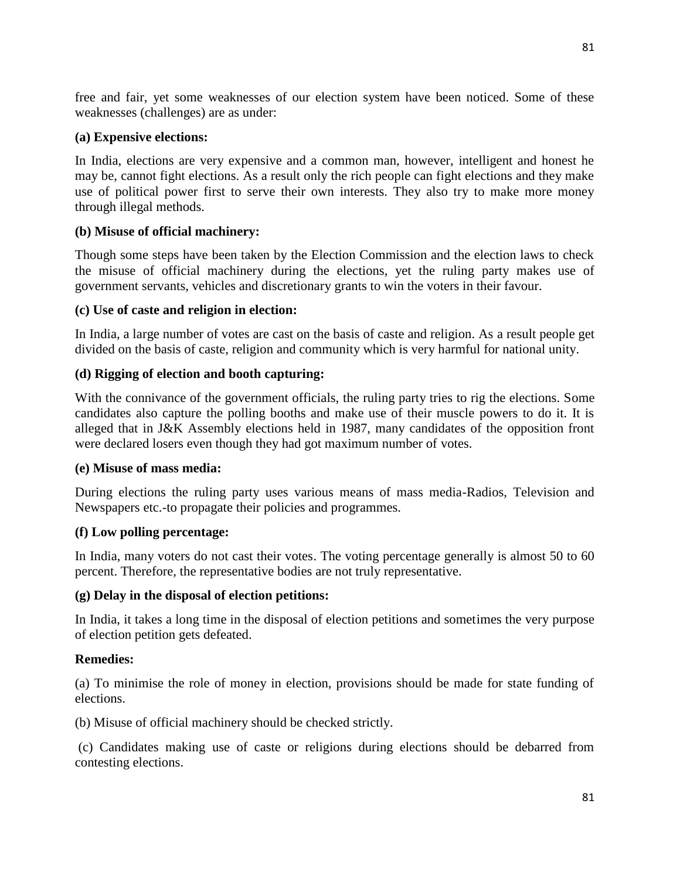free and fair, yet some weaknesses of our election system have been noticed. Some of these weaknesses (challenges) are as under:

## **(a) Expensive elections:**

In India, elections are very expensive and a common man, however, intelligent and honest he may be, cannot fight elections. As a result only the rich people can fight elections and they make use of political power first to serve their own interests. They also try to make more money through illegal methods.

# **(b) Misuse of official machinery:**

Though some steps have been taken by the Election Commission and the election laws to check the misuse of official machinery during the elections, yet the ruling party makes use of government servants, vehicles and discretionary grants to win the voters in their favour.

# **(c) Use of caste and religion in election:**

In India, a large number of votes are cast on the basis of caste and religion. As a result people get divided on the basis of caste, religion and community which is very harmful for national unity.

# **(d) Rigging of election and booth capturing:**

With the connivance of the government officials, the ruling party tries to rig the elections. Some candidates also capture the polling booths and make use of their muscle powers to do it. It is alleged that in J&K Assembly elections held in 1987, many candidates of the opposition front were declared losers even though they had got maximum number of votes.

## **(e) Misuse of mass media:**

During elections the ruling party uses various means of mass media-Radios, Television and Newspapers etc.-to propagate their policies and programmes.

# **(f) Low polling percentage:**

In India, many voters do not cast their votes. The voting percentage generally is almost 50 to 60 percent. Therefore, the representative bodies are not truly representative.

# **(g) Delay in the disposal of election petitions:**

In India, it takes a long time in the disposal of election petitions and sometimes the very purpose of election petition gets defeated.

# **Remedies:**

(a) To minimise the role of money in election, provisions should be made for state funding of elections.

(b) Misuse of official machinery should be checked strictly.

(c) Candidates making use of caste or religions during elections should be debarred from contesting elections.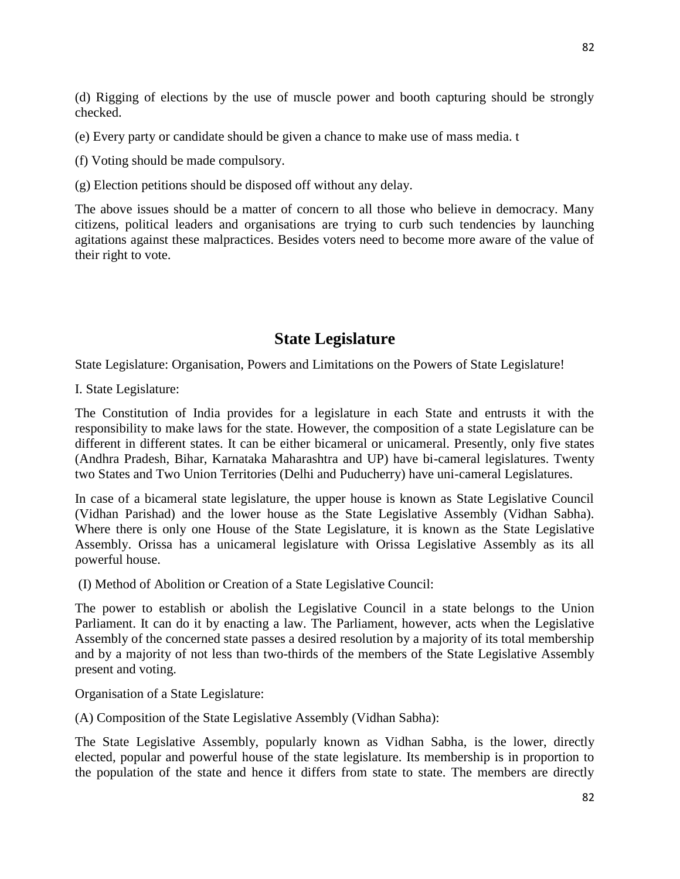(d) Rigging of elections by the use of muscle power and booth capturing should be strongly checked.

(e) Every party or candidate should be given a chance to make use of mass media. t

(f) Voting should be made compulsory.

(g) Election petitions should be disposed off without any delay.

The above issues should be a matter of concern to all those who believe in democracy. Many citizens, political leaders and organisations are trying to curb such tendencies by launching agitations against these malpractices. Besides voters need to become more aware of the value of their right to vote.

# **State Legislature**

State Legislature: Organisation, Powers and Limitations on the Powers of State Legislature!

I. State Legislature:

The Constitution of India provides for a legislature in each State and entrusts it with the responsibility to make laws for the state. However, the composition of a state Legislature can be different in different states. It can be either bicameral or unicameral. Presently, only five states (Andhra Pradesh, Bihar, Karnataka Maharashtra and UP) have bi-cameral legislatures. Twenty two States and Two Union Territories (Delhi and Puducherry) have uni-cameral Legislatures.

In case of a bicameral state legislature, the upper house is known as State Legislative Council (Vidhan Parishad) and the lower house as the State Legislative Assembly (Vidhan Sabha). Where there is only one House of the State Legislature, it is known as the State Legislative Assembly. Orissa has a unicameral legislature with Orissa Legislative Assembly as its all powerful house.

(I) Method of Abolition or Creation of a State Legislative Council:

The power to establish or abolish the Legislative Council in a state belongs to the Union Parliament. It can do it by enacting a law. The Parliament, however, acts when the Legislative Assembly of the concerned state passes a desired resolution by a majority of its total membership and by a majority of not less than two-thirds of the members of the State Legislative Assembly present and voting.

Organisation of a State Legislature:

(A) Composition of the State Legislative Assembly (Vidhan Sabha):

The State Legislative Assembly, popularly known as Vidhan Sabha, is the lower, directly elected, popular and powerful house of the state legislature. Its membership is in proportion to the population of the state and hence it differs from state to state. The members are directly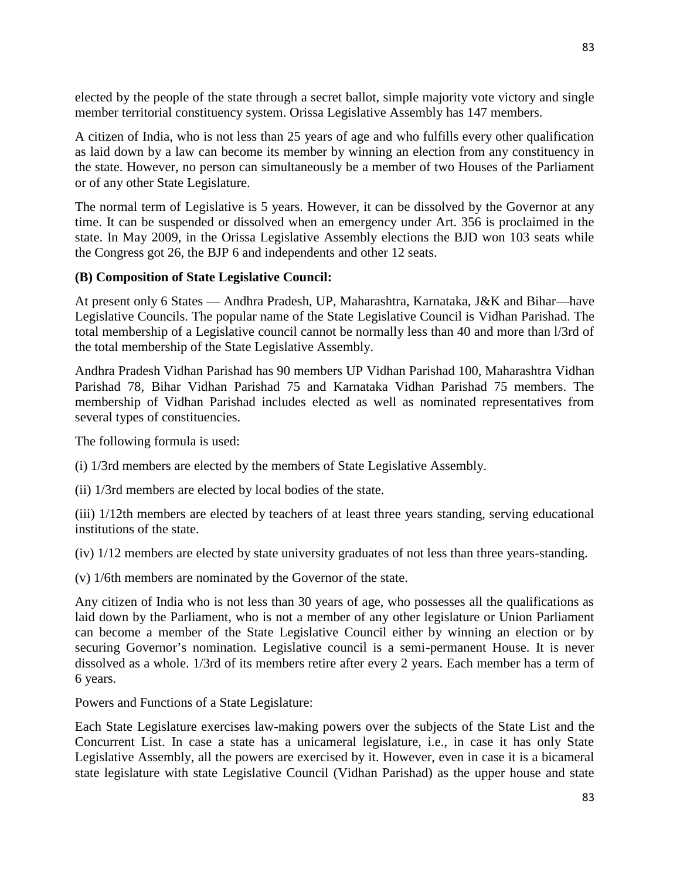elected by the people of the state through a secret ballot, simple majority vote victory and single member territorial constituency system. Orissa Legislative Assembly has 147 members.

A citizen of India, who is not less than 25 years of age and who fulfills every other qualification as laid down by a law can become its member by winning an election from any constituency in the state. However, no person can simultaneously be a member of two Houses of the Parliament or of any other State Legislature.

The normal term of Legislative is 5 years. However, it can be dissolved by the Governor at any time. It can be suspended or dissolved when an emergency under Art. 356 is proclaimed in the state. In May 2009, in the Orissa Legislative Assembly elections the BJD won 103 seats while the Congress got 26, the BJP 6 and independents and other 12 seats.

# **(B) Composition of State Legislative Council:**

At present only 6 States — Andhra Pradesh, UP, Maharashtra, Karnataka, J&K and Bihar—have Legislative Councils. The popular name of the State Legislative Council is Vidhan Parishad. The total membership of a Legislative council cannot be normally less than 40 and more than l/3rd of the total membership of the State Legislative Assembly.

Andhra Pradesh Vidhan Parishad has 90 members UP Vidhan Parishad 100, Maharashtra Vidhan Parishad 78, Bihar Vidhan Parishad 75 and Karnataka Vidhan Parishad 75 members. The membership of Vidhan Parishad includes elected as well as nominated representatives from several types of constituencies.

The following formula is used:

(i) 1/3rd members are elected by the members of State Legislative Assembly.

(ii) 1/3rd members are elected by local bodies of the state.

(iii) 1/12th members are elected by teachers of at least three years standing, serving educational institutions of the state.

(iv) 1/12 members are elected by state university graduates of not less than three years-standing.

(v) 1/6th members are nominated by the Governor of the state.

Any citizen of India who is not less than 30 years of age, who possesses all the qualifications as laid down by the Parliament, who is not a member of any other legislature or Union Parliament can become a member of the State Legislative Council either by winning an election or by securing Governor's nomination. Legislative council is a semi-permanent House. It is never dissolved as a whole. 1/3rd of its members retire after every 2 years. Each member has a term of 6 years.

Powers and Functions of a State Legislature:

Each State Legislature exercises law-making powers over the subjects of the State List and the Concurrent List. In case a state has a unicameral legislature, i.e., in case it has only State Legislative Assembly, all the powers are exercised by it. However, even in case it is a bicameral state legislature with state Legislative Council (Vidhan Parishad) as the upper house and state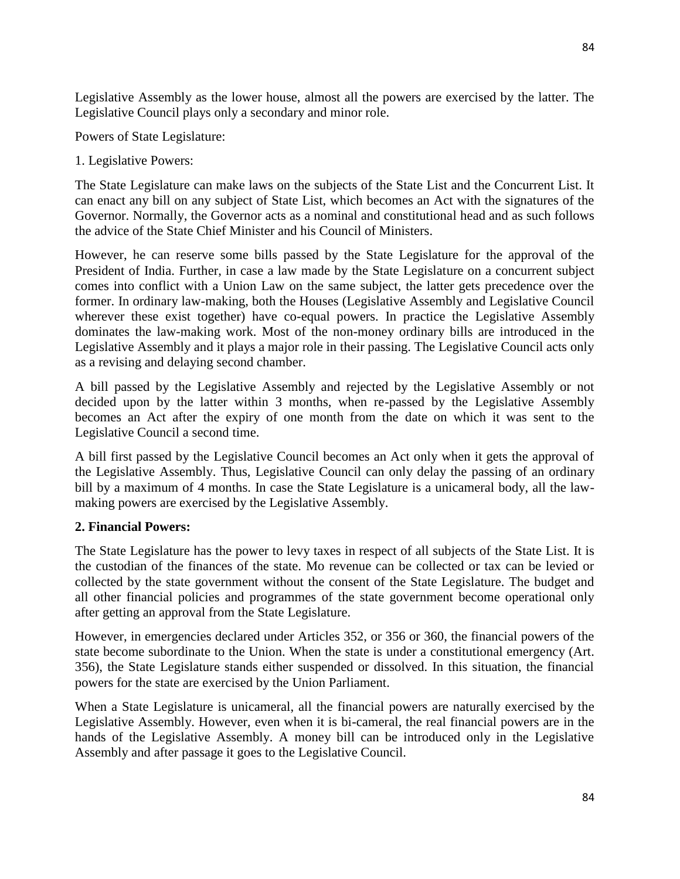Legislative Assembly as the lower house, almost all the powers are exercised by the latter. The Legislative Council plays only a secondary and minor role.

Powers of State Legislature:

1. Legislative Powers:

The State Legislature can make laws on the subjects of the State List and the Concurrent List. It can enact any bill on any subject of State List, which becomes an Act with the signatures of the Governor. Normally, the Governor acts as a nominal and constitutional head and as such follows the advice of the State Chief Minister and his Council of Ministers.

However, he can reserve some bills passed by the State Legislature for the approval of the President of India. Further, in case a law made by the State Legislature on a concurrent subject comes into conflict with a Union Law on the same subject, the latter gets precedence over the former. In ordinary law-making, both the Houses (Legislative Assembly and Legislative Council wherever these exist together) have co-equal powers. In practice the Legislative Assembly dominates the law-making work. Most of the non-money ordinary bills are introduced in the Legislative Assembly and it plays a major role in their passing. The Legislative Council acts only as a revising and delaying second chamber.

A bill passed by the Legislative Assembly and rejected by the Legislative Assembly or not decided upon by the latter within 3 months, when re-passed by the Legislative Assembly becomes an Act after the expiry of one month from the date on which it was sent to the Legislative Council a second time.

A bill first passed by the Legislative Council becomes an Act only when it gets the approval of the Legislative Assembly. Thus, Legislative Council can only delay the passing of an ordinary bill by a maximum of 4 months. In case the State Legislature is a unicameral body, all the law making powers are exercised by the Legislative Assembly.

# **2. Financial Powers:**

The State Legislature has the power to levy taxes in respect of all subjects of the State List. It is the custodian of the finances of the state. Mo revenue can be collected or tax can be levied or collected by the state government without the consent of the State Legislature. The budget and all other financial policies and programmes of the state government become operational only after getting an approval from the State Legislature.

However, in emergencies declared under Articles 352, or 356 or 360, the financial powers of the state become subordinate to the Union. When the state is under a constitutional emergency (Art. 356), the State Legislature stands either suspended or dissolved. In this situation, the financial powers for the state are exercised by the Union Parliament.

When a State Legislature is unicameral, all the financial powers are naturally exercised by the Legislative Assembly. However, even when it is bi-cameral, the real financial powers are in the hands of the Legislative Assembly. A money bill can be introduced only in the Legislative Assembly and after passage it goes to the Legislative Council.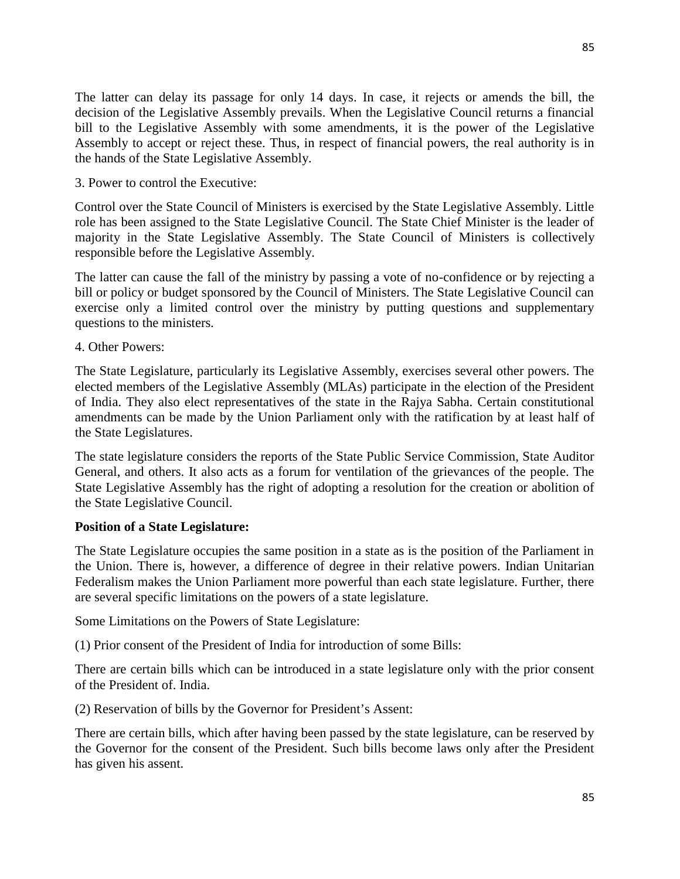The latter can delay its passage for only 14 days. In case, it rejects or amends the bill, the decision of the Legislative Assembly prevails. When the Legislative Council returns a financial bill to the Legislative Assembly with some amendments, it is the power of the Legislative Assembly to accept or reject these. Thus, in respect of financial powers, the real authority is in the hands of the State Legislative Assembly.

3. Power to control the Executive:

Control over the State Council of Ministers is exercised by the State Legislative Assembly. Little role has been assigned to the State Legislative Council. The State Chief Minister is the leader of majority in the State Legislative Assembly. The State Council of Ministers is collectively responsible before the Legislative Assembly.

The latter can cause the fall of the ministry by passing a vote of no-confidence or by rejecting a bill or policy or budget sponsored by the Council of Ministers. The State Legislative Council can exercise only a limited control over the ministry by putting questions and supplementary questions to the ministers.

## 4. Other Powers:

The State Legislature, particularly its Legislative Assembly, exercises several other powers. The elected members of the Legislative Assembly (MLAs) participate in the election of the President of India. They also elect representatives of the state in the Rajya Sabha. Certain constitutional amendments can be made by the Union Parliament only with the ratification by at least half of the State Legislatures.

The state legislature considers the reports of the State Public Service Commission, State Auditor General, and others. It also acts as a forum for ventilation of the grievances of the people. The State Legislative Assembly has the right of adopting a resolution for the creation or abolition of the State Legislative Council.

## **Position of a State Legislature:**

The State Legislature occupies the same position in a state as is the position of the Parliament in the Union. There is, however, a difference of degree in their relative powers. Indian Unitarian Federalism makes the Union Parliament more powerful than each state legislature. Further, there are several specific limitations on the powers of a state legislature.

Some Limitations on the Powers of State Legislature:

(1) Prior consent of the President of India for introduction of some Bills:

There are certain bills which can be introduced in a state legislature only with the prior consent of the President of. India.

(2) Reservation of bills by the Governor for President's Assent:

There are certain bills, which after having been passed by the state legislature, can be reserved by the Governor for the consent of the President. Such bills become laws only after the President has given his assent.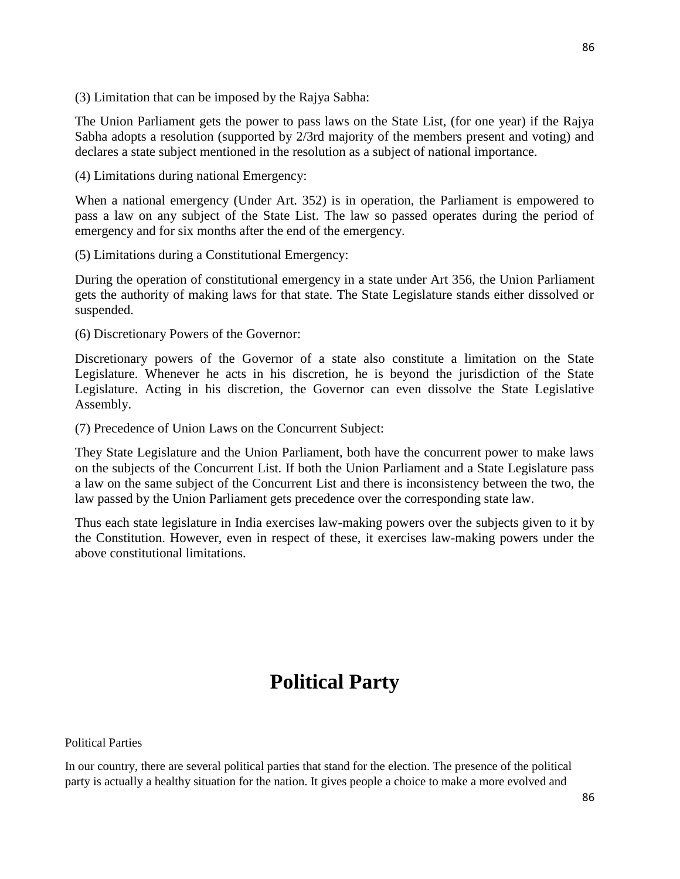(3) Limitation that can be imposed by the Rajya Sabha:

The Union Parliament gets the power to pass laws on the State List, (for one year) if the Rajya Sabha adopts a resolution (supported by 2/3rd majority of the members present and voting) and declares a state subject mentioned in the resolution as a subject of national importance.

(4) Limitations during national Emergency:

When a national emergency (Under Art. 352) is in operation, the Parliament is empowered to pass a law on any subject of the State List. The law so passed operates during the period of emergency and for six months after the end of the emergency.

(5) Limitations during a Constitutional Emergency:

During the operation of constitutional emergency in a state under Art 356, the Union Parliament gets the authority of making laws for that state. The State Legislature stands either dissolved or suspended.

(6) Discretionary Powers of the Governor:

Discretionary powers of the Governor of a state also constitute a limitation on the State Legislature. Whenever he acts in his discretion, he is beyond the jurisdiction of the State Legislature. Acting in his discretion, the Governor can even dissolve the State Legislative Assembly.

(7) Precedence of Union Laws on the Concurrent Subject:

They State Legislature and the Union Parliament, both have the concurrent power to make laws on the subjects of the Concurrent List. If both the Union Parliament and a State Legislature pass a law on the same subject of the Concurrent List and there is inconsistency between the two, the law passed by the Union Parliament gets precedence over the corresponding state law.

Thus each state legislature in India exercises law-making powers over the subjects given to it by the Constitution. However, even in respect of these, it exercises law-making powers under the above constitutional limitations.

# **Political Party**

Political Parties

In our country, there are several political parties that stand for the election. The presence of the political party is actually a healthy situation for the nation. It gives people a choice to make a more evolved and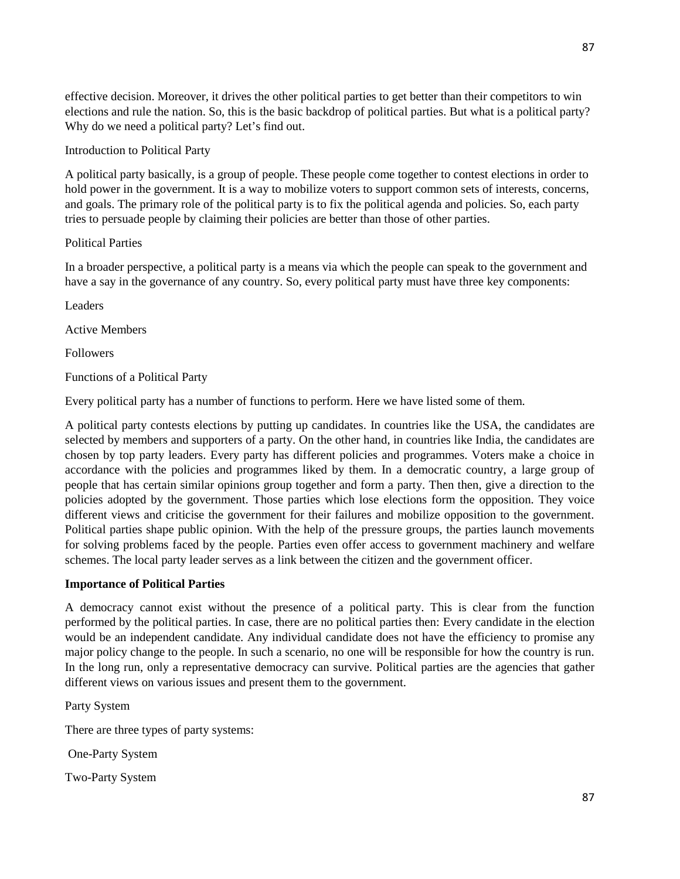effective decision. Moreover, it drives the other political parties to get better than their competitors to win elections and rule the nation. So, this is the basic backdrop of political parties. But what is a political party? Why do we need a political party? Let's find out.

Introduction to Political Party

A political party basically, is a group of people. These people come together to contest elections in order to hold power in the government. It is a way to mobilize voters to support common sets of interests, concerns, and goals. The primary role of the political party is to fix the political agenda and policies. So, each party tries to persuade people by claiming their policies are better than those of other parties.

Political Parties

In a broader perspective, a political party is a means via which the people can speak to the government and have a say in the governance of any country. So, every political party must have three key components:

Leaders

Active Members

Followers

Functions of a Political Party

Every political party has a number of functions to perform. Here we have listed some of them.

A political party contests elections by putting up candidates. In countries like the USA, the candidates are selected by members and supporters of a party. On the other hand, in countries like India, the candidates are chosen by top party leaders. Every party has different policies and programmes. Voters make a choice in accordance with the policies and programmes liked by them. In a democratic country, a large group of people that has certain similar opinions group together and form a party. Then then, give a direction to the policies adopted by the government. Those parties which lose elections form the opposition. They voice different views and criticise the government for their failures and mobilize opposition to the government. Political parties shape public opinion. With the help of the pressure groups, the parties launch movements for solving problems faced by the people. Parties even offer access to government machinery and welfare schemes. The local party leader serves as a link between the citizen and the government officer.

#### **Importance of Political Parties**

A democracy cannot exist without the presence of a political party. This is clear from the function performed by the political parties. In case, there are no political parties then: Every candidate in the election would be an independent candidate. Any individual candidate does not have the efficiency to promise any major policy change to the people. In such a scenario, no one will be responsible for how the country is run. In the long run, only a representative democracy can survive. Political parties are the agencies that gather different views on various issues and present them to the government.

Party System

There are three types of party systems:

One-Party System

Two-Party System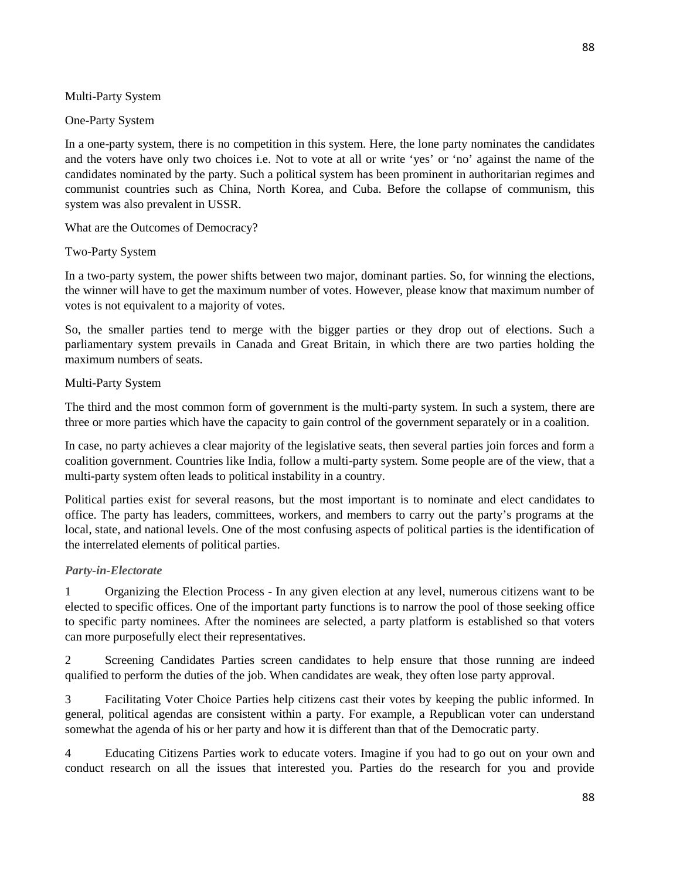Multi-Party System

One-Party System

In a one-party system, there is no competition in this system. Here, the lone party nominates the candidates and the voters have only two choices i.e. Not to vote at all or write 'yes' or 'no' against the name of the candidates nominated by the party. Such a political system has been prominent in authoritarian regimes and communist countries such as China, North Korea, and Cuba. Before the collapse of communism, this system was also prevalent in USSR.

What are the Outcomes of Democracy?

#### Two-Party System

In a two-party system, the power shifts between two major, dominant parties. So, for winning the elections, the winner will have to get the maximum number of votes. However, please know that maximum number of votes is not equivalent to a majority of votes.

So, the smaller parties tend to merge with the bigger parties or they drop out of elections. Such a parliamentary system prevails in Canada and Great Britain, in which there are two parties holding the maximum numbers of seats.

#### Multi-Party System

The third and the most common form of government is the multi-party system. In such a system, there are three or more parties which have the capacity to gain control of the government separately or in a coalition.

In case, no party achieves a clear majority of the legislative seats, then several parties join forces and form a coalition government. Countries like India, follow a multi-party system. Some people are of the view, that a multi-party system often leads to political instability in a country.

Political parties exist for several reasons, but the most important is to nominate and elect candidates to office. The party has leaders, committees, workers, and members to carry out the party's programs at the local, state, and national levels. One of the most confusing aspects of political parties is the identification of the interrelated elements of political parties.

#### *Party-in-Electorate*

1 Organizing the Election Process - In any given election at any level, numerous citizens want to be elected to specific offices. One of the important party functions is to narrow the pool of those seeking office to specific party nominees. After the nominees are selected, a party platform is established so that voters can more purposefully elect their representatives.

2 Screening Candidates Parties screen candidates to help ensure that those running are indeed qualified to perform the duties of the job. When candidates are weak, they often lose party approval.

3 Facilitating Voter Choice Parties help citizens cast their votes by keeping the public informed. In general, political agendas are consistent within a party. For example, a Republican voter can understand somewhat the agenda of his or her party and how it is different than that of the Democratic party.

4 Educating Citizens Parties work to educate voters. Imagine if you had to go out on your own and conduct research on all the issues that interested you. Parties do the research for you and provide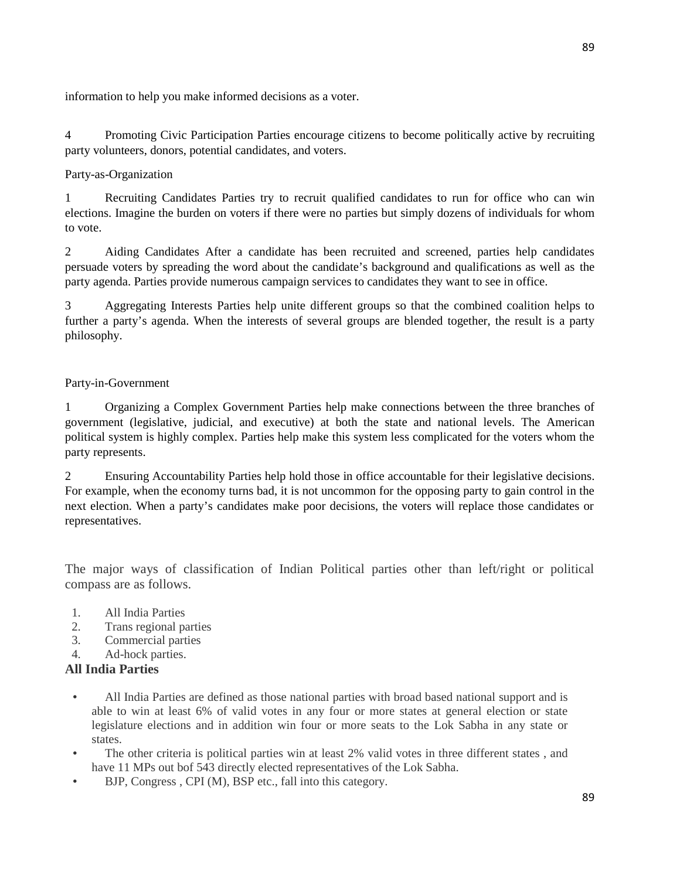information to help you make informed decisions as a voter.

4 Promoting Civic Participation Parties encourage citizens to become politically active by recruiting party volunteers, donors, potential candidates, and voters.

#### Party-as-Organization

1 Recruiting Candidates Parties try to recruit qualified candidates to run for office who can win elections. Imagine the burden on voters if there were no parties but simply dozens of individuals for whom to vote.

2 Aiding Candidates After a candidate has been recruited and screened, parties help candidates persuade voters by spreading the word about the candidate's background and qualifications as well as the party agenda. Parties provide numerous campaign services to candidates they want to see in office.

3 Aggregating Interests Parties help unite different groups so that the combined coalition helps to further a party's agenda. When the interests of several groups are blended together, the result is a party philosophy.

#### Party-in-Government

1 Organizing a Complex Government Parties help make connections between the three branches of government (legislative, judicial, and executive) at both the state and national levels. The American political system is highly complex. Parties help make this system less complicated for the voters whom the party represents.

2 Ensuring Accountability Parties help hold those in office accountable for their legislative decisions. For example, when the economy turns bad, it is not uncommon for the opposing party to gain control in the next election. When a party's candidates make poor decisions, the voters will replace those candidates or representatives.

The major ways of classification of Indian Political parties other than left/right or political compass are as follows.

- 1. All India Parties
- 2. Trans regional parties
- 3. Commercial parties
- 4. Ad-hock parties.

## **All India Parties**

- All India Parties are defined as those national parties with broad based national support and is able to win at least 6% of valid votes in any four or more states at general election or state legislature elections and in addition win four or more seats to the Lok Sabha in any state or states.
- The other criteria is political parties win at least 2% valid votes in three different states , and have 11 MPs out bof 543 directly elected representatives of the Lok Sabha.
- BJP, Congress , CPI (M), BSP etc., fall into this category.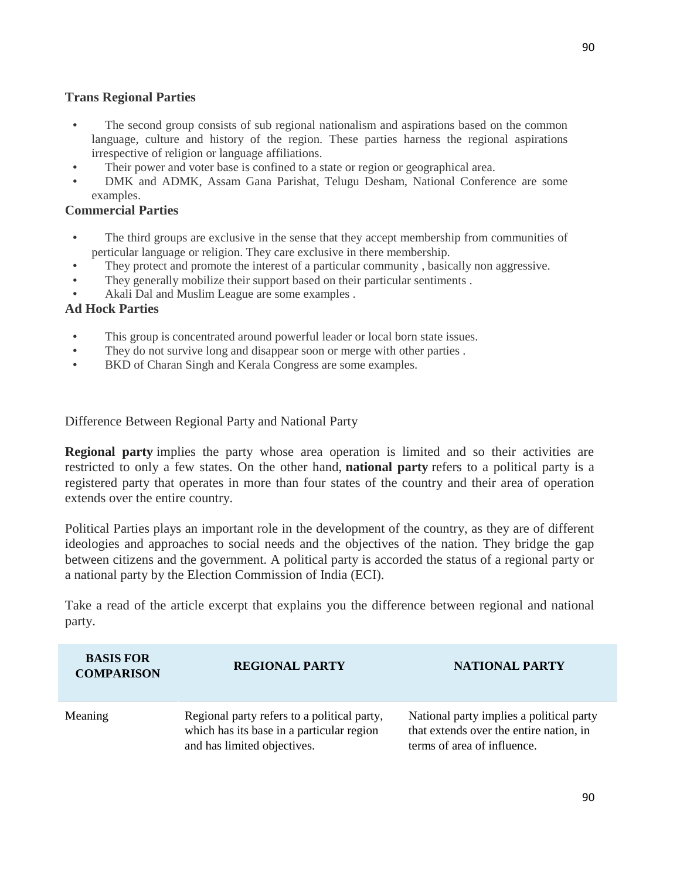## **Trans Regional Parties**

- The second group consists of sub regional nationalism and aspirations based on the common language, culture and history of the region. These parties harness the regional aspirations irrespective of religion or language affiliations.
- Their power and voter base is confined to a state or region or geographical area.
- DMK and ADMK, Assam Gana Parishat, Telugu Desham, National Conference are some examples.

#### **Commercial Parties**

- The third groups are exclusive in the sense that they accept membership from communities of perticular language or religion. They care exclusive in there membership.
- They protect and promote the interest of a particular community , basically non aggressive.
- They generally mobilize their support based on their particular sentiments .
- Akali Dal and Muslim League are some examples .

#### **Ad Hock Parties**

- This group is concentrated around powerful leader or local born state issues.
- They do not survive long and disappear soon or merge with other parties.
- BKD of Charan Singh and Kerala Congress are some examples.

Difference Between Regional Party and National Party

**Regional party** implies the party whose area operation is limited and so their activities are restricted to only a few states. On the other hand, **national party** refers to a political party is a registered party that operates in more than four states of the country and their area of operation extends over the entire country.

Political Parties plays an important role in the development of the country, as they are of different ideologies and approaches to social needs and the objectives of the nation. They bridge the gap between citizens and the government. A political party is accorded the status of a regional party or a national party by the Election Commission of India (ECI).

Take a read of the article excerpt that explains you the difference between regional and national party.

| <b>BASIS FOR</b><br><b>COMPARISON</b> | <b>REGIONAL PARTY</b>                                                                                                   | <b>NATIONAL PARTY</b>                                                                                              |
|---------------------------------------|-------------------------------------------------------------------------------------------------------------------------|--------------------------------------------------------------------------------------------------------------------|
| Meaning                               | Regional party refers to a political party,<br>which has its base in a particular region<br>and has limited objectives. | National party implies a political party<br>that extends over the entire nation, in<br>terms of area of influence. |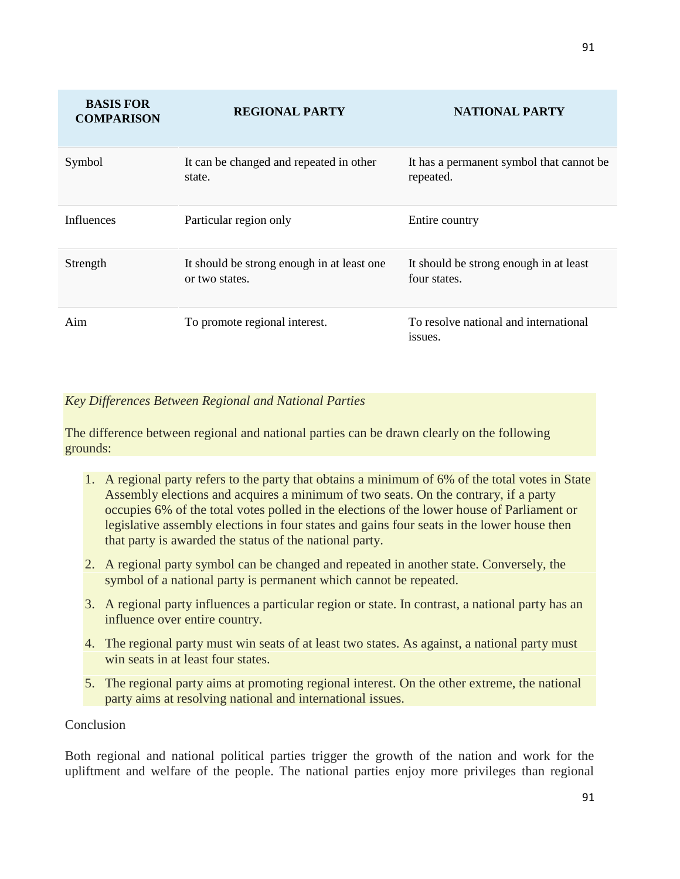| <b>BASIS FOR</b><br><b>COMPARISON</b> | <b>REGIONAL PARTY</b>                                         | <b>NATIONAL PARTY</b>                                  |
|---------------------------------------|---------------------------------------------------------------|--------------------------------------------------------|
| Symbol                                | It can be changed and repeated in other<br>state.             | It has a permanent symbol that cannot be<br>repeated.  |
| <b>Influences</b>                     | Particular region only                                        | Entire country                                         |
| Strength                              | It should be strong enough in at least one.<br>or two states. | It should be strong enough in at least<br>four states. |
| Aim                                   | To promote regional interest.                                 | To resolve national and international<br>issues.       |

# *Key Differences Between Regional and National Parties*

The difference between regional and national parties can be drawn clearly on the following grounds:

- 1. A regional party refers to the party that obtains a minimum of 6% of the total votes in State Assembly elections and acquires a minimum of two seats. On the contrary, if a party occupies 6% of the total votes polled in the elections of the lower house of Parliament or legislative assembly elections in four states and gains four seats in the lower house then that party is awarded the status of the national party.
- 2. A regional party symbol can be changed and repeated in another state. Conversely, the symbol of a national party is permanent which cannot be repeated.
- 3. A regional party influences a particular region or state. In contrast, a national party has an influence over entire country.
- 4. The regional party must win seats of at least two states. As against, a national party must win seats in at least four states.
- 5. The regional party aims at promoting regional interest. On the other extreme, the national party aims at resolving national and international issues.

## Conclusion

Both regional and national political parties trigger the growth of the nation and work for the upliftment and welfare of the people. The national parties enjoy more privileges than regional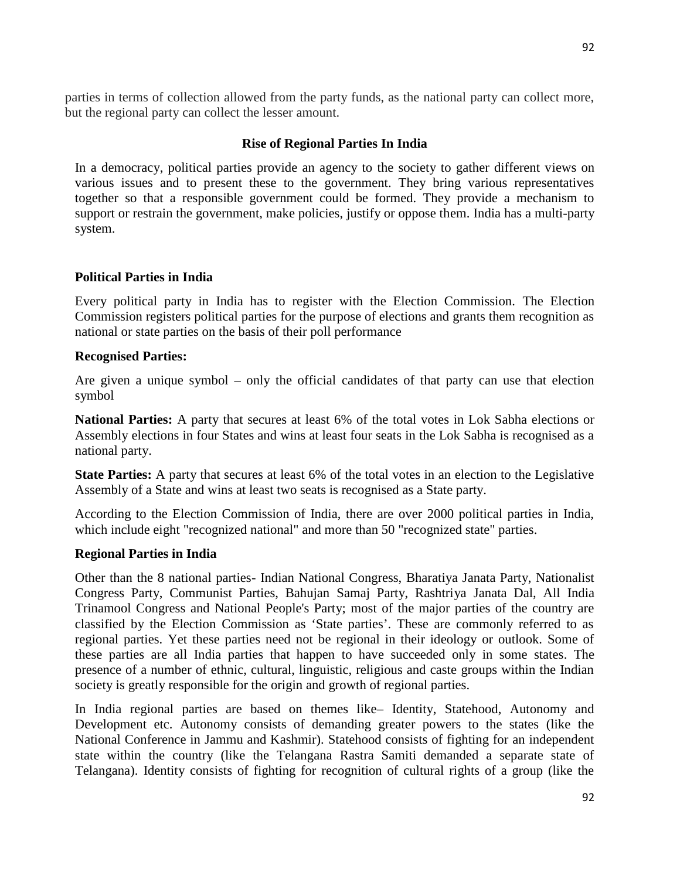parties in terms of collection allowed from the party funds, as the national party can collect more, but the regional party can collect the lesser amount.

## **Rise of Regional Parties In India**

In a democracy, political parties provide an agency to the society to gather different views on various issues and to present these to the government. They bring various representatives together so that a responsible government could be formed. They provide a mechanism to support or restrain the government, make policies, justify or oppose them. India has a multi-party system.

#### **Political Parties in India**

Every political party in India has to register with the Election Commission. The Election Commission registers political parties for the purpose of elections and grants them recognition as national or state parties on the basis of their poll performance

#### **Recognised Parties:**

Are given a unique symbol – only the official candidates of that party can use that election symbol

**National Parties:** A party that secures at least 6% of the total votes in Lok Sabha elections or Assembly elections in four States and wins at least four seats in the Lok Sabha is recognised as a national party.

**State Parties:** A party that secures at least 6% of the total votes in an election to the Legislative Assembly of a State and wins at least two seats is recognised as a State party.

According to the Election Commission of India, there are over 2000 political parties in India, which include eight "recognized national" and more than 50 "recognized state" parties.

#### **Regional Parties in India**

Other than the 8 national parties- Indian National Congress, Bharatiya Janata Party, Nationalist Congress Party, Communist Parties, Bahujan Samaj Party, Rashtriya Janata Dal, All India Trinamool Congress and National People's Party; most of the major parties of the country are classified by the Election Commission as 'State parties'. These are commonly referred to as regional parties. Yet these parties need not be regional in their ideology or outlook. Some of these parties are all India parties that happen to have succeeded only in some states. The presence of a number of ethnic, cultural, linguistic, religious and caste groups within the Indian society is greatly responsible for the origin and growth of regional parties.

In India regional parties are based on themes like– Identity, Statehood, Autonomy and Development etc. Autonomy consists of demanding greater powers to the states (like the National Conference in Jammu and Kashmir). Statehood consists of fighting for an independent state within the country (like the Telangana Rastra Samiti demanded a separate state of Telangana). Identity consists of fighting for recognition of cultural rights of a group (like the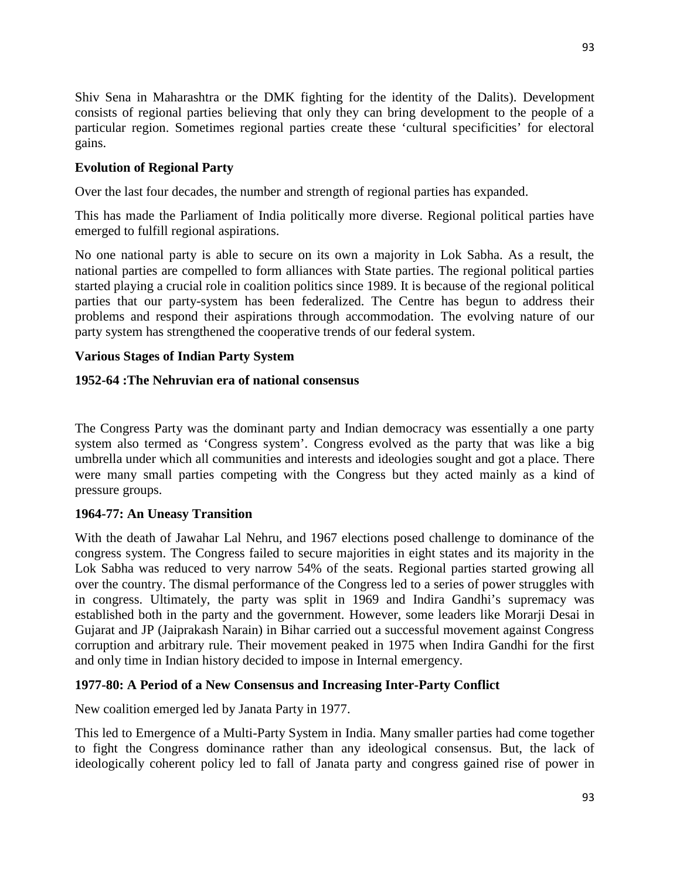Shiv Sena in Maharashtra or the DMK fighting for the identity of the Dalits). Development consists of regional parties believing that only they can bring development to the people of a particular region. Sometimes regional parties create these 'cultural specificities' for electoral gains.

# **Evolution of Regional Party**

Over the last four decades, the number and strength of regional parties has expanded.

This has made the Parliament of India politically more diverse. Regional political parties have emerged to fulfill regional aspirations.

No one national party is able to secure on its own a majority in Lok Sabha. As a result, the national parties are compelled to form alliances with State parties. The regional political parties started playing a crucial role in coalition politics since 1989. It is because of the regional political parties that our party-system has been federalized. The Centre has begun to address their problems and respond their aspirations through accommodation. The evolving nature of our party system has strengthened the cooperative trends of our federal system.

# **Various Stages of Indian Party System**

# **1952-64 :The Nehruvian era of national consensus**

The Congress Party was the dominant party and Indian democracy was essentially a one party system also termed as 'Congress system'. Congress evolved as the party that was like a big umbrella under which all communities and interests and ideologies sought and got a place. There were many small parties competing with the Congress but they acted mainly as a kind of pressure groups.

# **1964-77: An Uneasy Transition**

With the death of Jawahar Lal Nehru, and 1967 elections posed challenge to dominance of the congress system. The Congress failed to secure majorities in eight states and its majority in the Lok Sabha was reduced to very narrow 54% of the seats. Regional parties started growing all over the country. The dismal performance of the Congress led to a series of power struggles with in congress. Ultimately, the party was split in 1969 and Indira Gandhi's supremacy was established both in the party and the government. However, some leaders like Morarji Desai in Gujarat and JP (Jaiprakash Narain) in Bihar carried out a successful movement against Congress corruption and arbitrary rule. Their movement peaked in 1975 when Indira Gandhi for the first and only time in Indian history decided to impose in Internal emergency.

# **1977-80: A Period of a New Consensus and Increasing Inter-Party Conflict**

New coalition emerged led by Janata Party in 1977.

This led to Emergence of a Multi-Party System in India. Many smaller parties had come together to fight the Congress dominance rather than any ideological consensus. But, the lack of ideologically coherent policy led to fall of Janata party and congress gained rise of power in